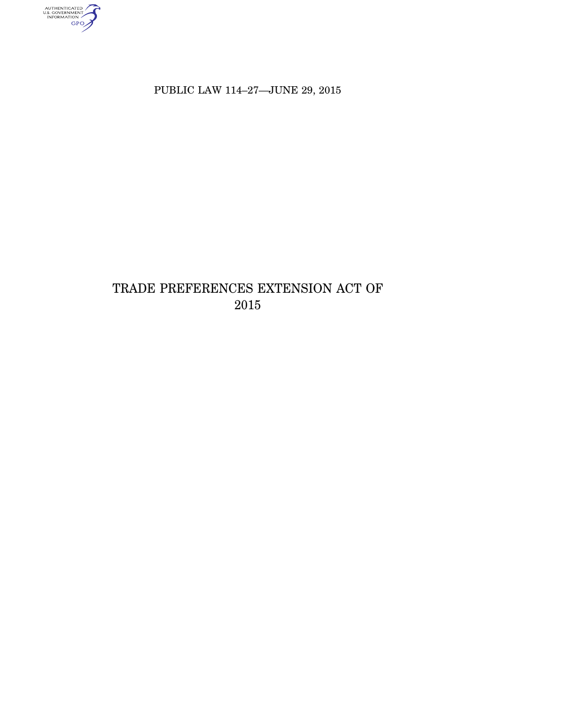AUTHENTICATED

PUBLIC LAW 114–27—JUNE 29, 2015

# TRADE PREFERENCES EXTENSION ACT OF 2015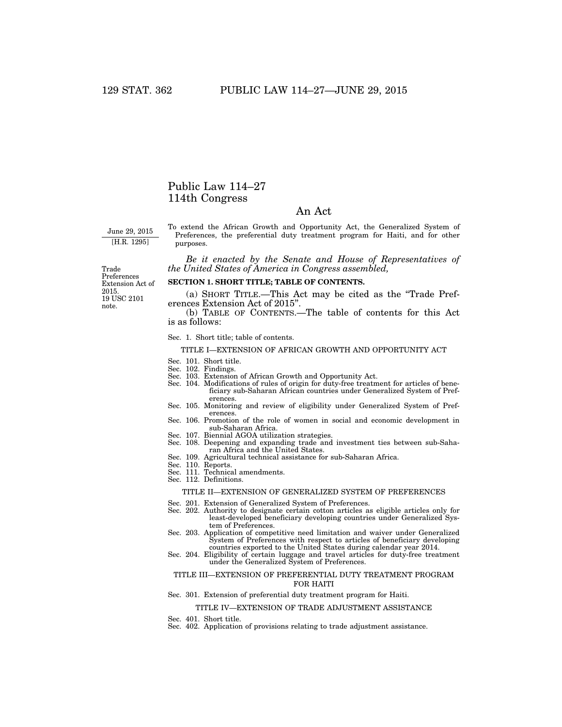### Public Law 114–27 114th Congress

### An Act

June 29, 2015 [H.R. 1295]

To extend the African Growth and Opportunity Act, the Generalized System of Preferences, the preferential duty treatment program for Haiti, and for other purposes.

*Be it enacted by the Senate and House of Representatives of the United States of America in Congress assembled,* 

19 USC 2101 note. Trade Preferences Extension Act of 2015.

#### **SECTION 1. SHORT TITLE; TABLE OF CONTENTS.**

(a) SHORT TITLE.—This Act may be cited as the ''Trade Preferences Extension Act of 2015''.

(b) TABLE OF CONTENTS.—The table of contents for this Act is as follows:

#### Sec. 1. Short title; table of contents.

#### TITLE I—EXTENSION OF AFRICAN GROWTH AND OPPORTUNITY ACT

- Sec. 101. Short title.
- Sec. 102. Findings.
- Sec. 103. Extension of African Growth and Opportunity Act.
- Sec. 104. Modifications of rules of origin for duty-free treatment for articles of beneficiary sub-Saharan African countries under Generalized System of Preferences.
- Sec. 105. Monitoring and review of eligibility under Generalized System of Preferences.
- Sec. 106. Promotion of the role of women in social and economic development in sub-Saharan Africa.
- Sec. 107. Biennial AGOA utilization strategies. Sec. 108. Deepening and expanding trade and investment ties between sub-Saharan Africa and the United States.
- Sec. 109. Agricultural technical assistance for sub-Saharan Africa.
- Sec. 110. Reports.
- Sec. 111. Technical amendments.
- Sec. 112. Definitions.

#### TITLE II—EXTENSION OF GENERALIZED SYSTEM OF PREFERENCES

- Sec. 201. Extension of Generalized System of Preferences.
- Sec. 202. Authority to designate certain cotton articles as eligible articles only for least-developed beneficiary developing countries under Generalized System of Preferences.
- Sec. 203. Application of competitive need limitation and waiver under Generalized System of Preferences with respect to articles of beneficiary developing countries exported to the United States during calendar year 2014.
- Sec. 204. Eligibility of certain luggage and travel articles for duty-free treatment under the Generalized System of Preferences.

#### TITLE III—EXTENSION OF PREFERENTIAL DUTY TREATMENT PROGRAM FOR HAITI

Sec. 301. Extension of preferential duty treatment program for Haiti.

#### TITLE IV—EXTENSION OF TRADE ADJUSTMENT ASSISTANCE

- Sec. 401. Short title.
- Sec. 402. Application of provisions relating to trade adjustment assistance.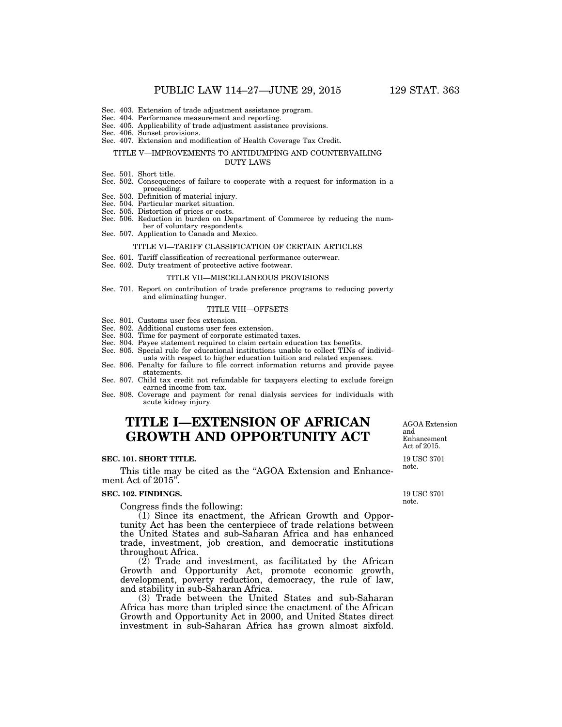- Sec. 404. Performance measurement and reporting.
- Sec. 405. Applicability of trade adjustment assistance provisions.
- Sec. 406. Sunset provisions.
- Sec. 407. Extension and modification of Health Coverage Tax Credit.

#### TITLE V—IMPROVEMENTS TO ANTIDUMPING AND COUNTERVAILING DUTY LAWS

- Sec. 501. Short title.
- Sec. 502. Consequences of failure to cooperate with a request for information in a proceeding.
- Sec. 503. Definition of material injury.
- Sec. 504. Particular market situation.
- Sec. 505. Distortion of prices or costs.
- Sec. 506. Reduction in burden on Department of Commerce by reducing the num-
- ber of voluntary respondents. Sec. 507. Application to Canada and Mexico.

#### TITLE VI—TARIFF CLASSIFICATION OF CERTAIN ARTICLES

- Sec. 601. Tariff classification of recreational performance outerwear.
- Sec. 602. Duty treatment of protective active footwear.

#### TITLE VII—MISCELLANEOUS PROVISIONS

Sec. 701. Report on contribution of trade preference programs to reducing poverty and eliminating hunger.

#### TITLE VIII—OFFSETS

- Sec. 801. Customs user fees extension.
- Sec. 802. Additional customs user fees extension.
- Sec. 803. Time for payment of corporate estimated taxes.
- Sec. 804. Payee statement required to claim certain education tax benefits.
- Sec. 805. Special rule for educational institutions unable to collect TINs of individuals with respect to higher education tuition and related expenses.
- Sec. 806. Penalty for failure to file correct information returns and provide payee statements.

Sec. 807. Child tax credit not refundable for taxpayers electing to exclude foreign earned income from tax.

Sec. 808. Coverage and payment for renal dialysis services for individuals with acute kidney injury.

## **TITLE I—EXTENSION OF AFRICAN GROWTH AND OPPORTUNITY ACT**

#### **SEC. 101. SHORT TITLE.**

This title may be cited as the "AGOA Extension and Enhancement Act of 2015''.

#### **SEC. 102. FINDINGS.**

Congress finds the following:

(1) Since its enactment, the African Growth and Opportunity Act has been the centerpiece of trade relations between the United States and sub-Saharan Africa and has enhanced trade, investment, job creation, and democratic institutions throughout Africa.

(2) Trade and investment, as facilitated by the African Growth and Opportunity Act, promote economic growth, development, poverty reduction, democracy, the rule of law, and stability in sub-Saharan Africa.

(3) Trade between the United States and sub-Saharan Africa has more than tripled since the enactment of the African Growth and Opportunity Act in 2000, and United States direct investment in sub-Saharan Africa has grown almost sixfold.

AGOA Extension and Enhancement Act of 2015.

19 USC 3701 note.

19 USC 3701 note.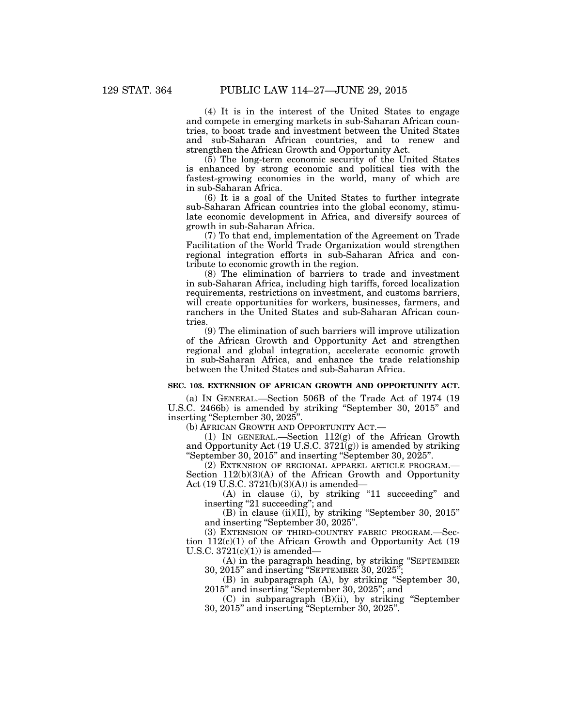(4) It is in the interest of the United States to engage and compete in emerging markets in sub-Saharan African countries, to boost trade and investment between the United States and sub-Saharan African countries, and to renew and strengthen the African Growth and Opportunity Act.

(5) The long-term economic security of the United States is enhanced by strong economic and political ties with the fastest-growing economies in the world, many of which are in sub-Saharan Africa.

(6) It is a goal of the United States to further integrate sub-Saharan African countries into the global economy, stimulate economic development in Africa, and diversify sources of growth in sub-Saharan Africa.

(7) To that end, implementation of the Agreement on Trade Facilitation of the World Trade Organization would strengthen regional integration efforts in sub-Saharan Africa and contribute to economic growth in the region.

(8) The elimination of barriers to trade and investment in sub-Saharan Africa, including high tariffs, forced localization requirements, restrictions on investment, and customs barriers, will create opportunities for workers, businesses, farmers, and ranchers in the United States and sub-Saharan African countries.

(9) The elimination of such barriers will improve utilization of the African Growth and Opportunity Act and strengthen regional and global integration, accelerate economic growth in sub-Saharan Africa, and enhance the trade relationship between the United States and sub-Saharan Africa.

#### **SEC. 103. EXTENSION OF AFRICAN GROWTH AND OPPORTUNITY ACT.**

(a) IN GENERAL.—Section 506B of the Trade Act of 1974 (19 U.S.C. 2466b) is amended by striking ''September 30, 2015'' and inserting "September 30, 2025".

(b) AFRICAN GROWTH AND OPPORTUNITY ACT.—

(1) IN GENERAL.—Section 112(g) of the African Growth and Opportunity Act (19 U.S.C. 3721(g)) is amended by striking "September 30, 2015" and inserting "September 30, 2025".

(2) EXTENSION OF REGIONAL APPAREL ARTICLE PROGRAM.— Section  $112(b)(3)(A)$  of the African Growth and Opportunity Act (19 U.S.C. 3721(b)(3)(A)) is amended—

(A) in clause (i), by striking "11 succeeding" and inserting ''21 succeeding''; and

(B) in clause (ii)(II), by striking ''September 30, 2015'' and inserting ''September 30, 2025''.

(3) EXTENSION OF THIRD-COUNTRY FABRIC PROGRAM.—Section 112(c)(1) of the African Growth and Opportunity Act (19 U.S.C.  $3721(c)(1)$  is amended—

(A) in the paragraph heading, by striking ''SEPTEMBER  $30, 2015$ " and inserting "SEPTEMBER  $30, 2025$ "

(B) in subparagraph (A), by striking ''September 30, 2015'' and inserting ''September 30, 2025''; and

(C) in subparagraph (B)(ii), by striking ''September 30, 2015'' and inserting ''September 30, 2025''.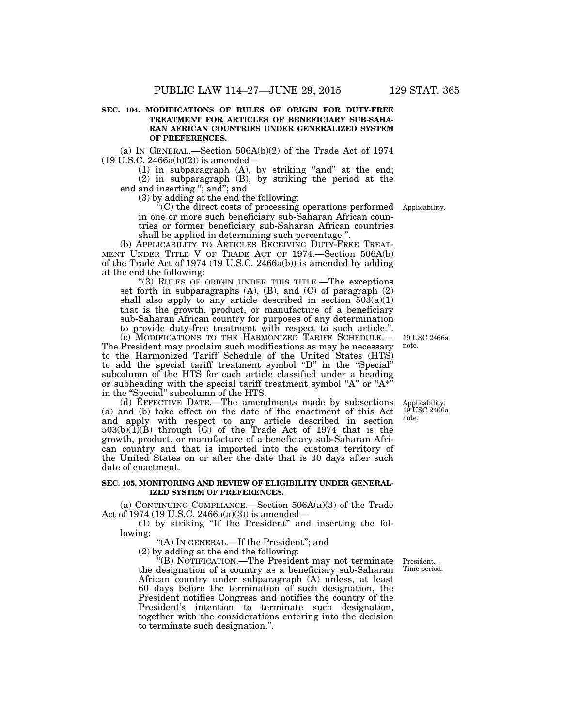#### **SEC. 104. MODIFICATIONS OF RULES OF ORIGIN FOR DUTY-FREE TREATMENT FOR ARTICLES OF BENEFICIARY SUB-SAHA-RAN AFRICAN COUNTRIES UNDER GENERALIZED SYSTEM OF PREFERENCES.**

(a) IN GENERAL.—Section 506A(b)(2) of the Trade Act of 1974  $(19 \text{ U.S.C. } 2466a(b)(2))$  is amended—

 $(1)$  in subparagraph  $(A)$ , by striking "and" at the end; (2) in subparagraph (B), by striking the period at the end and inserting ''; and''; and

(3) by adding at the end the following:

''(C) the direct costs of processing operations performed Applicability. in one or more such beneficiary sub-Saharan African countries or former beneficiary sub-Saharan African countries shall be applied in determining such percentage.''.

(b) APPLICABILITY TO ARTICLES RECEIVING DUTY-FREE TREAT-MENT UNDER TITLE V OF TRADE ACT OF 1974.—Section 506A(b) of the Trade Act of 1974 (19 U.S.C. 2466a(b)) is amended by adding at the end the following:

"(3) RULES OF ORIGIN UNDER THIS TITLE.—The exceptions set forth in subparagraphs  $(A)$ ,  $(B)$ , and  $(C)$  of paragraph  $(2)$ shall also apply to any article described in section  $503(a)(1)$ that is the growth, product, or manufacture of a beneficiary sub-Saharan African country for purposes of any determination to provide duty-free treatment with respect to such article.''.

(c) MODIFICATIONS TO THE HARMONIZED TARIFF SCHEDULE.— The President may proclaim such modifications as may be necessary to the Harmonized Tariff Schedule of the United States (HTS) to add the special tariff treatment symbol ''D'' in the ''Special'' subcolumn of the HTS for each article classified under a heading or subheading with the special tariff treatment symbol "A" or " $A^*$ " in the ''Special'' subcolumn of the HTS.

(d) EFFECTIVE DATE.—The amendments made by subsections (a) and (b) take effect on the date of the enactment of this Act and apply with respect to any article described in section 503(b)(1)(B) through (G) of the Trade Act of 1974 that is the growth, product, or manufacture of a beneficiary sub-Saharan African country and that is imported into the customs territory of the United States on or after the date that is 30 days after such date of enactment.

#### **SEC. 105. MONITORING AND REVIEW OF ELIGIBILITY UNDER GENERAL-IZED SYSTEM OF PREFERENCES.**

(a) CONTINUING COMPLIANCE.—Section 506A(a)(3) of the Trade Act of 1974 (19 U.S.C. 2466a(a)(3)) is amended—

(1) by striking ''If the President'' and inserting the following:

"(A) In GENERAL.—If the President"; and

(2) by adding at the end the following:

''(B) NOTIFICATION.—The President may not terminate the designation of a country as a beneficiary sub-Saharan African country under subparagraph (A) unless, at least 60 days before the termination of such designation, the President notifies Congress and notifies the country of the President's intention to terminate such designation, together with the considerations entering into the decision to terminate such designation.''.

President. Time period.

19 USC 2466a note.

Applicability. 19 USC 2466a note.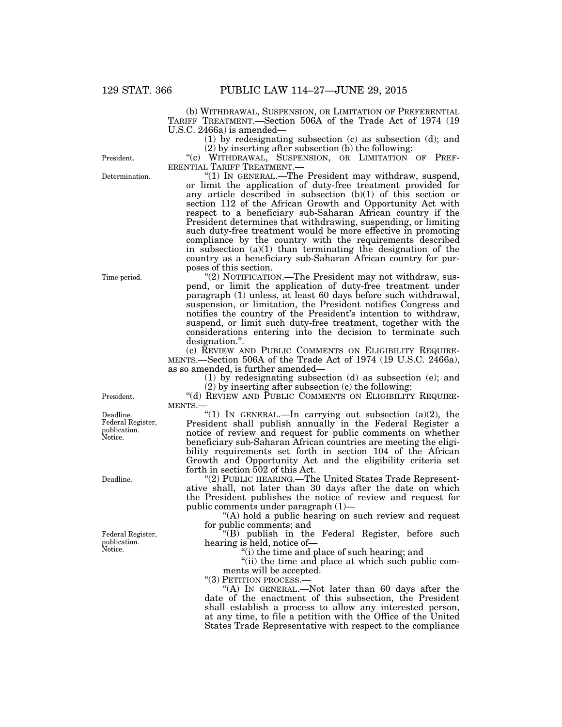(b) WITHDRAWAL, SUSPENSION, OR LIMITATION OF PREFERENTIAL TARIFF TREATMENT.—Section 506A of the Trade Act of 1974 (19 U.S.C. 2466a) is amended—

> (1) by redesignating subsection (c) as subsection (d); and (2) by inserting after subsection (b) the following:

"(c) WITHDRAWAL, SUSPENSION, OR LIMITATION OF PREF-<br>ERENTIAL TARIFF TREATMENT.—

" $(1)$  In GENERAL.—The President may withdraw, suspend, or limit the application of duty-free treatment provided for any article described in subsection  $(b)(1)$  of this section or section 112 of the African Growth and Opportunity Act with respect to a beneficiary sub-Saharan African country if the President determines that withdrawing, suspending, or limiting such duty-free treatment would be more effective in promoting compliance by the country with the requirements described in subsection  $(a)(1)$  than terminating the designation of the country as a beneficiary sub-Saharan African country for purposes of this section.

''(2) NOTIFICATION.—The President may not withdraw, suspend, or limit the application of duty-free treatment under paragraph (1) unless, at least 60 days before such withdrawal, suspension, or limitation, the President notifies Congress and notifies the country of the President's intention to withdraw, suspend, or limit such duty-free treatment, together with the considerations entering into the decision to terminate such designation.''.

(c) REVIEW AND PUBLIC COMMENTS ON ELIGIBILITY REQUIRE-MENTS.—Section 506A of the Trade Act of 1974 (19 U.S.C. 2466a), as so amended, is further amended—

(1) by redesignating subsection (d) as subsection (e); and

(2) by inserting after subsection (c) the following:

"(d) REVIEW AND PUBLIC COMMENTS ON ELIGIBILITY REQUIRE-MENTS.—

"(1) IN GENERAL.—In carrying out subsection  $(a)(2)$ , the President shall publish annually in the Federal Register a notice of review and request for public comments on whether beneficiary sub-Saharan African countries are meeting the eligibility requirements set forth in section 104 of the African Growth and Opportunity Act and the eligibility criteria set forth in section 502 of this Act.

"(2) PUBLIC HEARING.—The United States Trade Representative shall, not later than 30 days after the date on which the President publishes the notice of review and request for public comments under paragraph (1)—

"(A) hold a public hearing on such review and request for public comments; and

''(B) publish in the Federal Register, before such hearing is held, notice of—

''(i) the time and place of such hearing; and

"(ii) the time and place at which such public comments will be accepted.

"(3) PETITION PROCESS.

"(A) IN GENERAL.—Not later than 60 days after the date of the enactment of this subsection, the President shall establish a process to allow any interested person, at any time, to file a petition with the Office of the United States Trade Representative with respect to the compliance

President.

Deadline. Federal Register, publication. Notice.

Deadline.

Federal Register, publication. Notice.

Determination. President.

Time period.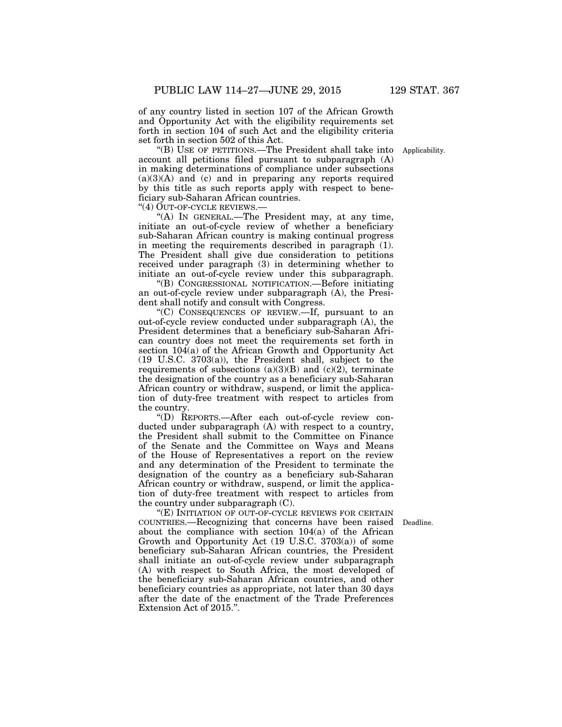of any country listed in section 107 of the African Growth and Opportunity Act with the eligibility requirements set forth in section 104 of such Act and the eligibility criteria set forth in section 502 of this Act.

''(B) USE OF PETITIONS.—The President shall take into account all petitions filed pursuant to subparagraph (A) in making determinations of compliance under subsections  $(a)(3)(A)$  and (c) and in preparing any reports required by this title as such reports apply with respect to beneficiary sub-Saharan African countries.

''(4) OUT-OF-CYCLE REVIEWS.—

"(A) IN GENERAL.—The President may, at any time, initiate an out-of-cycle review of whether a beneficiary sub-Saharan African country is making continual progress in meeting the requirements described in paragraph (1). The President shall give due consideration to petitions received under paragraph (3) in determining whether to initiate an out-of-cycle review under this subparagraph.

''(B) CONGRESSIONAL NOTIFICATION.—Before initiating an out-of-cycle review under subparagraph (A), the President shall notify and consult with Congress.

''(C) CONSEQUENCES OF REVIEW.—If, pursuant to an out-of-cycle review conducted under subparagraph (A), the President determines that a beneficiary sub-Saharan African country does not meet the requirements set forth in section 104(a) of the African Growth and Opportunity Act (19 U.S.C. 3703(a)), the President shall, subject to the requirements of subsections  $(a)(3)(B)$  and  $(c)(2)$ , terminate the designation of the country as a beneficiary sub-Saharan African country or withdraw, suspend, or limit the application of duty-free treatment with respect to articles from the country.

''(D) REPORTS.—After each out-of-cycle review conducted under subparagraph (A) with respect to a country, the President shall submit to the Committee on Finance of the Senate and the Committee on Ways and Means of the House of Representatives a report on the review and any determination of the President to terminate the designation of the country as a beneficiary sub-Saharan African country or withdraw, suspend, or limit the application of duty-free treatment with respect to articles from the country under subparagraph (C).

"(E) INITIATION OF OUT-OF-CYCLE REVIEWS FOR CERTAIN COUNTRIES.—Recognizing that concerns have been raised Deadline. about the compliance with section 104(a) of the African Growth and Opportunity Act (19 U.S.C. 3703(a)) of some beneficiary sub-Saharan African countries, the President shall initiate an out-of-cycle review under subparagraph (A) with respect to South Africa, the most developed of the beneficiary sub-Saharan African countries, and other beneficiary countries as appropriate, not later than 30 days after the date of the enactment of the Trade Preferences Extension Act of 2015.''.

Applicability.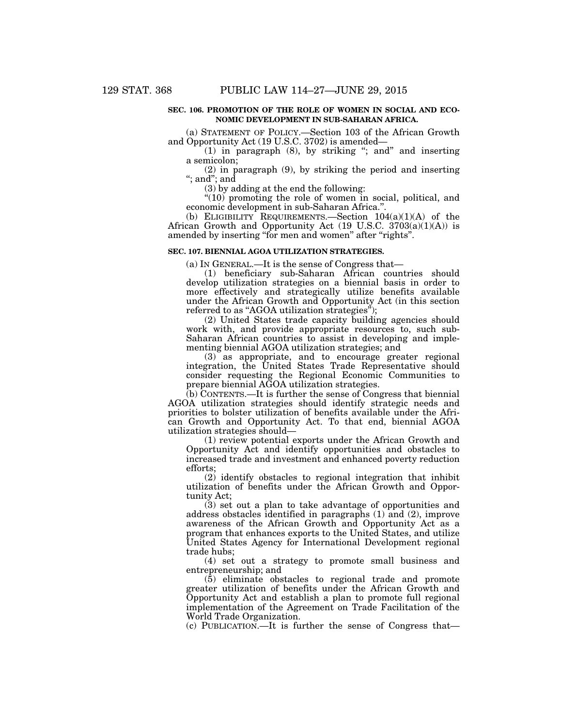#### **SEC. 106. PROMOTION OF THE ROLE OF WOMEN IN SOCIAL AND ECO-NOMIC DEVELOPMENT IN SUB-SAHARAN AFRICA.**

(a) STATEMENT OF POLICY.—Section 103 of the African Growth and Opportunity Act (19 U.S.C. 3702) is amended—

(1) in paragraph (8), by striking ''; and'' and inserting a semicolon;

(2) in paragraph (9), by striking the period and inserting ''; and''; and

(3) by adding at the end the following:

 $\sqrt[4]{(10)}$  promoting the role of women in social, political, and economic development in sub-Saharan Africa.''.

(b) ELIGIBILITY REQUIREMENTS.—Section  $104(a)(1)(A)$  of the African Growth and Opportunity Act (19 U.S.C. 3703(a)(1)(A)) is amended by inserting "for men and women" after "rights".

#### **SEC. 107. BIENNIAL AGOA UTILIZATION STRATEGIES.**

(a) IN GENERAL.—It is the sense of Congress that—

(1) beneficiary sub-Saharan African countries should develop utilization strategies on a biennial basis in order to more effectively and strategically utilize benefits available under the African Growth and Opportunity Act (in this section referred to as "AGOA utilization strategies");

(2) United States trade capacity building agencies should work with, and provide appropriate resources to, such sub-Saharan African countries to assist in developing and implementing biennial AGOA utilization strategies; and

(3) as appropriate, and to encourage greater regional integration, the United States Trade Representative should consider requesting the Regional Economic Communities to prepare biennial AGOA utilization strategies.

(b) CONTENTS.—It is further the sense of Congress that biennial AGOA utilization strategies should identify strategic needs and priorities to bolster utilization of benefits available under the African Growth and Opportunity Act. To that end, biennial AGOA utilization strategies should—

(1) review potential exports under the African Growth and Opportunity Act and identify opportunities and obstacles to increased trade and investment and enhanced poverty reduction efforts;

(2) identify obstacles to regional integration that inhibit utilization of benefits under the African Growth and Opportunity Act;

(3) set out a plan to take advantage of opportunities and address obstacles identified in paragraphs (1) and (2), improve awareness of the African Growth and Opportunity Act as a program that enhances exports to the United States, and utilize United States Agency for International Development regional trade hubs;

(4) set out a strategy to promote small business and entrepreneurship; and

(5) eliminate obstacles to regional trade and promote greater utilization of benefits under the African Growth and Opportunity Act and establish a plan to promote full regional implementation of the Agreement on Trade Facilitation of the World Trade Organization.

(c) PUBLICATION.—It is further the sense of Congress that—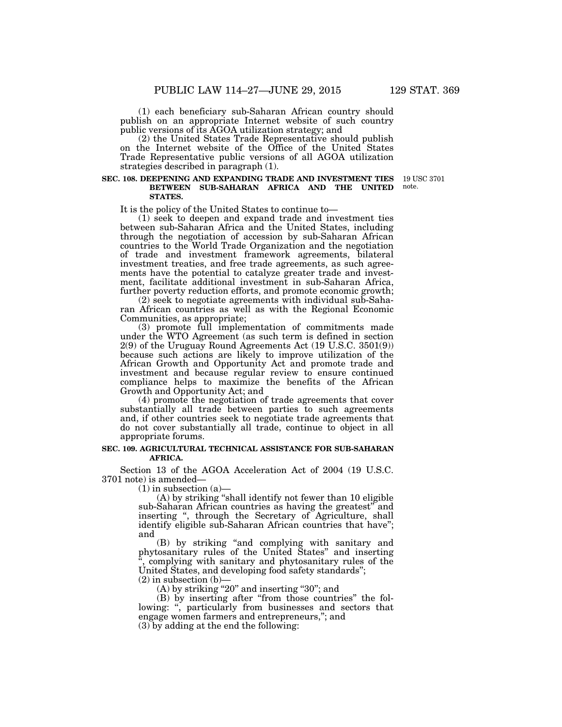(1) each beneficiary sub-Saharan African country should publish on an appropriate Internet website of such country public versions of its AGOA utilization strategy; and

(2) the United States Trade Representative should publish on the Internet website of the Office of the United States Trade Representative public versions of all AGOA utilization strategies described in paragraph (1).

#### **SEC. 108. DEEPENING AND EXPANDING TRADE AND INVESTMENT TIES**  19 USC 3701 **BETWEEN SUB-SAHARAN AFRICA AND THE UNITED STATES.**

It is the policy of the United States to continue to—

(1) seek to deepen and expand trade and investment ties between sub-Saharan Africa and the United States, including through the negotiation of accession by sub-Saharan African countries to the World Trade Organization and the negotiation of trade and investment framework agreements, bilateral investment treaties, and free trade agreements, as such agreements have the potential to catalyze greater trade and investment, facilitate additional investment in sub-Saharan Africa, further poverty reduction efforts, and promote economic growth;

(2) seek to negotiate agreements with individual sub-Saharan African countries as well as with the Regional Economic Communities, as appropriate;

(3) promote full implementation of commitments made under the WTO Agreement (as such term is defined in section 2(9) of the Uruguay Round Agreements Act (19 U.S.C. 3501(9)) because such actions are likely to improve utilization of the African Growth and Opportunity Act and promote trade and investment and because regular review to ensure continued compliance helps to maximize the benefits of the African Growth and Opportunity Act; and

(4) promote the negotiation of trade agreements that cover substantially all trade between parties to such agreements and, if other countries seek to negotiate trade agreements that do not cover substantially all trade, continue to object in all appropriate forums.

#### **SEC. 109. AGRICULTURAL TECHNICAL ASSISTANCE FOR SUB-SAHARAN AFRICA.**

Section 13 of the AGOA Acceleration Act of 2004 (19 U.S.C. 3701 note) is amended—

 $(1)$  in subsection  $(a)$ 

(A) by striking ''shall identify not fewer than 10 eligible sub-Saharan African countries as having the greatest'' and inserting '', through the Secretary of Agriculture, shall identify eligible sub-Saharan African countries that have''; and

(B) by striking ''and complying with sanitary and phytosanitary rules of the United States'' and inserting complying with sanitary and phytosanitary rules of the United States, and developing food safety standards'';

 $(2)$  in subsection  $(b)$ –

 $(A)$  by striking "20" and inserting "30"; and

(B) by inserting after ''from those countries'' the following: ", particularly from businesses and sectors that engage women farmers and entrepreneurs,''; and (3) by adding at the end the following:

note.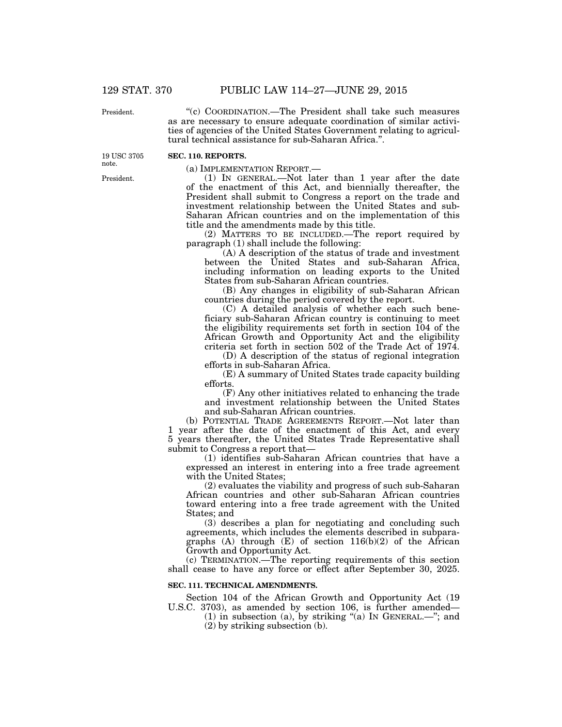President.

''(c) COORDINATION.—The President shall take such measures as are necessary to ensure adequate coordination of similar activities of agencies of the United States Government relating to agricultural technical assistance for sub-Saharan Africa.''.

**SEC. 110. REPORTS.** 

(a) IMPLEMENTATION REPORT.—

(1) IN GENERAL.—Not later than 1 year after the date of the enactment of this Act, and biennially thereafter, the President shall submit to Congress a report on the trade and investment relationship between the United States and sub-Saharan African countries and on the implementation of this title and the amendments made by this title.

(2) MATTERS TO BE INCLUDED.—The report required by paragraph (1) shall include the following:

(A) A description of the status of trade and investment between the United States and sub-Saharan Africa, including information on leading exports to the United States from sub-Saharan African countries.

(B) Any changes in eligibility of sub-Saharan African countries during the period covered by the report.

(C) A detailed analysis of whether each such beneficiary sub-Saharan African country is continuing to meet the eligibility requirements set forth in section 104 of the African Growth and Opportunity Act and the eligibility criteria set forth in section 502 of the Trade Act of 1974.

(D) A description of the status of regional integration efforts in sub-Saharan Africa.

(E) A summary of United States trade capacity building efforts.

(F) Any other initiatives related to enhancing the trade and investment relationship between the United States and sub-Saharan African countries.

(b) POTENTIAL TRADE AGREEMENTS REPORT.—Not later than 1 year after the date of the enactment of this Act, and every 5 years thereafter, the United States Trade Representative shall submit to Congress a report that—

(1) identifies sub-Saharan African countries that have a expressed an interest in entering into a free trade agreement with the United States;

(2) evaluates the viability and progress of such sub-Saharan African countries and other sub-Saharan African countries toward entering into a free trade agreement with the United States; and

(3) describes a plan for negotiating and concluding such agreements, which includes the elements described in subparagraphs (A) through (E) of section 116(b)(2) of the African Growth and Opportunity Act.

(c) TERMINATION.—The reporting requirements of this section shall cease to have any force or effect after September 30, 2025.

#### **SEC. 111. TECHNICAL AMENDMENTS.**

Section 104 of the African Growth and Opportunity Act (19 U.S.C. 3703), as amended by section 106, is further amended—

(1) in subsection (a), by striking " $(a)$  In GENERAL.—"; and (2) by striking subsection (b).

President.

19 USC 3705 note.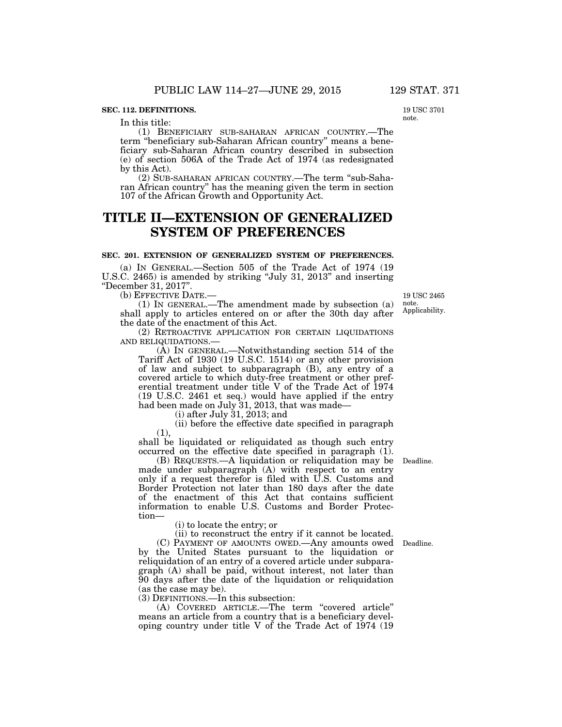#### **SEC. 112. DEFINITIONS.**

In this title:

(1) BENEFICIARY SUB-SAHARAN AFRICAN COUNTRY.—The term ''beneficiary sub-Saharan African country'' means a beneficiary sub-Saharan African country described in subsection (e) of section 506A of the Trade Act of 1974 (as redesignated by this Act).

(2) SUB-SAHARAN AFRICAN COUNTRY.—The term ''sub-Saharan African country'' has the meaning given the term in section 107 of the African Growth and Opportunity Act.

## **TITLE II—EXTENSION OF GENERALIZED SYSTEM OF PREFERENCES**

#### **SEC. 201. EXTENSION OF GENERALIZED SYSTEM OF PREFERENCES.**

(a) IN GENERAL.—Section 505 of the Trade Act of 1974 (19 U.S.C. 2465) is amended by striking ''July 31, 2013'' and inserting ''December 31, 2017''.

(b) EFFECTIVE DATE.—

(1) IN GENERAL.—The amendment made by subsection (a) shall apply to articles entered on or after the 30th day after the date of the enactment of this Act.

(2) RETROACTIVE APPLICATION FOR CERTAIN LIQUIDATIONS AND RELIQUIDATIONS.—

(A) IN GENERAL.—Notwithstanding section 514 of the Tariff Act of 1930 (19 U.S.C. 1514) or any other provision of law and subject to subparagraph (B), any entry of a covered article to which duty-free treatment or other preferential treatment under title V of the Trade Act of 1974 (19 U.S.C. 2461 et seq.) would have applied if the entry had been made on July 31, 2013, that was made-

(i) after July 31, 2013; and

(ii) before the effective date specified in paragraph (1),

shall be liquidated or reliquidated as though such entry occurred on the effective date specified in paragraph (1).

(B) REQUESTS.—A liquidation or reliquidation may be Deadline. made under subparagraph (A) with respect to an entry only if a request therefor is filed with U.S. Customs and Border Protection not later than 180 days after the date of the enactment of this Act that contains sufficient information to enable U.S. Customs and Border Protection—

(i) to locate the entry; or

(ii) to reconstruct the entry if it cannot be located.

(C) PAYMENT OF AMOUNTS OWED.—Any amounts owed Deadline. by the United States pursuant to the liquidation or reliquidation of an entry of a covered article under subparagraph (A) shall be paid, without interest, not later than 90 days after the date of the liquidation or reliquidation (as the case may be).

(3) DEFINITIONS.—In this subsection:

(A) COVERED ARTICLE.—The term ''covered article'' means an article from a country that is a beneficiary developing country under title V of the Trade Act of 1974 (19

Applicability. 19 USC 2465 note.

19 USC 3701 note.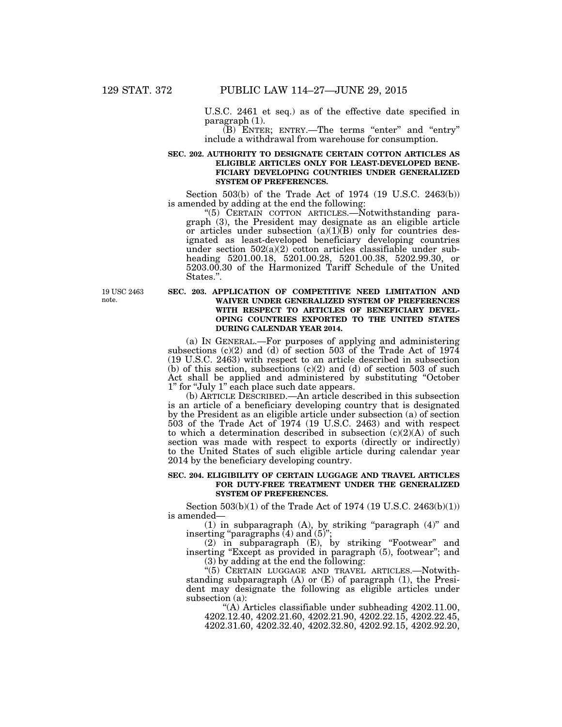U.S.C. 2461 et seq.) as of the effective date specified in paragraph (1).

 $(B)$  ENTER; ENTRY.—The terms "enter" and "entry" include a withdrawal from warehouse for consumption.

#### **SEC. 202. AUTHORITY TO DESIGNATE CERTAIN COTTON ARTICLES AS ELIGIBLE ARTICLES ONLY FOR LEAST-DEVELOPED BENE-FICIARY DEVELOPING COUNTRIES UNDER GENERALIZED SYSTEM OF PREFERENCES.**

Section 503(b) of the Trade Act of 1974 (19 U.S.C. 2463(b)) is amended by adding at the end the following:

"(5) CERTAIN COTTON ARTICLES.—Notwithstanding paragraph (3), the President may designate as an eligible article or articles under subsection  $(a)(1)(B)$  only for countries designated as least-developed beneficiary developing countries under section  $502(a)(2)$  cotton articles classifiable under subheading 5201.00.18, 5201.00.28, 5201.00.38, 5202.99.30, or 5203.00.30 of the Harmonized Tariff Schedule of the United States.''.

19 USC 2463 note.

#### **SEC. 203. APPLICATION OF COMPETITIVE NEED LIMITATION AND WAIVER UNDER GENERALIZED SYSTEM OF PREFERENCES WITH RESPECT TO ARTICLES OF BENEFICIARY DEVEL-OPING COUNTRIES EXPORTED TO THE UNITED STATES DURING CALENDAR YEAR 2014.**

(a) IN GENERAL.—For purposes of applying and administering subsections  $(c)(2)$  and  $(d)$  of section 503 of the Trade Act of 1974 (19 U.S.C. 2463) with respect to an article described in subsection (b) of this section, subsections  $(c)(2)$  and  $(d)$  of section 503 of such Act shall be applied and administered by substituting ''October 1'' for ''July 1'' each place such date appears.

(b) ARTICLE DESCRIBED.—An article described in this subsection is an article of a beneficiary developing country that is designated by the President as an eligible article under subsection (a) of section 503 of the Trade Act of 1974 (19 U.S.C. 2463) and with respect to which a determination described in subsection  $(c)(2)(A)$  of such section was made with respect to exports (directly or indirectly) to the United States of such eligible article during calendar year 2014 by the beneficiary developing country.

#### **SEC. 204. ELIGIBILITY OF CERTAIN LUGGAGE AND TRAVEL ARTICLES FOR DUTY-FREE TREATMENT UNDER THE GENERALIZED SYSTEM OF PREFERENCES.**

Section 503(b)(1) of the Trade Act of 1974 (19 U.S.C. 2463(b)(1)) is amended—

 $(1)$  in subparagraph  $(A)$ , by striking "paragraph  $(4)$ " and inserting "paragraphs (4) and (5)";

(2) in subparagraph (E), by striking ''Footwear'' and inserting ''Except as provided in paragraph (5), footwear''; and (3) by adding at the end the following:

''(5) CERTAIN LUGGAGE AND TRAVEL ARTICLES.—Notwithstanding subparagraph (A) or (E) of paragraph (1), the President may designate the following as eligible articles under subsection (a):

''(A) Articles classifiable under subheading 4202.11.00, 4202.12.40, 4202.21.60, 4202.21.90, 4202.22.15, 4202.22.45, 4202.31.60, 4202.32.40, 4202.32.80, 4202.92.15, 4202.92.20,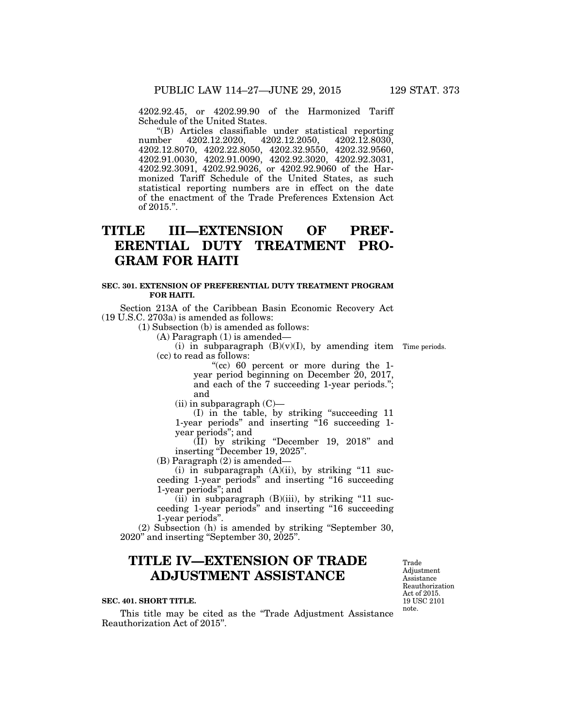4202.92.45, or 4202.99.90 of the Harmonized Tariff Schedule of the United States.

''(B) Articles classifiable under statistical reporting number 4202.12.2020, 4202.12.2050, 4202.12.8030, 4202.12.8070, 4202.22.8050, 4202.32.9550, 4202.32.9560, 4202.91.0030, 4202.91.0090, 4202.92.3020, 4202.92.3031, 4202.92.3091, 4202.92.9026, or 4202.92.9060 of the Harmonized Tariff Schedule of the United States, as such statistical reporting numbers are in effect on the date of the enactment of the Trade Preferences Extension Act of 2015.''.

# **TITLE III—EXTENSION OF PREF-ERENTIAL DUTY TREATMENT PRO-GRAM FOR HAITI**

#### **SEC. 301. EXTENSION OF PREFERENTIAL DUTY TREATMENT PROGRAM FOR HAITI.**

Section 213A of the Caribbean Basin Economic Recovery Act (19 U.S.C. 2703a) is amended as follows:

(1) Subsection (b) is amended as follows:

(A) Paragraph (1) is amended—

(i) in subparagraph  $(B)(v)(I)$ , by amending item Time periods. (cc) to read as follows:

''(cc) 60 percent or more during the 1 year period beginning on December 20, 2017, and each of the 7 succeeding 1-year periods.''; and

 $(ii)$  in subparagraph  $(C)$ —

(I) in the table, by striking ''succeeding 11 1-year periods" and inserting "16 succeeding 1year periods''; and

(II) by striking ''December 19, 2018'' and inserting ''December 19, 2025''.

(B) Paragraph (2) is amended—

 $(i)$  in subparagraph  $(A)(ii)$ , by striking "11 succeeding 1-year periods'' and inserting ''16 succeeding 1-year periods''; and

 $(ii)$  in subparagraph  $(B)(iii)$ , by striking "11 succeeding 1-year periods'' and inserting ''16 succeeding 1-year periods''.

(2) Subsection (h) is amended by striking ''September 30, 2020'' and inserting ''September 30, 2025''.

# **TITLE IV—EXTENSION OF TRADE ADJUSTMENT ASSISTANCE**

#### **SEC. 401. SHORT TITLE.**

This title may be cited as the ''Trade Adjustment Assistance Reauthorization Act of 2015''.

19 USC 2101 note. Trade Adjustment Assistance Reauthorization Act of 2015.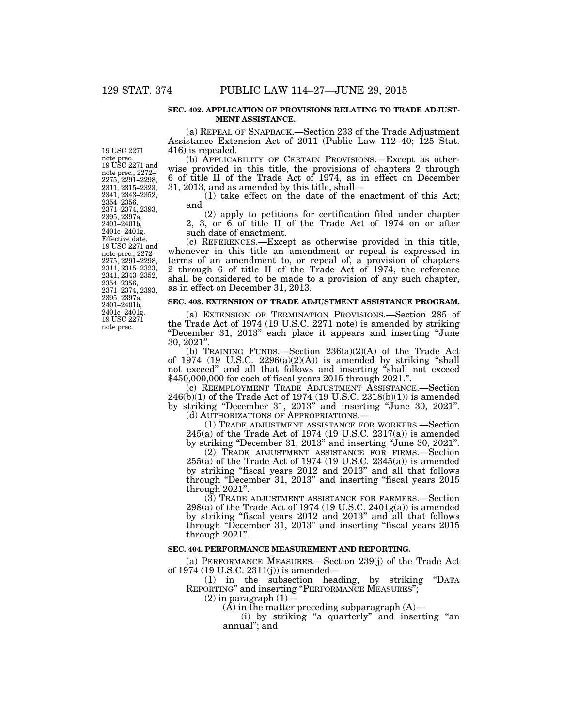#### **SEC. 402. APPLICATION OF PROVISIONS RELATING TO TRADE ADJUST-MENT ASSISTANCE.**

(a) REPEAL OF SNAPBACK.—Section 233 of the Trade Adjustment Assistance Extension Act of 2011 (Public Law 112–40; 125 Stat. 416) is repealed.

(b) APPLICABILITY OF CERTAIN PROVISIONS.—Except as otherwise provided in this title, the provisions of chapters 2 through 6 of title II of the Trade Act of 1974, as in effect on December 31, 2013, and as amended by this title, shall—

(1) take effect on the date of the enactment of this Act; and

(2) apply to petitions for certification filed under chapter 2, 3, or 6 of title II of the Trade Act of 1974 on or after such date of enactment.

(c) REFERENCES.—Except as otherwise provided in this title, whenever in this title an amendment or repeal is expressed in terms of an amendment to, or repeal of, a provision of chapters 2 through 6 of title II of the Trade Act of 1974, the reference shall be considered to be made to a provision of any such chapter, as in effect on December 31, 2013.

#### **SEC. 403. EXTENSION OF TRADE ADJUSTMENT ASSISTANCE PROGRAM.**

(a) EXTENSION OF TERMINATION PROVISIONS.—Section 285 of the Trade Act of 1974 (19 U.S.C. 2271 note) is amended by striking ''December 31, 2013'' each place it appears and inserting ''June 30, 2021''.

(b) TRAINING FUNDS.—Section 236(a)(2)(A) of the Trade Act of 1974 (19 U.S.C.  $2296(a)(2)(A)$ ) is amended by striking "shall not exceed'' and all that follows and inserting ''shall not exceed \$450,000,000 for each of fiscal years 2015 through 2021.''.

(c) REEMPLOYMENT TRADE ADJUSTMENT ASSISTANCE.—Section 246(b)(1) of the Trade Act of 1974 (19 U.S.C. 2318(b)(1)) is amended by striking "December 31, 2013" and inserting "June 30, 2021".<br>(d) AUTHORIZATIONS OF APPROPRIATIONS.—

(1) TRADE ADJUSTMENT ASSISTANCE FOR WORKERS.—Section 245(a) of the Trade Act of 1974 (19 U.S.C. 2317(a)) is amended by striking ''December 31, 2013'' and inserting ''June 30, 2021''.

(2) TRADE ADJUSTMENT ASSISTANCE FOR FIRMS.—Section 255(a) of the Trade Act of 1974 (19 U.S.C. 2345(a)) is amended by striking ''fiscal years 2012 and 2013'' and all that follows through ''December 31, 2013'' and inserting ''fiscal years 2015 through 2021''.

(3) TRADE ADJUSTMENT ASSISTANCE FOR FARMERS.—Section  $298(a)$  of the Trade Act of 1974 (19 U.S.C. 2401 $g(a)$ ) is amended by striking ''fiscal years 2012 and 2013'' and all that follows through "December 31, 2013" and inserting "fiscal years 2015 through 2021''.

#### **SEC. 404. PERFORMANCE MEASUREMENT AND REPORTING.**

(a) PERFORMANCE MEASURES.—Section 239(j) of the Trade Act of 1974 (19 U.S.C. 2311(j)) is amended—

(1) in the subsection heading, by striking ''DATA REPORTING'' and inserting ''PERFORMANCE MEASURES'';

 $(2)$  in paragraph  $(1)$ –

 $(A)$  in the matter preceding subparagraph  $(A)$ —

(i) by striking ''a quarterly'' and inserting ''an annual''; and

19 USC 2271 note prec. 19 USC 2271 and note prec., 2272– 2275, 2291–2298, 2311, 2315–2323, 2341, 2343–2352, 2354–2356, 2371–2374, 2393, 2395, 2397a, 2401–2401b, 2401e–2401g. Effective date. 19 USC 2271 and note prec., 2272– 2275, 2291–2298, 2311, 2315–2323, 2341, 2343–2352, 2354–2356, 2371–2374, 2393, 2395, 2397a, 2401–2401b, 2401e–2401g. 19 USC 2271 note prec.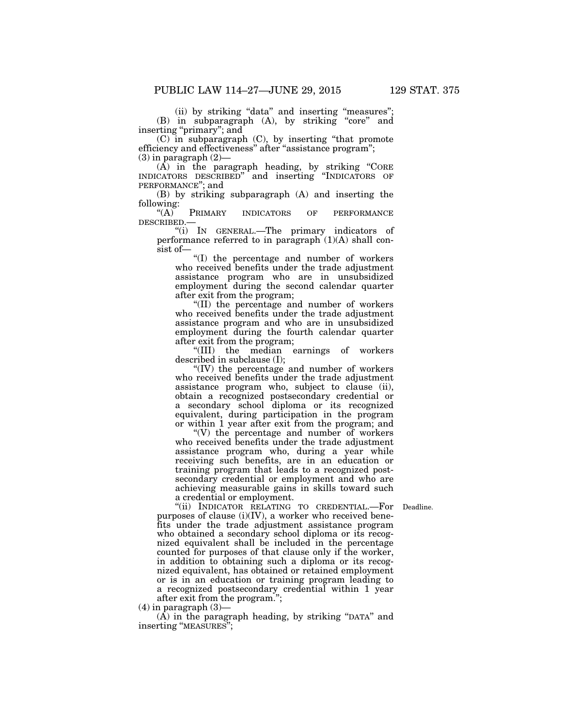(ii) by striking ''data'' and inserting ''measures''; (B) in subparagraph (A), by striking "core" and inserting "primary"; and

(C) in subparagraph (C), by inserting ''that promote efficiency and effectiveness'' after ''assistance program'';  $(3)$  in paragraph  $(2)$ —

(A) in the paragraph heading, by striking ''CORE INDICATORS DESCRIBED'' and inserting ''INDICATORS OF PERFORMANCE''; and

(B) by striking subparagraph (A) and inserting the following:<br> $\binom{4}{A}$ 

PRIMARY INDICATORS OF PERFORMANCE DESCRIBED.—

''(i) IN GENERAL.—The primary indicators of performance referred to in paragraph  $(1)(A)$  shall consist of—

''(I) the percentage and number of workers who received benefits under the trade adjustment assistance program who are in unsubsidized employment during the second calendar quarter after exit from the program;

''(II) the percentage and number of workers who received benefits under the trade adjustment assistance program and who are in unsubsidized employment during the fourth calendar quarter after exit from the program;

''(III) the median earnings of workers described in subclause (I);

"(IV) the percentage and number of workers who received benefits under the trade adjustment assistance program who, subject to clause (ii), obtain a recognized postsecondary credential or a secondary school diploma or its recognized equivalent, during participation in the program or within 1 year after exit from the program; and

 $\degree$ (V) the percentage and number of workers who received benefits under the trade adjustment assistance program who, during a year while receiving such benefits, are in an education or training program that leads to a recognized postsecondary credential or employment and who are achieving measurable gains in skills toward such a credential or employment.

"(ii) INDICATOR RELATING TO CREDENTIAL.—For Deadline. purposes of clause  $(i)(IV)$ , a worker who received benefits under the trade adjustment assistance program who obtained a secondary school diploma or its recognized equivalent shall be included in the percentage counted for purposes of that clause only if the worker, in addition to obtaining such a diploma or its recognized equivalent, has obtained or retained employment or is in an education or training program leading to a recognized postsecondary credential within 1 year after exit from the program."

 $(4)$  in paragraph  $(3)$ —

 $(A)$  in the paragraph heading, by striking "DATA" and inserting ''MEASURES'';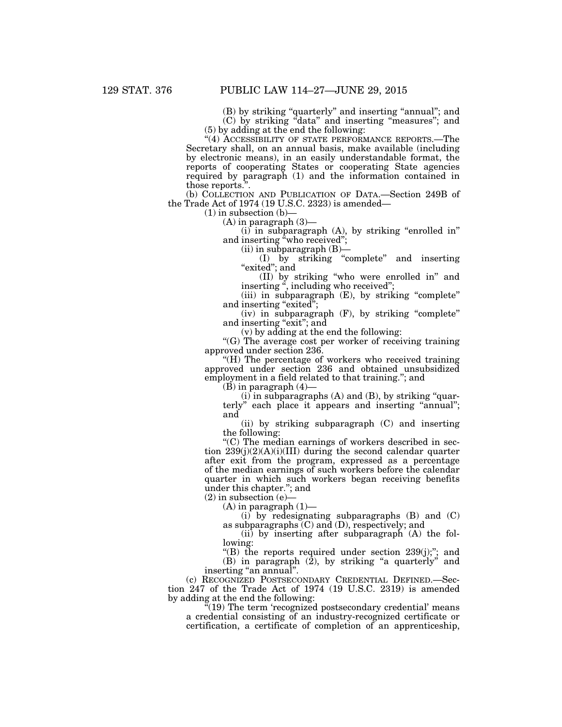(B) by striking "quarterly" and inserting "annual"; and (C) by striking ''data'' and inserting ''measures''; and (5) by adding at the end the following:

"(4) ACCESSIBILITY OF STATE PERFORMANCE REPORTS.—The Secretary shall, on an annual basis, make available (including by electronic means), in an easily understandable format, the reports of cooperating States or cooperating State agencies required by paragraph (1) and the information contained in those reports.''.

(b) COLLECTION AND PUBLICATION OF DATA.—Section 249B of the Trade Act of 1974 (19 U.S.C. 2323) is amended—

 $(1)$  in subsection  $(b)$ 

 $(A)$  in paragraph  $(3)$ —

 $(i)$  in subparagraph  $(A)$ , by striking "enrolled in" and inserting "who received";

 $(ii)$  in subparagraph  $(B)$ —

(I) by striking ''complete'' and inserting "exited"; and

(II) by striking ''who were enrolled in'' and inserting '', including who received'';

(iii) in subparagraph (E), by striking "complete" and inserting "exited";

(iv) in subparagraph (F), by striking ''complete'' and inserting "exit"; and

(v) by adding at the end the following:

"(G) The average cost per worker of receiving training approved under section 236.

''(H) The percentage of workers who received training approved under section 236 and obtained unsubsidized employment in a field related to that training.''; and

 $(B)$  in paragraph  $(4)$ —

 $(i)$  in subparagraphs  $(A)$  and  $(B)$ , by striking "quarterly" each place it appears and inserting "annual"; and

(ii) by striking subparagraph (C) and inserting the following:

''(C) The median earnings of workers described in section 239(j)(2)(A)(i)(III) during the second calendar quarter after exit from the program, expressed as a percentage of the median earnings of such workers before the calendar quarter in which such workers began receiving benefits under this chapter.''; and

 $(2)$  in subsection  $(e)$ 

 $(A)$  in paragraph  $(1)$ —

 $(i)$  by redesignating subparagraphs  $(B)$  and  $(C)$ as subparagraphs (C) and (D), respectively; and

(ii) by inserting after subparagraph (A) the following:

"(B) the reports required under section 239(j);"; and (B) in paragraph (2), by striking ''a quarterly'' and inserting "an annual".

(c) RECOGNIZED POSTSECONDARY CREDENTIAL DEFINED.—Section 247 of the Trade Act of 1974 (19 U.S.C. 2319) is amended by adding at the end the following:

"(19) The term 'recognized postsecondary credential' means a credential consisting of an industry-recognized certificate or certification, a certificate of completion of an apprenticeship,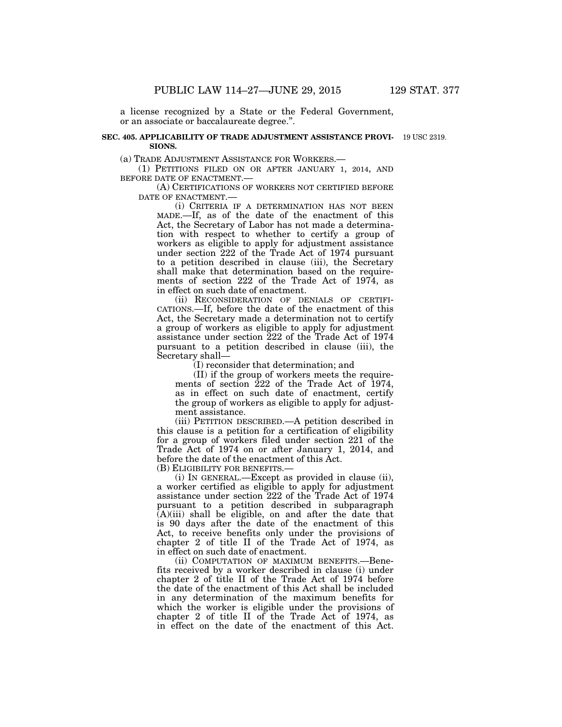a license recognized by a State or the Federal Government, or an associate or baccalaureate degree.''.

#### **SEC. 405. APPLICABILITY OF TRADE ADJUSTMENT ASSISTANCE PROVI-**19 USC 2319. **SIONS.**

(a) TRADE ADJUSTMENT ASSISTANCE FOR WORKERS.—

(1) PETITIONS FILED ON OR AFTER JANUARY 1, 2014, AND BEFORE DATE OF ENACTMENT.—

(A) CERTIFICATIONS OF WORKERS NOT CERTIFIED BEFORE DATE OF ENACTMENT.—

(i) CRITERIA IF A DETERMINATION HAS NOT BEEN MADE.—If, as of the date of the enactment of this Act, the Secretary of Labor has not made a determination with respect to whether to certify a group of workers as eligible to apply for adjustment assistance under section 222 of the Trade Act of 1974 pursuant to a petition described in clause (iii), the Secretary shall make that determination based on the requirements of section 222 of the Trade Act of 1974, as in effect on such date of enactment.

(ii) RECONSIDERATION OF DENIALS OF CERTIFI-CATIONS.—If, before the date of the enactment of this Act, the Secretary made a determination not to certify a group of workers as eligible to apply for adjustment assistance under section 222 of the Trade Act of 1974 pursuant to a petition described in clause (iii), the Secretary shall—

(I) reconsider that determination; and

(II) if the group of workers meets the requirements of section 222 of the Trade Act of 1974, as in effect on such date of enactment, certify the group of workers as eligible to apply for adjustment assistance.

(iii) PETITION DESCRIBED.—A petition described in this clause is a petition for a certification of eligibility for a group of workers filed under section 221 of the Trade Act of 1974 on or after January 1, 2014, and before the date of the enactment of this Act.

(B) ELIGIBILITY FOR BENEFITS.—

(i) IN GENERAL.—Except as provided in clause (ii), a worker certified as eligible to apply for adjustment assistance under section 222 of the Trade Act of 1974 pursuant to a petition described in subparagraph  $(A)(iii)$  shall be eligible, on and after the date that is 90 days after the date of the enactment of this Act, to receive benefits only under the provisions of chapter 2 of title II of the Trade Act of 1974, as in effect on such date of enactment.

(ii) COMPUTATION OF MAXIMUM BENEFITS.—Benefits received by a worker described in clause (i) under chapter 2 of title II of the Trade Act of 1974 before the date of the enactment of this Act shall be included in any determination of the maximum benefits for which the worker is eligible under the provisions of chapter 2 of title II of the Trade Act of 1974, as in effect on the date of the enactment of this Act.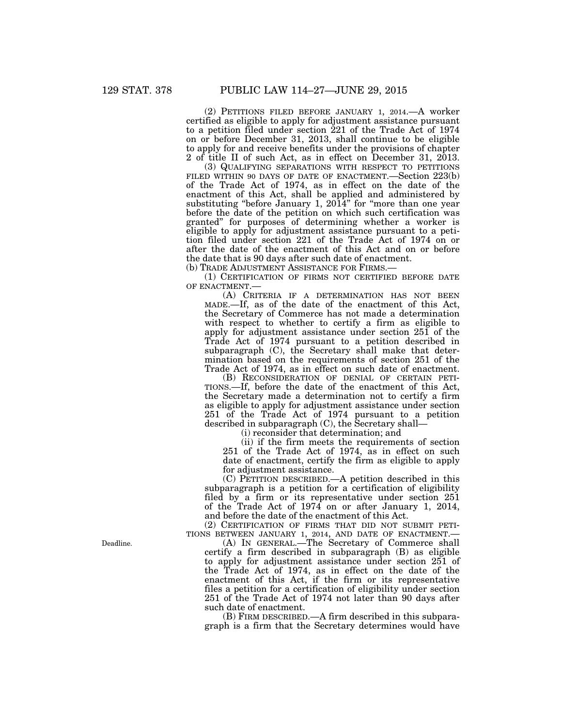(2) PETITIONS FILED BEFORE JANUARY 1, 2014.—A worker certified as eligible to apply for adjustment assistance pursuant to a petition filed under section 221 of the Trade Act of 1974 on or before December 31, 2013, shall continue to be eligible to apply for and receive benefits under the provisions of chapter 2 of title II of such Act, as in effect on December 31, 2013.

(3) QUALIFYING SEPARATIONS WITH RESPECT TO PETITIONS FILED WITHIN 90 DAYS OF DATE OF ENACTMENT.—Section 223(b) of the Trade Act of 1974, as in effect on the date of the enactment of this Act, shall be applied and administered by substituting "before January 1, 2014" for "more than one year before the date of the petition on which such certification was granted'' for purposes of determining whether a worker is eligible to apply for adjustment assistance pursuant to a petition filed under section 221 of the Trade Act of 1974 on or after the date of the enactment of this Act and on or before the date that is 90 days after such date of enactment. (b) TRADE ADJUSTMENT ASSISTANCE FOR FIRMS.—

(1) CERTIFICATION OF FIRMS NOT CERTIFIED BEFORE DATE OF ENACTMENT.—

(A) CRITERIA IF A DETERMINATION HAS NOT BEEN MADE.—If, as of the date of the enactment of this Act, the Secretary of Commerce has not made a determination with respect to whether to certify a firm as eligible to apply for adjustment assistance under section 251 of the Trade Act of 1974 pursuant to a petition described in subparagraph (C), the Secretary shall make that determination based on the requirements of section 251 of the Trade Act of 1974, as in effect on such date of enactment.

(B) RECONSIDERATION OF DENIAL OF CERTAIN PETI-TIONS.—If, before the date of the enactment of this Act, the Secretary made a determination not to certify a firm as eligible to apply for adjustment assistance under section 251 of the Trade Act of 1974 pursuant to a petition described in subparagraph (C), the Secretary shall—

(i) reconsider that determination; and

(ii) if the firm meets the requirements of section 251 of the Trade Act of 1974, as in effect on such date of enactment, certify the firm as eligible to apply for adjustment assistance.

(C) PETITION DESCRIBED.—A petition described in this subparagraph is a petition for a certification of eligibility filed by a firm or its representative under section 251 of the Trade Act of 1974 on or after January 1, 2014, and before the date of the enactment of this Act.

(2) CERTIFICATION OF FIRMS THAT DID NOT SUBMIT PETI-TIONS BETWEEN JANUARY 1, 2014, AND DATE OF ENACTMENT.—

(A) IN GENERAL.—The Secretary of Commerce shall certify a firm described in subparagraph (B) as eligible to apply for adjustment assistance under section 251 of the Trade Act of 1974, as in effect on the date of the enactment of this Act, if the firm or its representative files a petition for a certification of eligibility under section 251 of the Trade Act of 1974 not later than 90 days after such date of enactment.

(B) FIRM DESCRIBED.—A firm described in this subparagraph is a firm that the Secretary determines would have

Deadline.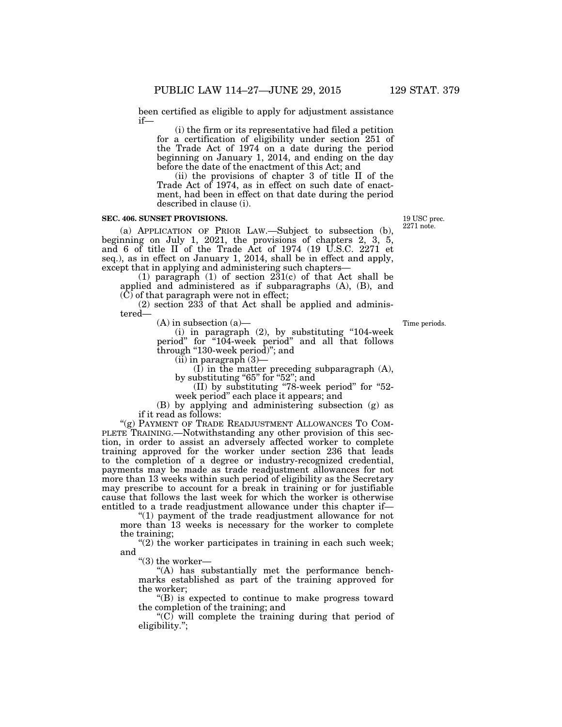been certified as eligible to apply for adjustment assistance if—

(i) the firm or its representative had filed a petition for a certification of eligibility under section 251 of the Trade Act of 1974 on a date during the period beginning on January 1, 2014, and ending on the day before the date of the enactment of this Act; and

(ii) the provisions of chapter 3 of title II of the Trade Act of 1974, as in effect on such date of enactment, had been in effect on that date during the period described in clause (i).

#### **SEC. 406. SUNSET PROVISIONS.**

(a) APPLICATION OF PRIOR LAW.—Subject to subsection (b), beginning on July 1, 2021, the provisions of chapters 2, 3, 5, and 6 of title II of the Trade Act of 1974 (19 U.S.C. 2271 et seq.), as in effect on January 1, 2014, shall be in effect and apply, except that in applying and administering such chapters—

(1) paragraph (1) of section  $231(c)$  of that Act shall be applied and administered as if subparagraphs (A), (B), and (C) of that paragraph were not in effect;

(2) section 233 of that Act shall be applied and administered—

(A) in subsection (a)—

(i) in paragraph (2), by substituting ''104-week period" for "104-week period" and all that follows through "130-week period)"; and

 $(ii)$  in paragraph  $(3)$ —

(I) in the matter preceding subparagraph (A), by substituting "65" for "52"; and

(II) by substituting ''78-week period'' for ''52 week period'' each place it appears; and

(B) by applying and administering subsection (g) as if it read as follows:

"(g) PAYMENT OF TRADE READJUSTMENT ALLOWANCES TO COM-PLETE TRAINING.—Notwithstanding any other provision of this section, in order to assist an adversely affected worker to complete training approved for the worker under section 236 that leads to the completion of a degree or industry-recognized credential, payments may be made as trade readjustment allowances for not more than 13 weeks within such period of eligibility as the Secretary may prescribe to account for a break in training or for justifiable cause that follows the last week for which the worker is otherwise entitled to a trade readjustment allowance under this chapter if—

''(1) payment of the trade readjustment allowance for not more than 13 weeks is necessary for the worker to complete the training;

 $(2)$  the worker participates in training in each such week; and

"(3) the worker-

''(A) has substantially met the performance benchmarks established as part of the training approved for the worker;

''(B) is expected to continue to make progress toward the completion of the training; and

" $(C)$  will complete the training during that period of eligibility.'';

Time periods.

19 USC prec. 2271 note.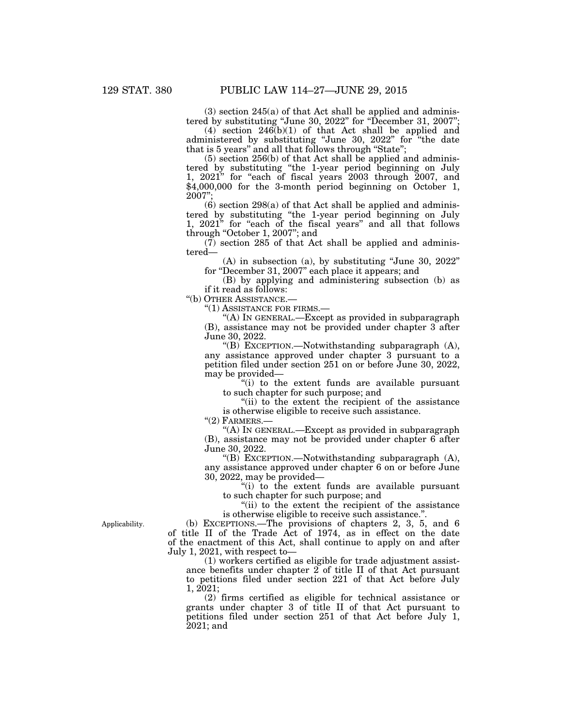(3) section 245(a) of that Act shall be applied and administered by substituting "June 30, 2022" for "December 31, 2007";

 $(4)$  section 246(b)(1) of that Act shall be applied and administered by substituting "June 30, 2022" for "the date that is 5 years" and all that follows through "State";

(5) section 256(b) of that Act shall be applied and administered by substituting ''the 1-year period beginning on July 1, 2021" for "each of fiscal years 2003 through 2007, and  $\frac{$4,000,000}{4}$  for the 3-month period beginning on October 1, 2007'';

 $(6)$  section 298 $(a)$  of that Act shall be applied and administered by substituting ''the 1-year period beginning on July 1, 2021" for "each of the fiscal years" and all that follows through "October 1, 2007"; and

 $(7)$  section 285 of that Act shall be applied and administered—

(A) in subsection (a), by substituting ''June 30, 2022'' for ''December 31, 2007'' each place it appears; and

(B) by applying and administering subsection (b) as if it read as follows:

''(b) OTHER ASSISTANCE.—

''(1) ASSISTANCE FOR FIRMS.—

''(A) IN GENERAL.—Except as provided in subparagraph (B), assistance may not be provided under chapter 3 after June 30, 2022.

''(B) EXCEPTION.—Notwithstanding subparagraph (A), any assistance approved under chapter 3 pursuant to a petition filed under section 251 on or before June 30, 2022, may be provided—

''(i) to the extent funds are available pursuant to such chapter for such purpose; and

"(ii) to the extent the recipient of the assistance" is otherwise eligible to receive such assistance.

''(2) FARMERS.—

"(A) IN GENERAL.—Except as provided in subparagraph (B), assistance may not be provided under chapter 6 after June 30, 2022.

''(B) EXCEPTION.—Notwithstanding subparagraph (A), any assistance approved under chapter 6 on or before June 30, 2022, may be provided—

''(i) to the extent funds are available pursuant to such chapter for such purpose; and

"(ii) to the extent the recipient of the assistance" is otherwise eligible to receive such assistance.''.

(b) EXCEPTIONS.—The provisions of chapters 2, 3, 5, and 6 of title II of the Trade Act of 1974, as in effect on the date of the enactment of this Act, shall continue to apply on and after July 1, 2021, with respect to—

(1) workers certified as eligible for trade adjustment assistance benefits under chapter 2 of title II of that Act pursuant to petitions filed under section 221 of that Act before July 1, 2021;

(2) firms certified as eligible for technical assistance or grants under chapter 3 of title II of that Act pursuant to petitions filed under section 251 of that Act before July 1, 2021; and

Applicability.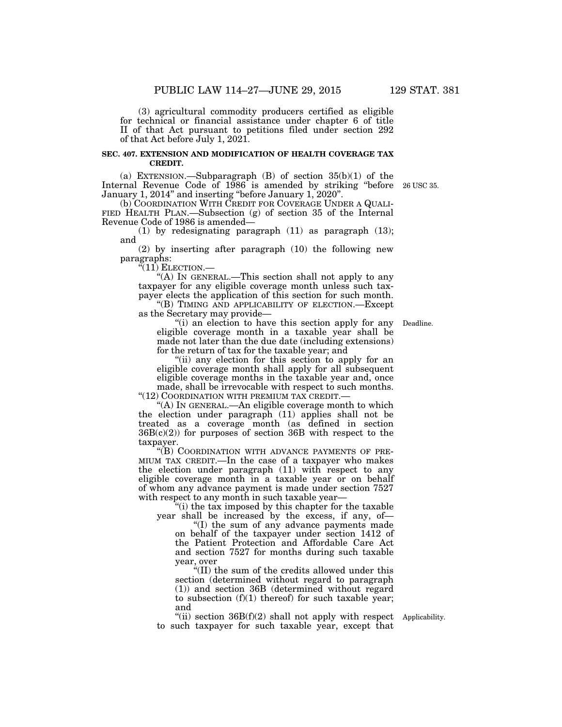(3) agricultural commodity producers certified as eligible for technical or financial assistance under chapter 6 of title II of that Act pursuant to petitions filed under section 292 of that Act before July 1, 2021.

#### **SEC. 407. EXTENSION AND MODIFICATION OF HEALTH COVERAGE TAX CREDIT.**

(a) EXTENSION.—Subparagraph  $(B)$  of section  $35(b)(1)$  of the Internal Revenue Code of 1986 is amended by striking "before 26 USC 35. January 1, 2014'' and inserting ''before January 1, 2020''.

(b) COORDINATION WITH CREDIT FOR COVERAGE UNDER A QUALI- FIED HEALTH PLAN.—Subsection (g) of section 35 of the Internal Revenue Code of 1986 is amended—

(1) by redesignating paragraph (11) as paragraph (13); and

(2) by inserting after paragraph (10) the following new paragraphs:

 $\sqrt[G(11)]$  Election.—

''(A) IN GENERAL.—This section shall not apply to any taxpayer for any eligible coverage month unless such taxpayer elects the application of this section for such month.

"(B) TIMING AND APPLICABILITY OF ELECTION.—Except as the Secretary may provide—

"(i) an election to have this section apply for any Deadline. eligible coverage month in a taxable year shall be made not later than the due date (including extensions) for the return of tax for the taxable year; and

''(ii) any election for this section to apply for an eligible coverage month shall apply for all subsequent eligible coverage months in the taxable year and, once made, shall be irrevocable with respect to such months. "(12) COORDINATION WITH PREMIUM TAX CREDIT.-

''(A) IN GENERAL.—An eligible coverage month to which the election under paragraph (11) applies shall not be treated as a coverage month (as defined in section  $36B(c)(2)$  for purposes of section 36B with respect to the taxpayer.

''(B) COORDINATION WITH ADVANCE PAYMENTS OF PRE-MIUM TAX CREDIT.—In the case of a taxpayer who makes the election under paragraph (11) with respect to any eligible coverage month in a taxable year or on behalf of whom any advance payment is made under section 7527 with respect to any month in such taxable year—

''(i) the tax imposed by this chapter for the taxable year shall be increased by the excess, if any, of—

''(I) the sum of any advance payments made on behalf of the taxpayer under section 1412 of the Patient Protection and Affordable Care Act and section 7527 for months during such taxable year, over

''(II) the sum of the credits allowed under this section (determined without regard to paragraph (1)) and section 36B (determined without regard to subsection  $(f)(1)$  thereof) for such taxable year; and

"(ii) section  $36B(f)(2)$  shall not apply with respect Applicability. to such taxpayer for such taxable year, except that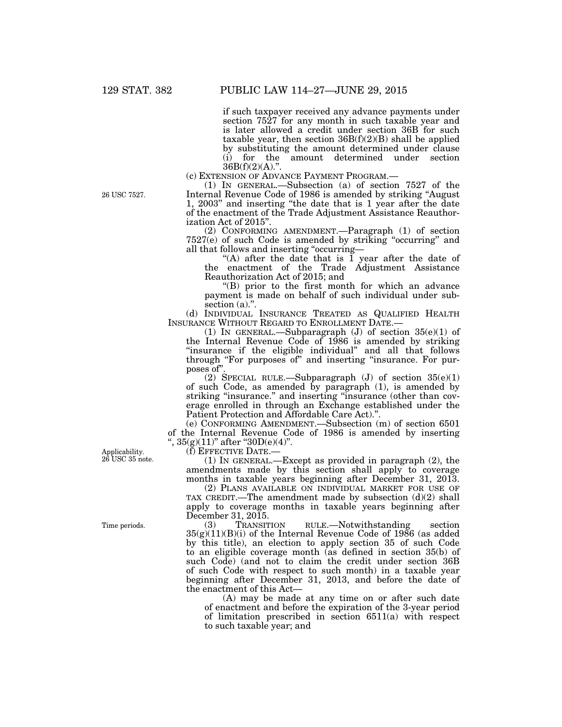if such taxpayer received any advance payments under section 7527 for any month in such taxable year and is later allowed a credit under section 36B for such taxable year, then section  $36B(f)(2)(B)$  shall be applied by substituting the amount determined under clause (i) for the amount determined under section

 $36B(f)(2)(A)$ .".<br>(c) Extension of Advance Payment Program.—

(1) IN GENERAL.—Subsection (a) of section  $7527$  of the Internal Revenue Code of 1986 is amended by striking ''August 1, 2003'' and inserting ''the date that is 1 year after the date of the enactment of the Trade Adjustment Assistance Reauthorization Act of 2015''.

(2) CONFORMING AMENDMENT.—Paragraph (1) of section 7527(e) of such Code is amended by striking ''occurring'' and all that follows and inserting ''occurring—

"(A) after the date that is  $\overline{1}$  year after the date of the enactment of the Trade Adjustment Assistance Reauthorization Act of 2015; and

''(B) prior to the first month for which an advance payment is made on behalf of such individual under subsection (a).".

(d) INDIVIDUAL INSURANCE TREATED AS QUALIFIED HEALTH INSURANCE WITHOUT REGARD TO ENROLLMENT DATE.—

(1) IN GENERAL.—Subparagraph (J) of section 35(e)(1) of the Internal Revenue Code of 1986 is amended by striking "insurance if the eligible individual" and all that follows through "For purposes of" and inserting "insurance. For purposes of''.

(2) SPECIAL RULE.—Subparagraph (J) of section 35(e)(1) of such Code, as amended by paragraph (1), is amended by striking "insurance." and inserting "insurance (other than coverage enrolled in through an Exchange established under the Patient Protection and Affordable Care Act).''.

(e) CONFORMING AMENDMENT.—Subsection (m) of section 6501 of the Internal Revenue Code of 1986 is amended by inserting  $\frac{1}{2}$ , 35(g)(11)" after "30D(e)(4)".

(f) EFFECTIVE DATE.—

(1) IN GENERAL.—Except as provided in paragraph (2), the amendments made by this section shall apply to coverage months in taxable years beginning after December 31, 2013.

(2) PLANS AVAILABLE ON INDIVIDUAL MARKET FOR USE OF TAX CREDIT.—The amendment made by subsection (d)(2) shall apply to coverage months in taxable years beginning after December 31, 2015.

(3) TRANSITION RULE.—Notwithstanding section 35(g)(11)(B)(i) of the Internal Revenue Code of 1986 (as added by this title), an election to apply section 35 of such Code to an eligible coverage month (as defined in section 35(b) of such Code) (and not to claim the credit under section 36B of such Code with respect to such month) in a taxable year beginning after December 31, 2013, and before the date of the enactment of this Act—

(A) may be made at any time on or after such date of enactment and before the expiration of the 3-year period of limitation prescribed in section 6511(a) with respect to such taxable year; and

Applicability. 26 USC 35 note.

Time periods.

26 USC 7527.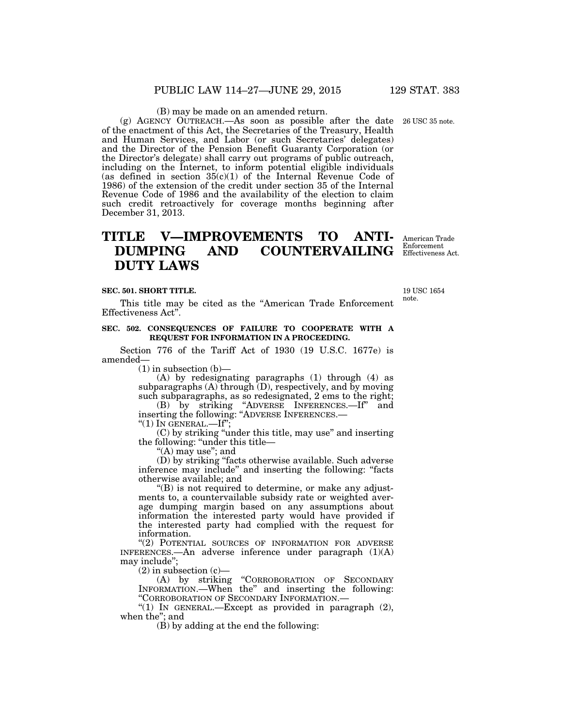(B) may be made on an amended return.

(g) AGENCY OUTREACH.—As soon as possible after the date 26 USC 35 note. of the enactment of this Act, the Secretaries of the Treasury, Health and Human Services, and Labor (or such Secretaries' delegates) and the Director of the Pension Benefit Guaranty Corporation (or the Director's delegate) shall carry out programs of public outreach, including on the Internet, to inform potential eligible individuals (as defined in section  $35(c)(1)$  of the Internal Revenue Code of 1986) of the extension of the credit under section 35 of the Internal Revenue Code of 1986 and the availability of the election to claim such credit retroactively for coverage months beginning after December 31, 2013.

# **TITLE V—IMPROVEMENTS TO ANTI-DUMPING AND COUNTERVAILING DUTY LAWS**

**SEC. 501. SHORT TITLE.** 

This title may be cited as the ''American Trade Enforcement Effectiveness Act''.

#### **SEC. 502. CONSEQUENCES OF FAILURE TO COOPERATE WITH A REQUEST FOR INFORMATION IN A PROCEEDING.**

Section 776 of the Tariff Act of 1930 (19 U.S.C. 1677e) is amended—

(1) in subsection (b)—

(A) by redesignating paragraphs (1) through (4) as subparagraphs  $(A)$  through  $(D)$ , respectively, and by moving such subparagraphs, as so redesignated, 2 ems to the right;

(B) by striking ''ADVERSE INFERENCES.—If'' and inserting the following: ''ADVERSE INFERENCES.—

" $(1)$  In GENERAL.—If";

(C) by striking ''under this title, may use'' and inserting the following: "under this title—

''(A) may use''; and

(D) by striking ''facts otherwise available. Such adverse inference may include'' and inserting the following: ''facts otherwise available; and

''(B) is not required to determine, or make any adjustments to, a countervailable subsidy rate or weighted average dumping margin based on any assumptions about information the interested party would have provided if the interested party had complied with the request for information.

''(2) POTENTIAL SOURCES OF INFORMATION FOR ADVERSE INFERENCES.—An adverse inference under paragraph (1)(A) may include'';

 $(2)$  in subsection  $(c)$ —

(A) by striking ''CORROBORATION OF SECONDARY INFORMATION.—When the'' and inserting the following: ''CORROBORATION OF SECONDARY INFORMATION.—

"(1) IN GENERAL.—Except as provided in paragraph  $(2)$ , when the''; and

 $(\hat{B})$  by adding at the end the following:

American Trade Enforcement Effectiveness Act.

19 USC 1654 note.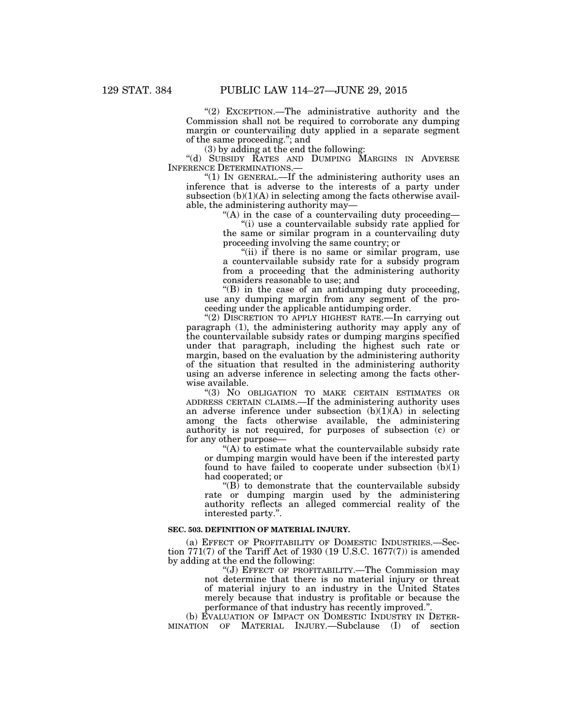"(2) EXCEPTION.—The administrative authority and the Commission shall not be required to corroborate any dumping margin or countervailing duty applied in a separate segment of the same proceeding.''; and

(3) by adding at the end the following:

''(d) SUBSIDY RATES AND DUMPING MARGINS IN ADVERSE INFERENCE DETERMINATIONS.—

''(1) IN GENERAL.—If the administering authority uses an inference that is adverse to the interests of a party under subsection  $(b)(1)(A)$  in selecting among the facts otherwise available, the administering authority may—

"(A) in the case of a countervailing duty proceeding-

''(i) use a countervailable subsidy rate applied for the same or similar program in a countervailing duty proceeding involving the same country; or

"(ii) if there is no same or similar program, use a countervailable subsidy rate for a subsidy program from a proceeding that the administering authority considers reasonable to use; and

''(B) in the case of an antidumping duty proceeding, use any dumping margin from any segment of the proceeding under the applicable antidumping order.

"(2) DISCRETION TO APPLY HIGHEST RATE.—In carrying out paragraph (1), the administering authority may apply any of the countervailable subsidy rates or dumping margins specified under that paragraph, including the highest such rate or margin, based on the evaluation by the administering authority of the situation that resulted in the administering authority using an adverse inference in selecting among the facts otherwise available.

''(3) NO OBLIGATION TO MAKE CERTAIN ESTIMATES OR ADDRESS CERTAIN CLAIMS.—If the administering authority uses an adverse inference under subsection  $(b)(1)(A)$  in selecting among the facts otherwise available, the administering authority is not required, for purposes of subsection (c) or for any other purpose—

''(A) to estimate what the countervailable subsidy rate or dumping margin would have been if the interested party found to have failed to cooperate under subsection  $(b)(1)$ had cooperated; or

 $\mathrm{``(B)}$  to demonstrate that the countervailable subsidy rate or dumping margin used by the administering authority reflects an alleged commercial reality of the interested party.''.

#### **SEC. 503. DEFINITION OF MATERIAL INJURY.**

(a) EFFECT OF PROFITABILITY OF DOMESTIC INDUSTRIES.—Section 771(7) of the Tariff Act of 1930 (19 U.S.C. 1677(7)) is amended by adding at the end the following:

''(J) EFFECT OF PROFITABILITY.—The Commission may not determine that there is no material injury or threat of material injury to an industry in the United States merely because that industry is profitable or because the performance of that industry has recently improved.''.

(b) EVALUATION OF IMPACT ON DOMESTIC INDUSTRY IN DETER-MINATION OF MATERIAL INJURY.—Subclause (I) of section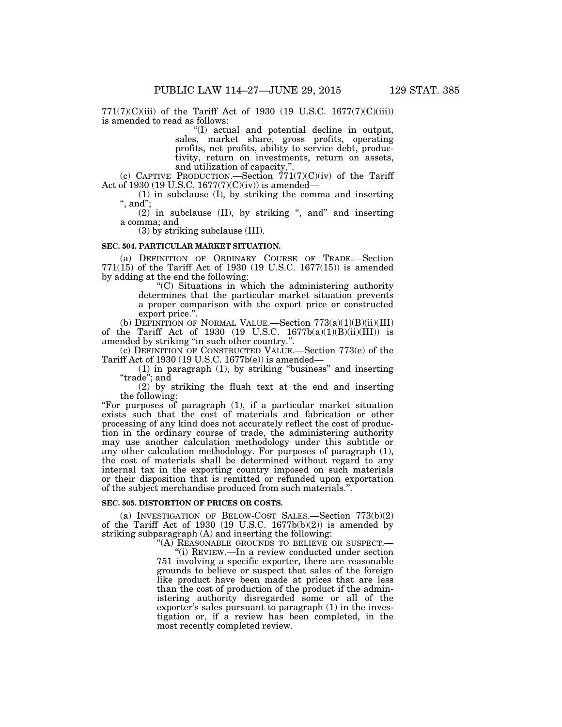771(7)(C)(iii) of the Tariff Act of 1930 (19 U.S.C. 1677(7)(C)(iii)) is amended to read as follows:

''(I) actual and potential decline in output, sales, market share, gross profits, operating profits, net profits, ability to service debt, productivity, return on investments, return on assets, and utilization of capacity,''.

(c) CAPTIVE PRODUCTION.—Section  $771(7)(C)(iv)$  of the Tariff Act of 1930 (19 U.S.C. 1677(7)(C)(iv)) is amended—

(1) in subclause (I), by striking the comma and inserting  $^{\mathsf{i}},$  and";

 $(2)$  in subclause (II), by striking ", and" and inserting a comma; and

(3) by striking subclause (III).

#### **SEC. 504. PARTICULAR MARKET SITUATION.**

(a) DEFINITION OF ORDINARY COURSE OF TRADE.—Section 771(15) of the Tariff Act of 1930 (19 U.S.C. 1677(15)) is amended by adding at the end the following:

''(C) Situations in which the administering authority determines that the particular market situation prevents a proper comparison with the export price or constructed export price."

(b) DEFINITION OF NORMAL VALUE.—Section  $773(a)(1)(B)(ii)(III)$ of the Tariff Act of 1930 (19 U.S.C.  $1677b(a)(1)(B)(ii)(III)$ ) is amended by striking ''in such other country.''.

(c) DEFINITION OF CONSTRUCTED VALUE.—Section 773(e) of the Tariff Act of 1930 (19 U.S.C. 1677b(e)) is amended—

(1) in paragraph (1), by striking ''business'' and inserting ''trade''; and

(2) by striking the flush text at the end and inserting the following:

''For purposes of paragraph (1), if a particular market situation exists such that the cost of materials and fabrication or other processing of any kind does not accurately reflect the cost of production in the ordinary course of trade, the administering authority may use another calculation methodology under this subtitle or any other calculation methodology. For purposes of paragraph (1), the cost of materials shall be determined without regard to any internal tax in the exporting country imposed on such materials or their disposition that is remitted or refunded upon exportation of the subject merchandise produced from such materials.''.

#### **SEC. 505. DISTORTION OF PRICES OR COSTS.**

(a) INVESTIGATION OF BELOW-COST SALES.—Section 773(b)(2) of the Tariff Act of 1930 (19 U.S.C. 1677b(b)(2)) is amended by striking subparagraph (A) and inserting the following:

''(A) REASONABLE GROUNDS TO BELIEVE OR SUSPECT.—

''(i) REVIEW.—In a review conducted under section 751 involving a specific exporter, there are reasonable grounds to believe or suspect that sales of the foreign like product have been made at prices that are less than the cost of production of the product if the administering authority disregarded some or all of the exporter's sales pursuant to paragraph (1) in the investigation or, if a review has been completed, in the most recently completed review.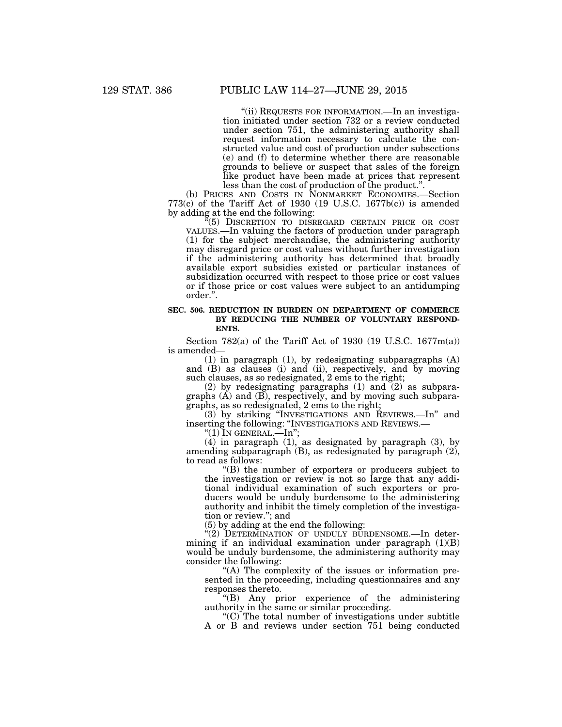''(ii) REQUESTS FOR INFORMATION.—In an investigation initiated under section 732 or a review conducted under section 751, the administering authority shall request information necessary to calculate the constructed value and cost of production under subsections (e) and (f) to determine whether there are reasonable grounds to believe or suspect that sales of the foreign like product have been made at prices that represent less than the cost of production of the product.".

(b) PRICES AND COSTS IN NONMARKET ECONOMIES.—Section  $773(c)$  of the Tariff Act of 1930 (19 U.S.C. 1677b $(c)$ ) is amended by adding at the end the following:

''(5) DISCRETION TO DISREGARD CERTAIN PRICE OR COST VALUES.—In valuing the factors of production under paragraph (1) for the subject merchandise, the administering authority may disregard price or cost values without further investigation if the administering authority has determined that broadly available export subsidies existed or particular instances of subsidization occurred with respect to those price or cost values or if those price or cost values were subject to an antidumping order.''.

#### **SEC. 506. REDUCTION IN BURDEN ON DEPARTMENT OF COMMERCE BY REDUCING THE NUMBER OF VOLUNTARY RESPOND-ENTS.**

Section 782(a) of the Tariff Act of 1930 (19 U.S.C. 1677m(a)) is amended—

(1) in paragraph (1), by redesignating subparagraphs (A) and (B) as clauses (i) and (ii), respectively, and by moving such clauses, as so redesignated, 2 ems to the right;

(2) by redesignating paragraphs (1) and (2) as subparagraphs  $(A)$  and  $(B)$ , respectively, and by moving such subparagraphs, as so redesignated, 2 ems to the right;

(3) by striking ''INVESTIGATIONS AND REVIEWS.—In'' and inserting the following: "INVESTIGATIONS AND REVIEWS.—<br>"(1) IN GENERAL.—In";

(4) in paragraph (1), as designated by paragraph (3), by amending subparagraph (B), as redesignated by paragraph (2), to read as follows:

''(B) the number of exporters or producers subject to the investigation or review is not so large that any additional individual examination of such exporters or producers would be unduly burdensome to the administering authority and inhibit the timely completion of the investigation or review.''; and

(5) by adding at the end the following:

"(2) DETERMINATION OF UNDULY BURDENSOME.—In determining if an individual examination under paragraph  $(1)(B)$ would be unduly burdensome, the administering authority may consider the following:

"(A) The complexity of the issues or information presented in the proceeding, including questionnaires and any responses thereto.

''(B) Any prior experience of the administering authority in the same or similar proceeding.

 $(C)$  The total number of investigations under subtitle A or B and reviews under section 751 being conducted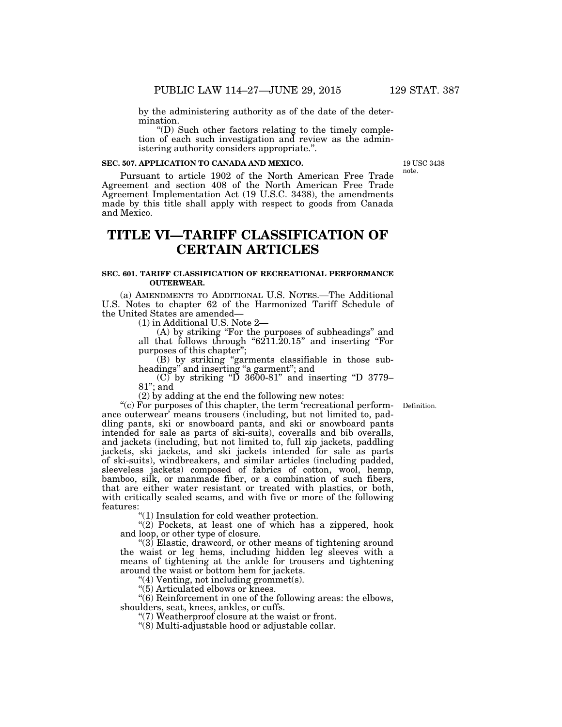by the administering authority as of the date of the determination.

''(D) Such other factors relating to the timely completion of each such investigation and review as the administering authority considers appropriate.''.

#### **SEC. 507. APPLICATION TO CANADA AND MEXICO.**

19 USC 3438 note.

Pursuant to article 1902 of the North American Free Trade Agreement and section 408 of the North American Free Trade Agreement Implementation Act (19 U.S.C. 3438), the amendments made by this title shall apply with respect to goods from Canada and Mexico.

# **TITLE VI—TARIFF CLASSIFICATION OF CERTAIN ARTICLES**

#### **SEC. 601. TARIFF CLASSIFICATION OF RECREATIONAL PERFORMANCE OUTERWEAR.**

(a) AMENDMENTS TO ADDITIONAL U.S. NOTES.—The Additional U.S. Notes to chapter 62 of the Harmonized Tariff Schedule of the United States are amended—

(1) in Additional U.S. Note 2—

(A) by striking ''For the purposes of subheadings'' and all that follows through " $6211.20.15$ " and inserting "For purposes of this chapter'';

(B) by striking ''garments classifiable in those subheadings" and inserting "a garment"; and

 $(C)$  by striking "D 3600-81" and inserting "D 3779– 81''; and

 $(2)$  by adding at the end the following new notes:

Definition.

"(c) For purposes of this chapter, the term 'recreational performance outerwear' means trousers (including, but not limited to, paddling pants, ski or snowboard pants, and ski or snowboard pants intended for sale as parts of ski-suits), coveralls and bib overalls, and jackets (including, but not limited to, full zip jackets, paddling jackets, ski jackets, and ski jackets intended for sale as parts of ski-suits), windbreakers, and similar articles (including padded, sleeveless jackets) composed of fabrics of cotton, wool, hemp, bamboo, silk, or manmade fiber, or a combination of such fibers, that are either water resistant or treated with plastics, or both, with critically sealed seams, and with five or more of the following features:

''(1) Insulation for cold weather protection.

"(2) Pockets, at least one of which has a zippered, hook and loop, or other type of closure.

''(3) Elastic, drawcord, or other means of tightening around the waist or leg hems, including hidden leg sleeves with a means of tightening at the ankle for trousers and tightening around the waist or bottom hem for jackets.

''(4) Venting, not including grommet(s).

"(5) Articulated elbows or knees.

''(6) Reinforcement in one of the following areas: the elbows, shoulders, seat, knees, ankles, or cuffs.

"(7) Weatherproof closure at the waist or front.

''(8) Multi-adjustable hood or adjustable collar.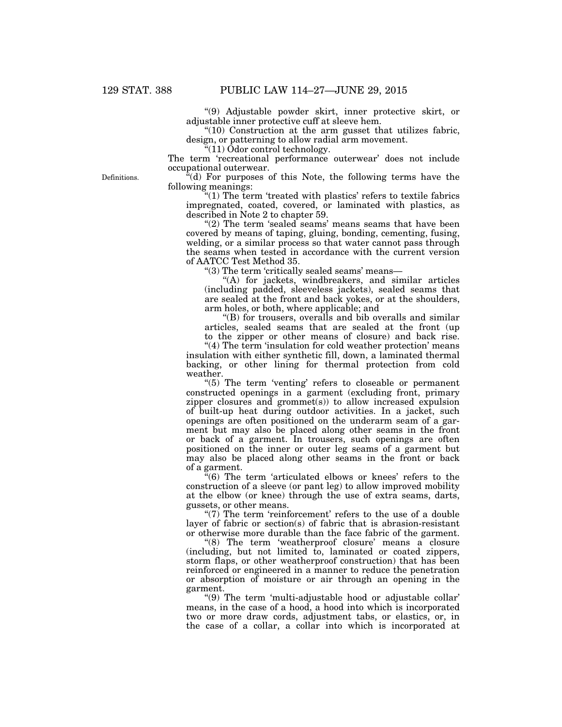''(9) Adjustable powder skirt, inner protective skirt, or adjustable inner protective cuff at sleeve hem.

''(10) Construction at the arm gusset that utilizes fabric, design, or patterning to allow radial arm movement.

 $\sqrt[4]{(11)}$  Odor control technology.

The term 'recreational performance outerwear' does not include occupational outerwear.

 $\mathbf{F}^{\mathsf{r}}(d)$  For purposes of this Note, the following terms have the following meanings:

 $(1)$  The term 'treated with plastics' refers to textile fabrics impregnated, coated, covered, or laminated with plastics, as described in Note 2 to chapter 59.

" $(2)$  The term 'sealed seams' means seams that have been covered by means of taping, gluing, bonding, cementing, fusing, welding, or a similar process so that water cannot pass through the seams when tested in accordance with the current version of AATCC Test Method 35.

''(3) The term 'critically sealed seams' means—

"(A) for jackets, windbreakers, and similar articles (including padded, sleeveless jackets), sealed seams that are sealed at the front and back yokes, or at the shoulders, arm holes, or both, where applicable; and

''(B) for trousers, overalls and bib overalls and similar articles, sealed seams that are sealed at the front (up

to the zipper or other means of closure) and back rise.

"(4) The term 'insulation for cold weather protection' means insulation with either synthetic fill, down, a laminated thermal backing, or other lining for thermal protection from cold weather.

"(5) The term 'venting' refers to closeable or permanent constructed openings in a garment (excluding front, primary zipper closures and grommet(s)) to allow increased expulsion of built-up heat during outdoor activities. In a jacket, such openings are often positioned on the underarm seam of a garment but may also be placed along other seams in the front or back of a garment. In trousers, such openings are often positioned on the inner or outer leg seams of a garment but may also be placed along other seams in the front or back of a garment.

 $\cdot$ <sup>"</sup>(6) The term 'articulated elbows or knees' refers to the construction of a sleeve (or pant leg) to allow improved mobility at the elbow (or knee) through the use of extra seams, darts, gussets, or other means.

" $(7)$  The term 'reinforcement' refers to the use of a double layer of fabric or section(s) of fabric that is abrasion-resistant or otherwise more durable than the face fabric of the garment.

"(8) The term 'weatherproof closure' means a closure (including, but not limited to, laminated or coated zippers, storm flaps, or other weatherproof construction) that has been reinforced or engineered in a manner to reduce the penetration or absorption of moisture or air through an opening in the garment.

''(9) The term 'multi-adjustable hood or adjustable collar' means, in the case of a hood, a hood into which is incorporated two or more draw cords, adjustment tabs, or elastics, or, in the case of a collar, a collar into which is incorporated at

Definitions.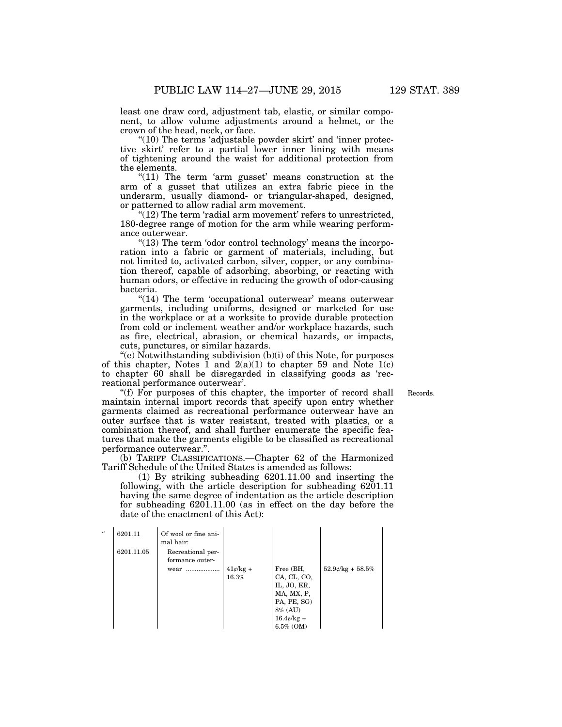least one draw cord, adjustment tab, elastic, or similar component, to allow volume adjustments around a helmet, or the crown of the head, neck, or face.

" $(10)$  The terms 'adjustable powder skirt' and 'inner protective skirt' refer to a partial lower inner lining with means of tightening around the waist for additional protection from the elements.

" $(11)$  The term 'arm gusset' means construction at the arm of a gusset that utilizes an extra fabric piece in the underarm, usually diamond- or triangular-shaped, designed, or patterned to allow radial arm movement.

"(12) The term 'radial arm movement' refers to unrestricted, 180-degree range of motion for the arm while wearing performance outerwear.

"(13) The term 'odor control technology' means the incorporation into a fabric or garment of materials, including, but not limited to, activated carbon, silver, copper, or any combination thereof, capable of adsorbing, absorbing, or reacting with human odors, or effective in reducing the growth of odor-causing bacteria.

"(14) The term 'occupational outerwear' means outerwear garments, including uniforms, designed or marketed for use in the workplace or at a worksite to provide durable protection from cold or inclement weather and/or workplace hazards, such as fire, electrical, abrasion, or chemical hazards, or impacts, cuts, punctures, or similar hazards.

 $(e)$  Notwithstanding subdivision  $(b)(i)$  of this Note, for purposes of this chapter, Notes  $\tilde{1}$  and  $2(a)(1)$  to chapter 59 and Note 1(c) to chapter 60 shall be disregarded in classifying goods as 'recreational performance outerwear'.

Records.

"(f) For purposes of this chapter, the importer of record shall maintain internal import records that specify upon entry whether garments claimed as recreational performance outerwear have an outer surface that is water resistant, treated with plastics, or a combination thereof, and shall further enumerate the specific features that make the garments eligible to be classified as recreational performance outerwear.''.

(b) TARIFF CLASSIFICATIONS.—Chapter 62 of the Harmonized Tariff Schedule of the United States is amended as follows:

(1) By striking subheading 6201.11.00 and inserting the following, with the article description for subheading 6201.11 having the same degree of indentation as the article description for subheading 6201.11.00 (as in effect on the day before the date of the enactment of this Act):

| $\mathcal{U}$ | 6201.11    | Of wool or fine ani-<br>mal hair:    |                                           |                                                                                                                     |                     |
|---------------|------------|--------------------------------------|-------------------------------------------|---------------------------------------------------------------------------------------------------------------------|---------------------|
|               | 6201.11.05 | Recreational per-<br>formance outer- |                                           |                                                                                                                     |                     |
|               |            | wear                                 | $41\frac{\epsilon}{\text{kg}}$ +<br>16.3% | Free (BH,<br>CA, CL, CO,<br>IL, JO, KR,<br>MA, MX, P,<br>PA, PE, SG)<br>8% (AU)<br>$16.4\ell$ /kg +<br>$6.5\%$ (OM) | $52.9$ c/kg + 58.5% |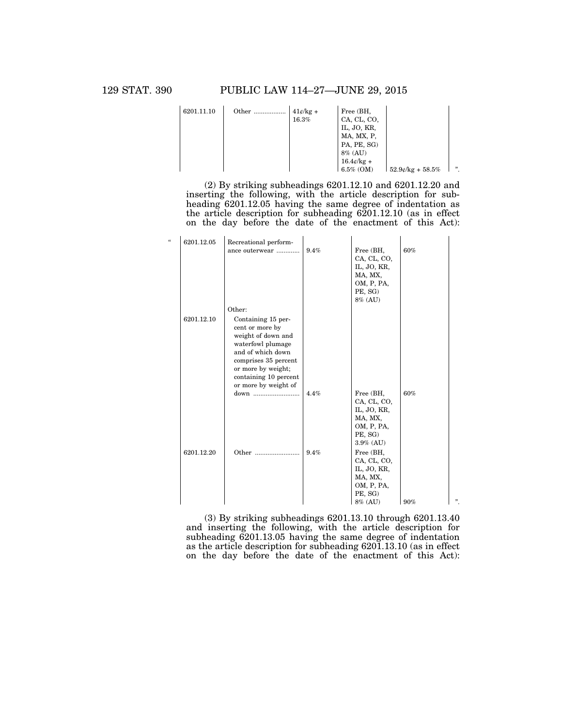| 6201.11.10 | Other | $41¢/kg +$<br>16.3% | Free (BH,<br>CA, CL, CO,<br>IL, JO, KR,<br>MA, MX, P,<br>PA, PE, SG) |                        |     |
|------------|-------|---------------------|----------------------------------------------------------------------|------------------------|-----|
|            |       |                     | $8\%$ (AU)                                                           |                        |     |
|            |       |                     | $16.4\ell$ /kg +                                                     |                        |     |
|            |       |                     | $6.5\%$ (OM)                                                         | $52.9$ e/kg + $58.5\%$ | , , |

(2) By striking subheadings 6201.12.10 and 6201.12.20 and inserting the following, with the article description for subheading 6201.12.05 having the same degree of indentation as the article description for subheading 6201.12.10 (as in effect on the day before the date of the enactment of this Act):

| $\epsilon$ | 6201.12.05 | Recreational perform-<br>ance outerwear                                                                                                                                                              | 9.4%         | Free (BH,<br>CA, CL, CO,<br>IL, JO, KR,<br>MA, MX,<br>OM, P, PA,<br>PE, SG)<br>8% (AU)                                                                                                | 60%        |   |
|------------|------------|------------------------------------------------------------------------------------------------------------------------------------------------------------------------------------------------------|--------------|---------------------------------------------------------------------------------------------------------------------------------------------------------------------------------------|------------|---|
|            |            | Other:                                                                                                                                                                                               |              |                                                                                                                                                                                       |            |   |
|            | 6201.12.10 | Containing 15 per-<br>cent or more by<br>weight of down and<br>waterfowl plumage<br>and of which down<br>comprises 35 percent<br>or more by weight;<br>containing 10 percent<br>or more by weight of |              |                                                                                                                                                                                       |            |   |
|            | 6201.12.20 | down<br>Other                                                                                                                                                                                        | 4.4%<br>9.4% | Free (BH,<br>CA, CL, CO,<br>IL, JO, KR,<br>MA, MX,<br>OM, P, PA,<br>PE, SG)<br>$3.9\%$ (AU)<br>Free (BH,<br>CA, CL, CO,<br>IL, JO, KR,<br>MA, MX,<br>OM, P, PA,<br>PE, SG)<br>8% (AU) | 60%<br>90% | " |

(3) By striking subheadings 6201.13.10 through 6201.13.40 and inserting the following, with the article description for subheading 6201.13.05 having the same degree of indentation as the article description for subheading 6201.13.10 (as in effect on the day before the date of the enactment of this Act):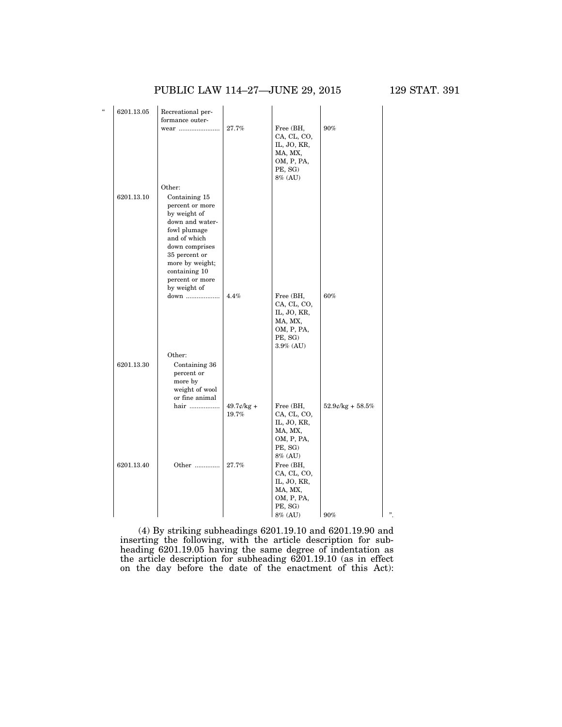### PUBLIC LAW 114-27-JUNE 29, 2015 129 STAT. 391

| $\epsilon$ | 6201.13.05 | Recreational per-<br>formance outer-<br>wear                                                                                                                                                                            | 27.7%                  | Free (BH,<br>CA, CL, CO,<br>IL, JO, KR,<br>MA, MX,                                       | 90%                   |   |
|------------|------------|-------------------------------------------------------------------------------------------------------------------------------------------------------------------------------------------------------------------------|------------------------|------------------------------------------------------------------------------------------|-----------------------|---|
|            |            |                                                                                                                                                                                                                         |                        | OM, P, PA,<br>PE, SG)<br>8% (AU)                                                         |                       |   |
|            | 6201.13.10 | Other:<br>Containing 15<br>percent or more<br>by weight of<br>down and water-<br>fowl plumage<br>and of which<br>down comprises<br>35 percent or<br>more by weight;<br>containing 10<br>percent or more<br>by weight of |                        |                                                                                          |                       |   |
|            |            | down                                                                                                                                                                                                                    | 4.4%                   | Free (BH,<br>CA, CL, CO,<br>IL, JO, KR,<br>MA, MX,<br>OM, P, PA,<br>PE, SG)<br>3.9% (AU) | 60%                   |   |
|            | 6201.13.30 | Other:<br>Containing 36<br>percent or<br>more by<br>weight of wool<br>or fine animal                                                                                                                                    |                        |                                                                                          |                       |   |
|            |            | hair                                                                                                                                                                                                                    | $49.7$ ¢/kg +<br>19.7% | Free (BH,<br>CA, CL, CO,<br>IL, JO, KR,<br>MA, MX,<br>OM, P, PA,<br>PE, SG)<br>8% (AU)   | $52.9$ e/kg + $58.5%$ |   |
|            | 6201.13.40 | Other                                                                                                                                                                                                                   | 27.7%                  | Free (BH,<br>CA, CL, CO,<br>IL, JO, KR,<br>MA, MX,<br>OM, P, PA,<br>PE, SG)<br>8% (AU)   | $\frac{90\%}{2}$      | " |

(4) By striking subheadings 6201.19.10 and 6201.19.90 and inserting the following, with the article description for subheading 6201.19.05 having the same degree of indentation as the article description for subheading 6201.19.10 (as in effect on the day before the date of the enactment of this Act):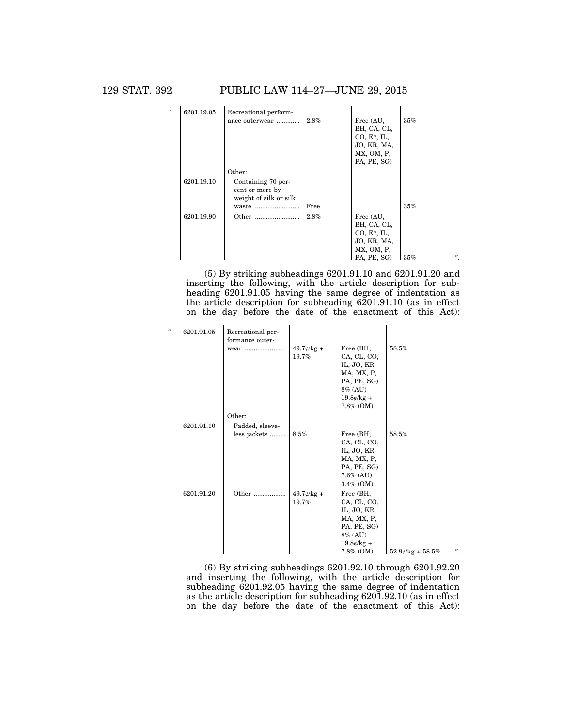129 STAT. 392 PUBLIC LAW 114–27—JUNE 29, 2015

| $\epsilon$ | 6201.19.05 | Recreational perform-  |      |                |     |   |
|------------|------------|------------------------|------|----------------|-----|---|
|            |            | ance outerwear         | 2.8% | Free (AU,      | 35% |   |
|            |            |                        |      | BH, CA, CL,    |     |   |
|            |            |                        |      | $CO, E^*, IL,$ |     |   |
|            |            |                        |      | JO, KR, MA,    |     |   |
|            |            |                        |      | MX, OM, P,     |     |   |
|            |            |                        |      | PA, PE, SG)    |     |   |
|            |            | Other:                 |      |                |     |   |
|            | 6201.19.10 | Containing 70 per-     |      |                |     |   |
|            |            | cent or more by        |      |                |     |   |
|            |            | weight of silk or silk |      |                |     |   |
|            |            | waste                  | Free |                | 35% |   |
|            | 6201.19.90 |                        | 2.8% | Free (AU,      |     |   |
|            |            |                        |      | BH, CA, CL,    |     |   |
|            |            |                        |      | $CO, E^*, IL,$ |     |   |
|            |            |                        |      | JO, KR, MA,    |     |   |
|            |            |                        |      | MX, OM, P,     |     |   |
|            |            |                        |      | PA, PE, SG)    | 35% | " |

(5) By striking subheadings 6201.91.10 and 6201.91.20 and inserting the following, with the article description for subheading 6201.91.05 having the same degree of indentation as the article description for subheading 6201.91.10 (as in effect on the day before the date of the enactment of this Act):

| $\epsilon$ | 6201.91.05 | Recreational per-<br>formance outer- |                                                  |                                                                                                                 |                     |    |
|------------|------------|--------------------------------------|--------------------------------------------------|-----------------------------------------------------------------------------------------------------------------|---------------------|----|
|            |            | wear                                 | $49.7 \frac{\cancel{0}}{\cancel{18}}$ +<br>19.7% | Free (BH,<br>CA, CL, CO,<br>IL, JO, KR,<br>MA, MX, P,<br>PA, PE, SG)<br>8% (AU)<br>$19.8¢/kg +$<br>$7.8\%$ (OM) | 58.5%               |    |
|            |            | Other:                               |                                                  |                                                                                                                 |                     |    |
|            | 6201.91.10 | Padded, sleeve-                      |                                                  |                                                                                                                 |                     |    |
|            |            | less jackets                         | 8.5%                                             | Free (BH,                                                                                                       | 58.5%               |    |
|            |            |                                      |                                                  | CA, CL, CO,                                                                                                     |                     |    |
|            |            |                                      |                                                  | IL, JO, KR,                                                                                                     |                     |    |
|            |            |                                      |                                                  | MA, MX, P,                                                                                                      |                     |    |
|            |            |                                      |                                                  | PA, PE, SG)<br>$7.6\%$ (AU)                                                                                     |                     |    |
|            |            |                                      |                                                  | $3.4\%$ (OM)                                                                                                    |                     |    |
|            | 6201.91.20 |                                      | $49.7$ c/kg +                                    | Free (BH,                                                                                                       |                     |    |
|            |            |                                      | 19.7%                                            | CA, CL, CO,                                                                                                     |                     |    |
|            |            |                                      |                                                  | IL, JO, KR,                                                                                                     |                     |    |
|            |            |                                      |                                                  | MA, MX, P,                                                                                                      |                     |    |
|            |            |                                      |                                                  | PA, PE, SG)                                                                                                     |                     |    |
|            |            |                                      |                                                  | 8% (AU)                                                                                                         |                     |    |
|            |            |                                      |                                                  | $19.8¢/kg +$<br>7.8% (OM)                                                                                       | $52.9$ e/kg + 58.5% | ". |
|            |            |                                      |                                                  |                                                                                                                 |                     |    |

(6) By striking subheadings 6201.92.10 through 6201.92.20 and inserting the following, with the article description for subheading 6201.92.05 having the same degree of indentation as the article description for subheading 6201.92.10 (as in effect on the day before the date of the enactment of this Act):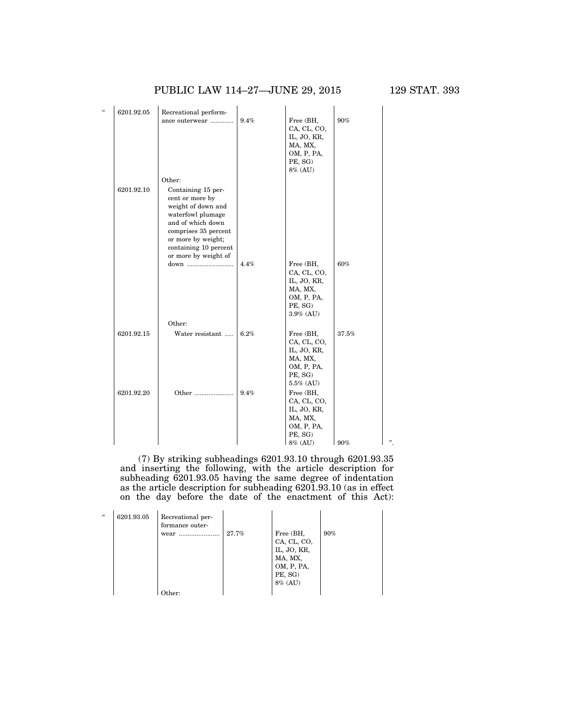### PUBLIC LAW 114-27-JUNE 29, 2015 129 STAT. 393

| a | 6201.92.05 | Recreational perform-                                                                                                                                                                                        |      |                                                                                          |       |  |
|---|------------|--------------------------------------------------------------------------------------------------------------------------------------------------------------------------------------------------------------|------|------------------------------------------------------------------------------------------|-------|--|
|   |            | ance outerwear                                                                                                                                                                                               | 9.4% | Free (BH,<br>CA, CL, CO,<br>IL, JO, KR,<br>MA, MX,<br>OM, P, PA,<br>PE, SG)<br>8% (AU)   | 90%   |  |
|   |            | Other:                                                                                                                                                                                                       |      |                                                                                          |       |  |
|   | 6201.92.10 | Containing 15 per-<br>cent or more by<br>weight of down and<br>waterfowl plumage<br>and of which down<br>comprises 35 percent<br>or more by weight;<br>containing 10 percent<br>or more by weight of<br>down | 4.4% | Free (BH,<br>CA, CL, CO,<br>IL, JO, KR,                                                  | 60%   |  |
|   |            |                                                                                                                                                                                                              |      | MA, MX,<br>OM, P, PA,<br>PE, SG)<br>$3.9\%$ (AU)                                         |       |  |
|   |            | Other:                                                                                                                                                                                                       |      |                                                                                          |       |  |
|   | 6201.92.15 | Water resistant                                                                                                                                                                                              | 6.2% | Free (BH,<br>CA, CL, CO,<br>IL, JO, KR,<br>MA, MX,<br>OM, P, PA,<br>PE, SG)<br>5.5% (AU) | 37.5% |  |
|   | 6201.92.20 | Other                                                                                                                                                                                                        | 9.4% | Free (BH,<br>CA, CL, CO,<br>IL, JO, KR,<br>MA, MX,<br>OM, P, PA,<br>PE, SG)<br>8% (AU)   | 90%   |  |

(7) By striking subheadings 6201.93.10 through 6201.93.35 and inserting the following, with the article description for subheading 6201.93.05 having the same degree of indentation as the article description for subheading 6201.93.10 (as in effect on the day before the date of the enactment of this Act):

| $\epsilon$ | 6201.93.05 | Recreational per-<br>formance outer-<br>wear<br> | 27.7% | Free (BH,<br>CA, CL, CO,<br>IL, JO, KR,<br>MA, MX,<br>OM, P, PA,<br>PE, SG)<br>8% (AU) | 90% |
|------------|------------|--------------------------------------------------|-------|----------------------------------------------------------------------------------------|-----|
|            |            | ther:                                            |       |                                                                                        |     |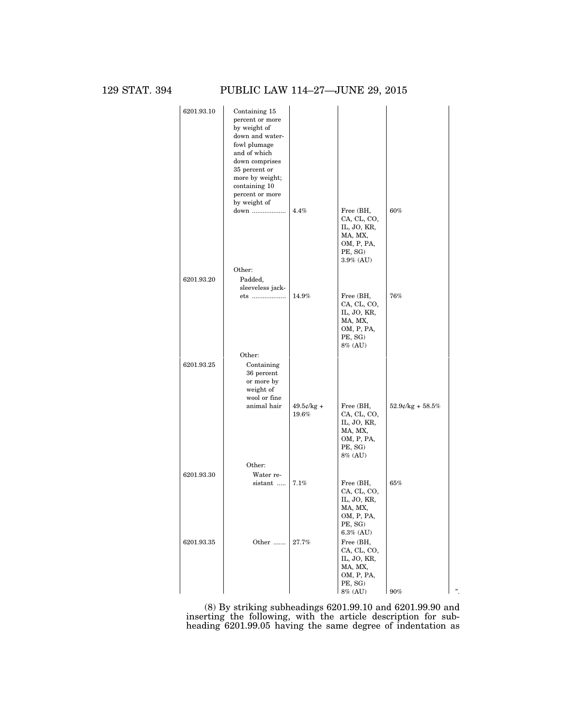129 STAT. 394 PUBLIC LAW 114–27—JUNE 29, 2015

| 6201.93.10 | Containing 15<br>percent or more<br>by weight of<br>down and water-<br>fowl plumage<br>and of which<br>down comprises<br>35 percent or<br>more by weight;<br>containing 10<br>percent or more<br>by weight of<br>down | 4.4%                   | Free (BH,                                                                                   | 60%                   |   |
|------------|-----------------------------------------------------------------------------------------------------------------------------------------------------------------------------------------------------------------------|------------------------|---------------------------------------------------------------------------------------------|-----------------------|---|
|            | Other:                                                                                                                                                                                                                |                        | CA, CL, CO,<br>IL, JO, KR,<br>MA, MX,<br>OM, P, PA,<br>PE, SG)<br>$3.9\%$ (AU)              |                       |   |
| 6201.93.20 | Padded,                                                                                                                                                                                                               |                        |                                                                                             |                       |   |
|            | sleeveless jack-                                                                                                                                                                                                      |                        |                                                                                             |                       |   |
|            | ets                                                                                                                                                                                                                   | 14.9%                  | Free (BH,<br>CA, CL, CO,<br>IL, JO, KR,<br>MA, MX,<br>OM, P, PA,<br>PE, SG)<br>8% (AU)      | $76\%$                |   |
|            | Other:                                                                                                                                                                                                                |                        |                                                                                             |                       |   |
| 6201.93.25 | Containing<br>36 percent<br>or more by<br>weight of<br>wool or fine                                                                                                                                                   |                        |                                                                                             |                       |   |
|            | animal hair                                                                                                                                                                                                           | $49.5$ ¢/kg +<br>19.6% | Free (BH,<br>CA, CL, CO,<br>IL, JO, KR,<br>MA, MX,<br>OM, P, PA,<br>PE, SG)<br>8% (AU)      | $52.9$ e/kg + $58.5%$ |   |
|            | Other:                                                                                                                                                                                                                |                        |                                                                                             |                       |   |
| 6201.93.30 | Water re-                                                                                                                                                                                                             |                        |                                                                                             |                       |   |
|            | sistant                                                                                                                                                                                                               | 7.1%                   | Free (BH,<br>CA, CL, CO,<br>IL, JO, KR,<br>MA, MX,<br>OM, P, PA,<br>PE, SG)<br>$6.3\%$ (AU) | 65%                   |   |
| 6201.93.35 | Other                                                                                                                                                                                                                 | 27.7%                  | Free (BH,<br>CA, CL, CO,<br>IL, JO, KR,<br>MA, MX,<br>OM, P, PA,<br>PE, SG)                 |                       |   |
|            |                                                                                                                                                                                                                       |                        | 8% (AU)                                                                                     | 90%                   | " |

(8) By striking subheadings 6201.99.10 and 6201.99.90 and inserting the following, with the article description for subheading 6201.99.05 having the same degree of indentation as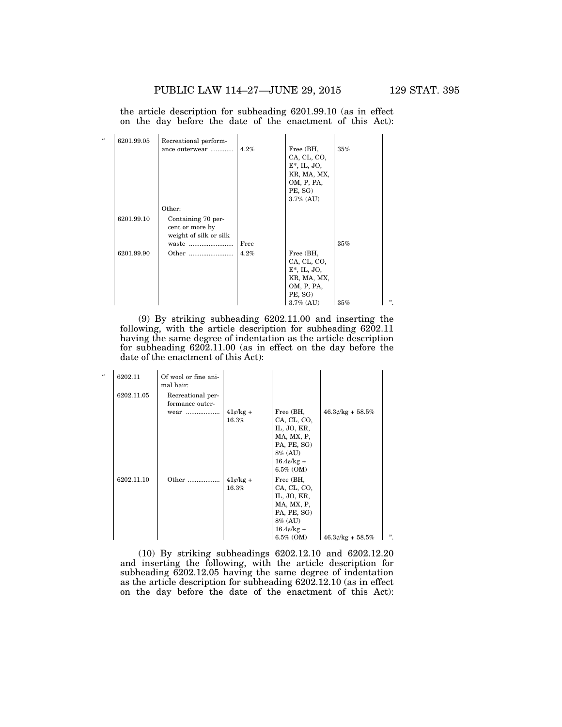the article description for subheading 6201.99.10 (as in effect on the day before the date of the enactment of this Act):

| $\epsilon$ | 6201.99.05 | Recreational perform-                                                    |      |                                                                                     |     |              |
|------------|------------|--------------------------------------------------------------------------|------|-------------------------------------------------------------------------------------|-----|--------------|
|            |            | ance outerwear                                                           | 4.2% | Free (BH,<br>CA, CL, CO,<br>$E^*$ , IL, JO,<br>KR, MA, MX,<br>OM, P, PA,<br>PE, SG) | 35% |              |
|            |            | Other:                                                                   |      | $3.7\%$ (AU)                                                                        |     |              |
|            | 6201.99.10 | Containing 70 per-<br>cent or more by<br>weight of silk or silk<br>waste | Free |                                                                                     | 35% |              |
|            | 6201.99.90 |                                                                          | 4.2% | Free (BH,<br>CA, CL, CO,<br>$E^*$ , IL, JO,<br>KR, MA, MX,<br>OM, P, PA,<br>PE, SG) |     |              |
|            |            |                                                                          |      | $3.7\%$ (AU)                                                                        | 35% | $\mathbf{v}$ |

(9) By striking subheading 6202.11.00 and inserting the following, with the article description for subheading 6202.11 having the same degree of indentation as the article description for subheading 6202.11.00 (as in effect on the day before the date of the enactment of this Act):

| $\epsilon$ | 6202.11    | Of wool or fine ani-<br>mal hair:    |                     |                                                                                                                     |                    |     |
|------------|------------|--------------------------------------|---------------------|---------------------------------------------------------------------------------------------------------------------|--------------------|-----|
|            | 6202.11.05 | Recreational per-<br>formance outer- |                     |                                                                                                                     |                    |     |
|            |            | wear                                 | $41¢/kg +$<br>16.3% | Free (BH,<br>CA, CL, CO,<br>IL, JO, KR,<br>MA, MX, P,<br>PA, PE, SG)<br>8% (AU)<br>$16.4$ e/kg +<br>$6.5\%$ (OM)    | $46.3¢/kg + 58.5%$ |     |
|            | 6202.11.10 | Other                                | $41¢/kg +$<br>16.3% | Free (BH,<br>CA, CL, CO,<br>IL, JO, KR,<br>MA, MX, P,<br>PA, PE, SG)<br>8% (AU)<br>$16.4\ell$ /kg +<br>$6.5\%$ (OM) | $46.3¢/kg + 58.5%$ | , , |

(10) By striking subheadings 6202.12.10 and 6202.12.20 and inserting the following, with the article description for subheading 6202.12.05 having the same degree of indentation as the article description for subheading 6202.12.10 (as in effect on the day before the date of the enactment of this Act):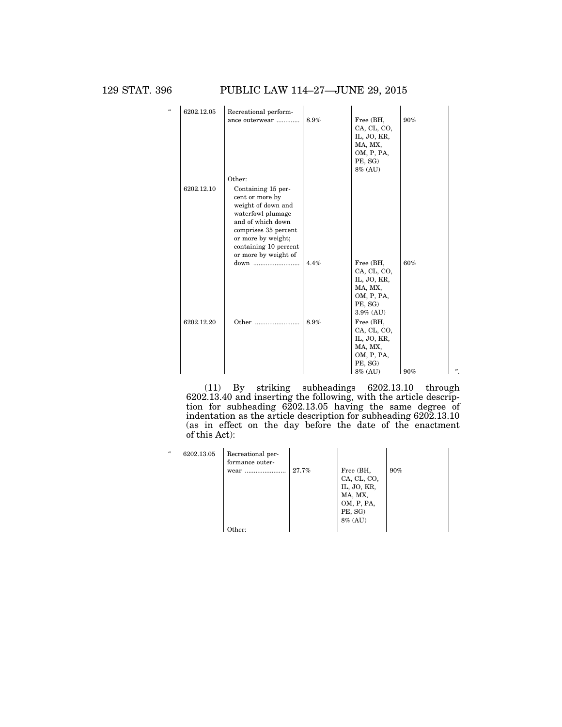129 STAT. 396 PUBLIC LAW 114–27—JUNE 29, 2015

| $\epsilon$ | 6202.12.05 | Recreational perform- |      |                          |     |   |
|------------|------------|-----------------------|------|--------------------------|-----|---|
|            |            | ance outerwear        | 8.9% | Free (BH,                | 90% |   |
|            |            |                       |      | CA, CL, CO,              |     |   |
|            |            |                       |      | IL, JO, KR,              |     |   |
|            |            |                       |      | MA, MX,<br>OM, P, PA,    |     |   |
|            |            |                       |      | PE, SG)                  |     |   |
|            |            |                       |      | 8% (AU)                  |     |   |
|            |            | Other:                |      |                          |     |   |
|            | 6202.12.10 | Containing 15 per-    |      |                          |     |   |
|            |            | cent or more by       |      |                          |     |   |
|            |            | weight of down and    |      |                          |     |   |
|            |            | waterfowl plumage     |      |                          |     |   |
|            |            | and of which down     |      |                          |     |   |
|            |            | comprises 35 percent  |      |                          |     |   |
|            |            | or more by weight;    |      |                          |     |   |
|            |            | containing 10 percent |      |                          |     |   |
|            |            | or more by weight of  |      |                          |     |   |
|            |            | down                  | 4.4% | Free (BH,<br>CA, CL, CO, | 60% |   |
|            |            |                       |      | IL, JO, KR,              |     |   |
|            |            |                       |      | MA, MX,                  |     |   |
|            |            |                       |      | OM, P, PA,               |     |   |
|            |            |                       |      | PE, SG)                  |     |   |
|            |            |                       |      | $3.9\%$ (AU)             |     |   |
|            | 6202.12.20 | Other                 | 8.9% | Free (BH,                |     |   |
|            |            |                       |      | CA, CL, CO,              |     |   |
|            |            |                       |      | IL, JO, KR,              |     |   |
|            |            |                       |      | MA, MX,                  |     |   |
|            |            |                       |      | OM, P, PA,               |     |   |
|            |            |                       |      | PE, SG)                  |     | " |
|            |            |                       |      | 8% (AU)                  | 90% |   |

(11) By striking subheadings 6202.13.10 through 6202.13.40 and inserting the following, with the article description for subheading 6202.13.05 having the same degree of indentation as the article description for subheading 6202.13.10 (as in effect on the day before the date of the enactment of this Act):

| $\epsilon\epsilon$ | 6202.13.05 | Recreational per-<br>formance outer-<br>wear | 27.7% | Free (BH,<br>CA, CL, CO,<br>IL, JO, KR,<br>MA, MX,<br>OM, P, PA,<br>PE, SG)<br>8% (AU) | 90% |
|--------------------|------------|----------------------------------------------|-------|----------------------------------------------------------------------------------------|-----|
|                    |            | วther∙                                       |       |                                                                                        |     |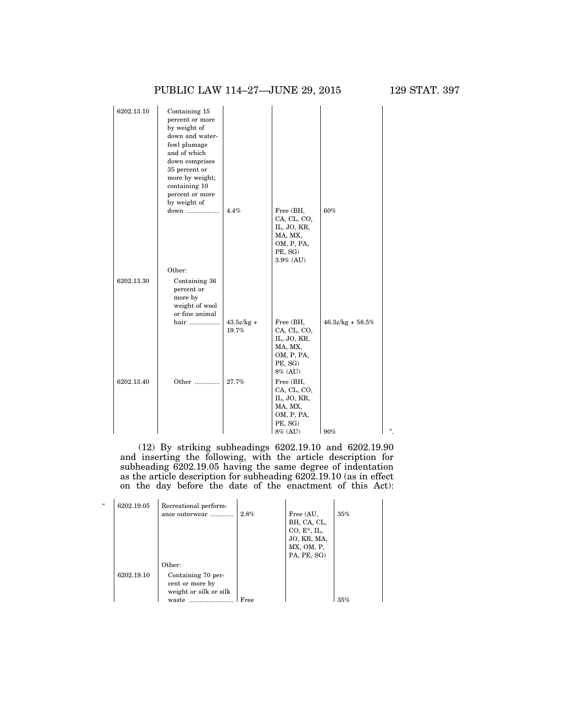### PUBLIC LAW 114–27—JUNE 29, 2015 129 STAT. 397

| 6202.13.10 | Containing 15<br>percent or more<br>by weight of<br>down and water-<br>fowl plumage<br>and of which<br>down comprises<br>35 percent or<br>more by weight;<br>containing 10<br>percent or more<br>by weight of<br>down | 4.4%                   | Free (BH,<br>CA, CL, CO,<br>IL, JO, KR,<br>MA, MX,<br>OM, P, PA,<br>PE, SG)            | 60%                |   |
|------------|-----------------------------------------------------------------------------------------------------------------------------------------------------------------------------------------------------------------------|------------------------|----------------------------------------------------------------------------------------|--------------------|---|
| 6202.13.30 | Other:<br>Containing 36<br>percent or<br>more by<br>weight of wool                                                                                                                                                    |                        | $3.9\%$ (AU)                                                                           |                    |   |
|            | or fine animal<br>hair                                                                                                                                                                                                | $43.5$ ¢/kg +<br>19.7% | Free (BH,<br>CA, CL, CO,<br>IL, JO, KR,<br>MA, MX,<br>OM, P, PA,<br>PE, SG)<br>8% (AU) | $46.3¢/kg + 58.5%$ |   |
| 6202.13.40 | Other                                                                                                                                                                                                                 | 27.7%                  | Free (BH,<br>CA, CL, CO,<br>IL, JO, KR,<br>MA, MX,<br>OM, P, PA,<br>PE, SG)<br>8% (AU) | 90%                | " |

(12) By striking subheadings 6202.19.10 and 6202.19.90 and inserting the following, with the article description for subheading 6202.19.05 having the same degree of indentation as the article description for subheading 6202.19.10 (as in effect on the day before the date of the enactment of this Act):

| $\epsilon$ | 6202.19.05 | Recreational perform-  |      |                |     |
|------------|------------|------------------------|------|----------------|-----|
|            |            | ance outerwear         | 2.8% | Free (AU,      | 35% |
|            |            |                        |      | BH, CA, CL,    |     |
|            |            |                        |      | $CO, E^*, IL,$ |     |
|            |            |                        |      | JO, KR, MA,    |     |
|            |            |                        |      | MX, OM, P.     |     |
|            |            |                        |      | PA, PE, SG)    |     |
|            |            | Other:                 |      |                |     |
|            | 6202.19.10 | Containing 70 per-     |      |                |     |
|            |            | cent or more by        |      |                |     |
|            |            | weight or silk or silk |      |                |     |
|            |            | waste                  | Free |                | 35% |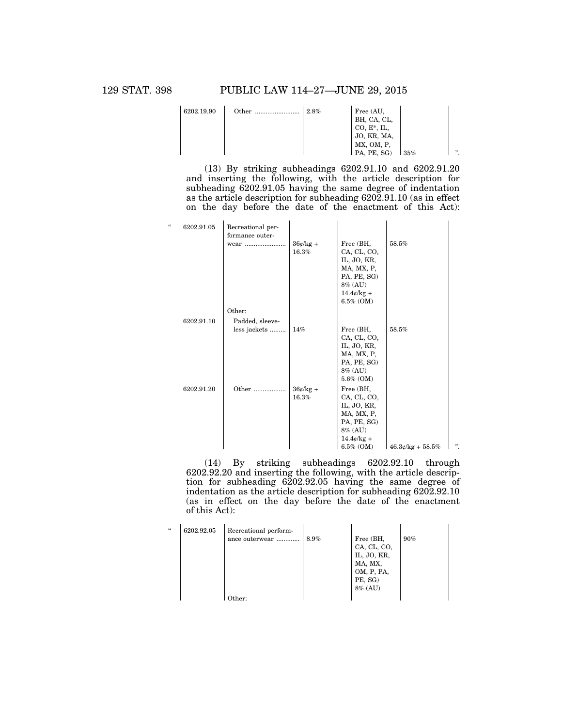| 6202.19.90 | Other | 2.8% | Free (AU,<br>BH, CA, CL,     |     |     |
|------------|-------|------|------------------------------|-----|-----|
|            |       |      | $CO, E^*, IL$<br>JO, KR, MA, |     |     |
|            |       |      | MX, OM, P,                   |     | , , |
|            |       |      | PA, PE, SG)                  | 35% |     |

(13) By striking subheadings 6202.91.10 and 6202.91.20 and inserting the following, with the article description for subheading 6202.91.05 having the same degree of indentation as the article description for subheading 6202.91.10 (as in effect on the day before the date of the enactment of this Act):

| $\epsilon$ | 6202.91.05 | Recreational per-<br>formance outer- |                     |                                                                                                                     |                    |   |
|------------|------------|--------------------------------------|---------------------|---------------------------------------------------------------------------------------------------------------------|--------------------|---|
|            |            | wear                                 | $36¢/kg +$<br>16.3% | Free (BH,<br>CA, CL, CO,<br>IL, JO, KR,<br>MA, MX, P,<br>PA, PE, SG)<br>8% (AU)<br>$14.4\ell$ /kg +<br>$6.5\%$ (OM) | 58.5%              |   |
|            |            | Other:                               |                     |                                                                                                                     |                    |   |
|            | 6202.91.10 | Padded, sleeve-                      |                     |                                                                                                                     |                    |   |
|            |            | less jackets                         | $14\%$              | Free (BH,<br>CA, CL, CO,<br>IL, JO, KR,<br>MA, MX, P,<br>PA, PE, SG)<br>8% (AU)<br>$5.6\%$ (OM)                     | 58.5%              |   |
|            | 6202.91.20 | Other                                | $36¢/kg +$<br>16.3% | Free (BH,<br>CA, CL, CO,<br>IL, JO, KR,<br>MA, MX, P,<br>PA, PE, SG)<br>8% (AU)<br>$14.4¢/kg +$<br>$6.5\%$ (OM)     | $46.3¢/kg + 58.5%$ | " |

(14) By striking subheadings 6202.92.10 through 6202.92.20 and inserting the following, with the article description for subheading 6202.92.05 having the same degree of indentation as the article description for subheading 6202.92.10 (as in effect on the day before the date of the enactment of this Act):

| $\epsilon$ | 6202.92.05 | Recreational perform-<br>ance outerwear | 8.9% | Free (BH,   | 90% |
|------------|------------|-----------------------------------------|------|-------------|-----|
|            |            |                                         |      | CA, CL, CO, |     |
|            |            |                                         |      | IL, JO, KR, |     |
|            |            |                                         |      | MA, MX,     |     |
|            |            |                                         |      | OM, P, PA,  |     |
|            |            |                                         |      | PE, SG)     |     |
|            |            |                                         |      | 8% (AU)     |     |
|            |            | )ther:                                  |      |             |     |

 $\overline{a}$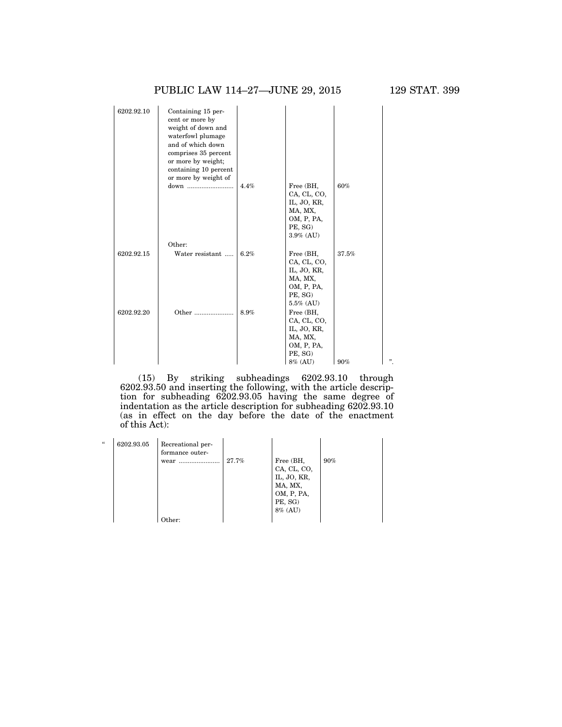| 6202.92.10 | Containing 15 per-<br>cent or more by<br>weight of down and<br>waterfowl plumage<br>and of which down<br>comprises 35 percent<br>or more by weight;<br>containing 10 percent<br>or more by weight of |      |                                                                                             |       |   |
|------------|------------------------------------------------------------------------------------------------------------------------------------------------------------------------------------------------------|------|---------------------------------------------------------------------------------------------|-------|---|
|            | down                                                                                                                                                                                                 | 4.4% | Free (BH,<br>CA, CL, CO,<br>IL, JO, KR,<br>MA, MX,<br>OM, P, PA,<br>PE, SG)<br>$3.9\%$ (AU) | 60%   |   |
|            | Other:                                                                                                                                                                                               |      |                                                                                             |       |   |
| 6202.92.15 | Water resistant                                                                                                                                                                                      | 6.2% | Free (BH,<br>CA, CL, CO,<br>IL, JO, KR,<br>MA, MX,<br>OM, P, PA,<br>PE, SG)<br>$5.5\%$ (AU) | 37.5% |   |
| 6202.92.20 | Other                                                                                                                                                                                                | 8.9% | Free (BH,<br>CA, CL, CO,<br>IL, JO, KR,<br>MA, MX,<br>OM, P, PA,<br>PE, SG)<br>8% (AU)      | 90%   | " |

(15) By striking subheadings 6202.93.10 through 6202.93.50 and inserting the following, with the article description for subheading 6202.93.05 having the same degree of indentation as the article description for subheading 6202.93.10 (as in effect on the day before the date of the enactment of this Act):

| $\mathcal{U}$ | 6202.93.05 | Recreational per-<br>formance outer-<br>wear<br> | 27.7% | Free (BH,<br>CA, CL, CO,<br>IL, JO, KR,<br>MA, MX,<br>OM, P, PA,<br>PE, SG)<br>8% (AU) | 90% |
|---------------|------------|--------------------------------------------------|-------|----------------------------------------------------------------------------------------|-----|
|               |            | Other:                                           |       |                                                                                        |     |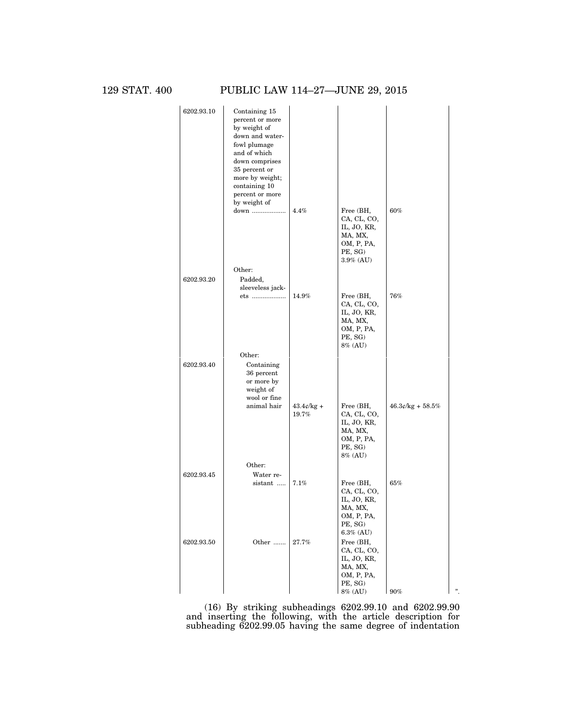129 STAT. 400 PUBLIC LAW 114–27—JUNE 29, 2015

| 6202.93.10 | Containing 15                   |               |                       |                     |   |
|------------|---------------------------------|---------------|-----------------------|---------------------|---|
|            | percent or more<br>by weight of |               |                       |                     |   |
|            | down and water-                 |               |                       |                     |   |
|            | fowl plumage                    |               |                       |                     |   |
|            | and of which                    |               |                       |                     |   |
|            | down comprises                  |               |                       |                     |   |
|            | 35 percent or                   |               |                       |                     |   |
|            | more by weight;                 |               |                       |                     |   |
|            | containing 10                   |               |                       |                     |   |
|            | percent or more                 |               |                       |                     |   |
|            | by weight of                    |               |                       |                     |   |
|            | down                            | 4.4%          | Free (BH,             | 60%                 |   |
|            |                                 |               | CA, CL, CO,           |                     |   |
|            |                                 |               | IL, JO, KR,           |                     |   |
|            |                                 |               | MA, MX,<br>OM, P, PA, |                     |   |
|            |                                 |               | PE, SG)               |                     |   |
|            |                                 |               | $3.9\%$ (AU)          |                     |   |
|            | Other:                          |               |                       |                     |   |
| 6202.93.20 |                                 |               |                       |                     |   |
|            | Padded,<br>sleeveless jack-     |               |                       |                     |   |
|            | ets                             | 14.9%         | Free (BH,             | 76%                 |   |
|            |                                 |               | CA, CL, CO,           |                     |   |
|            |                                 |               | IL, JO, KR,           |                     |   |
|            |                                 |               | MA, MX,               |                     |   |
|            |                                 |               | OM, P, PA,            |                     |   |
|            |                                 |               | PE, SG)               |                     |   |
|            |                                 |               | 8% (AU)               |                     |   |
|            | Other:                          |               |                       |                     |   |
| 6202.93.40 | Containing                      |               |                       |                     |   |
|            | 36 percent                      |               |                       |                     |   |
|            | or more by                      |               |                       |                     |   |
|            | weight of                       |               |                       |                     |   |
|            | wool or fine<br>animal hair     | $43.4$ ¢/kg + | Free (BH,             | $46.3$ ¢/kg + 58.5% |   |
|            |                                 | 19.7%         | CA, CL, CO,           |                     |   |
|            |                                 |               | IL, JO, KR,           |                     |   |
|            |                                 |               | MA, MX,               |                     |   |
|            |                                 |               | OM, P, PA,            |                     |   |
|            |                                 |               | PE, SG)               |                     |   |
|            |                                 |               | 8% (AU)               |                     |   |
|            | Other:                          |               |                       |                     |   |
| 6202.93.45 | Water re-                       |               |                       |                     |   |
|            | sistant                         | 7.1%          | Free (BH,             | 65%                 |   |
|            |                                 |               | CA, CL, CO,           |                     |   |
|            |                                 |               | IL, JO, KR,           |                     |   |
|            |                                 |               | MA, MX,               |                     |   |
|            |                                 |               | OM, P, PA,<br>PE, SG) |                     |   |
|            |                                 |               | $6.3\%$ (AU)          |                     |   |
| 6202.93.50 | Other                           | 27.7%         | Free (BH,             |                     |   |
|            |                                 |               | CA, CL, CO,           |                     |   |
|            |                                 |               | IL, JO, KR,           |                     |   |
|            |                                 |               | MA, MX,               |                     |   |
|            |                                 |               | OM, P, PA,            |                     |   |
|            |                                 |               | PE, SG)               |                     |   |
|            |                                 |               | $8\%$ (AU)            | 90%                 | " |

(16) By striking subheadings 6202.99.10 and 6202.99.90 and inserting the following, with the article description for subheading 6202.99.05 having the same degree of indentation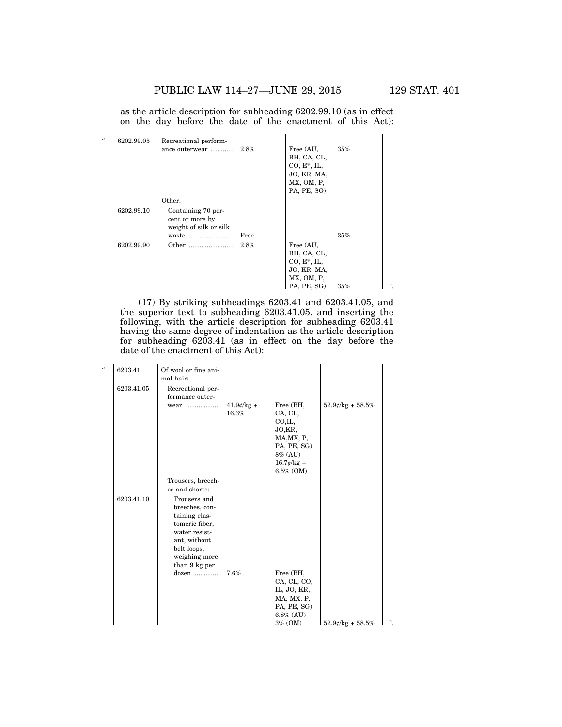as the article description for subheading 6202.99.10 (as in effect on the day before the date of the enactment of this Act):

| $\epsilon$ | 6202.99.05 | Recreational perform-  |      |                |     |   |
|------------|------------|------------------------|------|----------------|-----|---|
|            |            | ance outerwear         | 2.8% | Free (AU,      | 35% |   |
|            |            |                        |      | BH, CA, CL,    |     |   |
|            |            |                        |      | $CO, E^*, IL,$ |     |   |
|            |            |                        |      | JO, KR, MA,    |     |   |
|            |            |                        |      | MX, OM, P,     |     |   |
|            |            |                        |      | PA, PE, SG)    |     |   |
|            |            | Other:                 |      |                |     |   |
|            | 6202.99.10 | Containing 70 per-     |      |                |     |   |
|            |            | cent or more by        |      |                |     |   |
|            |            | weight of silk or silk |      |                |     |   |
|            |            | waste                  | Free |                | 35% |   |
|            | 6202.99.90 | Other                  | 2.8% | Free (AU,      |     |   |
|            |            |                        |      | BH, CA, CL,    |     |   |
|            |            |                        |      | $CO, E^*, IL,$ |     |   |
|            |            |                        |      | JO, KR, MA,    |     |   |
|            |            |                        |      | MX, OM, P,     |     |   |
|            |            |                        |      | PA, PE, SG)    | 35% | " |

(17) By striking subheadings 6203.41 and 6203.41.05, and the superior text to subheading 6203.41.05, and inserting the following, with the article description for subheading 6203.41 having the same degree of indentation as the article description for subheading 6203.41 (as in effect on the day before the date of the enactment of this Act):

| $\epsilon\epsilon$ | 6203.41<br>6203.41.05 | Of wool or fine ani-<br>mal hair:<br>Recreational per-                                                                                              |                        |                                                                                                                   |                       |   |
|--------------------|-----------------------|-----------------------------------------------------------------------------------------------------------------------------------------------------|------------------------|-------------------------------------------------------------------------------------------------------------------|-----------------------|---|
|                    |                       | formance outer-<br>wear                                                                                                                             | $41.9$ c/kg +<br>16.3% | Free (BH,<br>CA, CL,<br>CO.IL,<br>JO,KR,<br>MA, MX, P,<br>PA, PE, SG)<br>8% (AU)<br>$16.7$ ¢/kg +<br>$6.5\%$ (OM) | $52.9$ e/kg + $58.5%$ |   |
|                    |                       | Trousers, breech-<br>es and shorts:                                                                                                                 |                        |                                                                                                                   |                       |   |
|                    | 6203.41.10            | Trousers and<br>breeches, con-<br>taining elas-<br>tomeric fiber,<br>water resist-<br>ant, without<br>belt loops,<br>weighing more<br>than 9 kg per |                        |                                                                                                                   |                       |   |
|                    |                       | $dozen$                                                                                                                                             | 7.6%                   | Free (BH,<br>CA, CL, CO,<br>IL, JO, KR,<br>MA, MX, P,<br>PA, PE, SG)<br>$6.8\%$ (AU)<br>$3\%$ (OM)                | $52.9$ ¢/kg + $58.5%$ | " |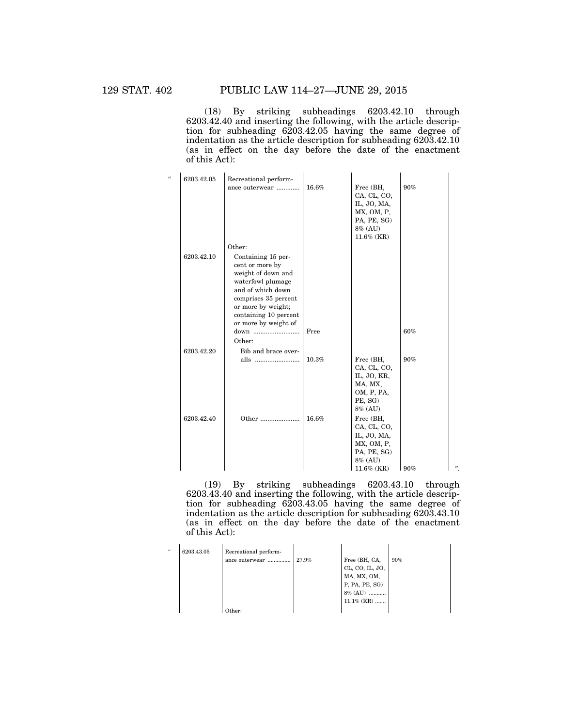(18) By striking subheadings 6203.42.10 through 6203.42.40 and inserting the following, with the article description for subheading 6203.42.05 having the same degree of indentation as the article description for subheading 6203.42.10 (as in effect on the day before the date of the enactment of this Act):

| $\epsilon$ | 6203.42.05 | Recreational perform-                                                                                                                                                                                |       |                                                                                                  |     |   |
|------------|------------|------------------------------------------------------------------------------------------------------------------------------------------------------------------------------------------------------|-------|--------------------------------------------------------------------------------------------------|-----|---|
|            |            | ance outerwear                                                                                                                                                                                       | 16.6% | Free (BH,<br>CA, CL, CO,<br>IL, JO, MA,<br>MX, OM, P,<br>PA, PE, SG)<br>8% (AU)<br>$11.6\%$ (KR) | 90% |   |
|            |            | Other:                                                                                                                                                                                               |       |                                                                                                  |     |   |
|            | 6203.42.10 | Containing 15 per-<br>cent or more by<br>weight of down and<br>waterfowl plumage<br>and of which down<br>comprises 35 percent<br>or more by weight;<br>containing 10 percent<br>or more by weight of |       |                                                                                                  |     |   |
|            |            | down<br>Other:                                                                                                                                                                                       | Free  |                                                                                                  | 60% |   |
|            | 6203.42.20 | Bib and brace over-                                                                                                                                                                                  |       |                                                                                                  |     |   |
|            |            | alls                                                                                                                                                                                                 | 10.3% | Free (BH,<br>CA, CL, CO,<br>IL, JO, KR,<br>MA, MX,<br>OM, P, PA,<br>PE, SG)<br>8% (AU)           | 90% |   |
|            | 6203.42.40 | Other                                                                                                                                                                                                | 16.6% | Free (BH,<br>CA, CL, CO,<br>IL, JO, MA,<br>MX, OM, P,<br>PA, PE, SG)<br>8% (AU)<br>$11.6\%$ (KR) | 90% | " |

(19) By striking subheadings 6203.43.10 through 6203.43.40 and inserting the following, with the article description for subheading 6203.43.05 having the same degree of indentation as the article description for subheading 6203.43.10 (as in effect on the day before the date of the enactment of this Act):

| $\epsilon\epsilon$ | 6203.43.05 | Recreational perform-<br>ance outerwear | 27.9% | Free (BH, CA,<br>CL, CO, IL, JO,<br>MA, MX, OM,<br>$P$ , $PA$ , $PE$ , $SG$ )<br>8% (AU)<br>$11.1\%$ (KR) | 90% |
|--------------------|------------|-----------------------------------------|-------|-----------------------------------------------------------------------------------------------------------|-----|
|                    |            | )ther:                                  |       |                                                                                                           |     |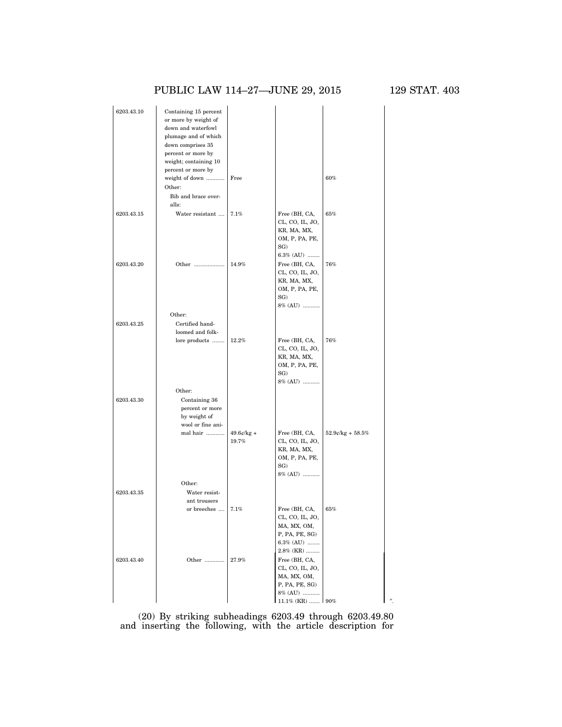# PUBLIC LAW 114–27—JUNE 29, 2015 129 STAT. 403

| 6203.43.10               | Containing 15 percent<br>or more by weight of<br>down and waterfowl<br>plumage and of which<br>down comprises 35<br>percent or more by<br>weight; containing 10<br>percent or more by<br>weight of down<br>Other:<br>Bib and brace over-<br>alls: | Free                   |                                                                                                   | 60%                   |  |
|--------------------------|---------------------------------------------------------------------------------------------------------------------------------------------------------------------------------------------------------------------------------------------------|------------------------|---------------------------------------------------------------------------------------------------|-----------------------|--|
| 6203.43.15               | Water resistant                                                                                                                                                                                                                                   | 7.1%                   | Free (BH, CA,<br>CL, CO, IL, JO,<br>KR, MA, MX,<br>OM, P, PA, PE,<br>SG)<br>6.3% (AU)             | 65%                   |  |
| 6203.43.20<br>6203.43.25 | Other<br>Other:<br>Certified hand-                                                                                                                                                                                                                | 14.9%                  | Free (BH, CA,<br>CL, CO, IL, JO,<br>KR, MA, MX,<br>OM, P, PA, PE,<br>SG)<br>$8\%$ (AU)            | 76%                   |  |
|                          | loomed and folk-<br>lore products                                                                                                                                                                                                                 | 12.2%                  | Free (BH, CA,<br>CL, CO, IL, JO,<br>KR, MA, MX,<br>OM, P, PA, PE,<br>SG)<br>8% (AU)               | 76%                   |  |
| 6203.43.30               | Other:<br>Containing 36<br>percent or more<br>by weight of<br>wool or fine ani-                                                                                                                                                                   |                        |                                                                                                   |                       |  |
|                          | mal hair<br>Other:                                                                                                                                                                                                                                | $49.6$ ¢/kg +<br>19.7% | Free (BH, CA,<br>CL, CO, IL, JO,<br>KR, MA, MX,<br>OM, P, PA, PE,<br>SG)<br>8% (AU)               | $52.9$ e/kg + $58.5%$ |  |
| 6203.43.35               | Water resist-<br>ant trousers<br>or breeches                                                                                                                                                                                                      | 7.1%                   | Free (BH, CA,<br>CL, CO, IL, JO,<br>MA, MX, OM,<br>P, PA, PE, SG)<br>6.3% (AU)<br>2.8% (KR)       | 65%                   |  |
| 6203.43.40               | Other                                                                                                                                                                                                                                             | 27.9%                  | Free (BH, CA,<br>CL, CO, IL, JO,<br>MA, MX, OM,<br>P, PA, PE, SG)<br>8% (AU)<br>11.1% (KR)    90% |                       |  |

(20) By striking subheadings 6203.49 through 6203.49.80 and inserting the following, with the article description for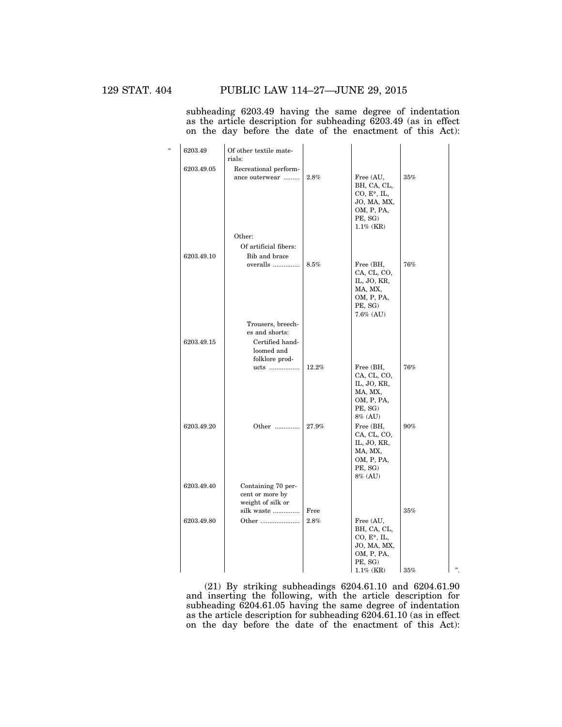subheading 6203.49 having the same degree of indentation as the article description for subheading 6203.49 (as in effect on the day before the date of the enactment of this Act):

| $\epsilon$ | 6203.49    | Of other textile mate-<br>rials:                                  |                 |                                                                                                    |     |   |
|------------|------------|-------------------------------------------------------------------|-----------------|----------------------------------------------------------------------------------------------------|-----|---|
|            | 6203.49.05 | Recreational perform-<br>ance outerwear                           | 2.8%            | Free (AU,<br>BH, CA, CL,<br>$CO, E^*, IL,$<br>JO, MA, MX,<br>OM, P, PA,<br>PE, SG)<br>$1.1\%$ (KR) | 35% |   |
|            |            | Other:<br>Of artificial fibers:                                   |                 |                                                                                                    |     |   |
|            | 6203.49.10 | Bib and brace<br>overalls                                         | 8.5%            | Free (BH,<br>CA, CL, CO,<br>IL, JO, KR,<br>MA, MX,<br>OM, P, PA,<br>PE, SG)<br>7.6% (AU)           | 76% |   |
|            |            | Trousers, breech-                                                 |                 |                                                                                                    |     |   |
|            | 6203.49.15 | es and shorts:<br>Certified hand-<br>loomed and<br>folklore prod- |                 |                                                                                                    |     |   |
|            |            | ucts                                                              | 12.2%           | Free (BH,<br>CA, CL, CO,<br>IL, JO, KR,<br>MA, MX,<br>OM, P, PA,<br>PE, SG)<br>8% (AU)             | 76% |   |
|            | 6203.49.20 | Other                                                             | 27.9%           | Free (BH,<br>CA, CL, CO,<br>IL, JO, KR,<br>MA, MX,<br>OM, P, PA,<br>PE, SG)<br>8% (AU)             | 90% |   |
|            | 6203.49.40 | Containing 70 per-<br>cent or more by<br>weight of silk or        |                 |                                                                                                    |     |   |
|            | 6203.49.80 | silk waste<br>Other                                               | Free<br>$2.8\%$ | Free (AU,<br>BH, CA, CL,<br>$CO, E^*, IL,$<br>JO, MA, MX,<br>OM, P, PA,<br>PE, SG)                 | 35% |   |
|            |            |                                                                   |                 | $1.1\%$ (KR)                                                                                       | 35% | " |

(21) By striking subheadings 6204.61.10 and 6204.61.90 and inserting the following, with the article description for subheading 6204.61.05 having the same degree of indentation as the article description for subheading 6204.61.10 (as in effect on the day before the date of the enactment of this Act):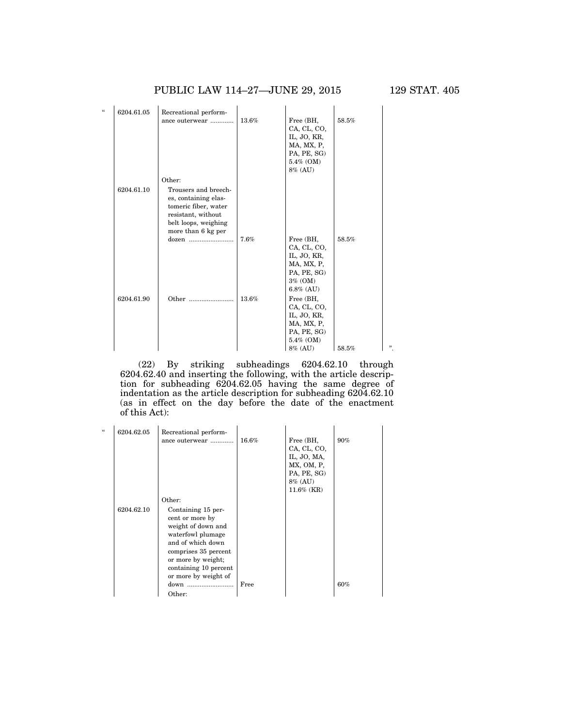### PUBLIC LAW 114–27—JUNE 29, 2015 129 STAT. 405

| $\epsilon$ | 6204.61.05 | Recreational perform-                                                                                                                    |       |                                                                                                 |       |   |
|------------|------------|------------------------------------------------------------------------------------------------------------------------------------------|-------|-------------------------------------------------------------------------------------------------|-------|---|
|            |            | ance outerwear                                                                                                                           | 13.6% | Free (BH,<br>CA, CL, CO,<br>IL, JO, KR,<br>MA, MX, P,<br>PA, PE, SG)<br>5.4% (OM)<br>8% (AU)    | 58.5% |   |
|            |            | Other:                                                                                                                                   |       |                                                                                                 |       |   |
|            | 6204.61.10 | Trousers and breech-<br>es, containing elas-<br>tomeric fiber, water<br>resistant, without<br>belt loops, weighing<br>more than 6 kg per |       |                                                                                                 |       |   |
|            |            |                                                                                                                                          | 7.6%  | Free (BH,<br>CA, CL, CO,<br>IL, JO, KR,<br>MA, MX, P,<br>PA, PE, SG)<br>3% (OM)<br>$6.8\%$ (AU) | 58.5% |   |
|            | 6204.61.90 | Other                                                                                                                                    | 13.6% | Free (BH,<br>CA, CL, CO,<br>IL, JO, KR,<br>MA, MX, P,<br>PA, PE, SG)<br>5.4% (OM)<br>8% (AU)    | 58.5% | " |

(22) By striking subheadings 6204.62.10 through 6204.62.40 and inserting the following, with the article description for subheading 6204.62.05 having the same degree of indentation as the article description for subheading 6204.62.10 (as in effect on the day before the date of the enactment of this Act):

| $\epsilon$ | 6204.62.05 | Recreational perform-                                                                                                                                                                                |       |                                                                                                  |     |
|------------|------------|------------------------------------------------------------------------------------------------------------------------------------------------------------------------------------------------------|-------|--------------------------------------------------------------------------------------------------|-----|
|            |            | ance outerwear                                                                                                                                                                                       | 16.6% | Free (BH,<br>CA, CL, CO,<br>IL, JO, MA,<br>MX, OM, P.<br>PA, PE, SG)<br>8% (AU)<br>$11.6\%$ (KR) | 90% |
|            |            | Other:                                                                                                                                                                                               |       |                                                                                                  |     |
|            | 6204.62.10 | Containing 15 per-<br>cent or more by<br>weight of down and<br>waterfowl plumage<br>and of which down<br>comprises 35 percent<br>or more by weight;<br>containing 10 percent<br>or more by weight of |       |                                                                                                  |     |
|            |            |                                                                                                                                                                                                      | Free  |                                                                                                  | 60% |
|            |            | Other:                                                                                                                                                                                               |       |                                                                                                  |     |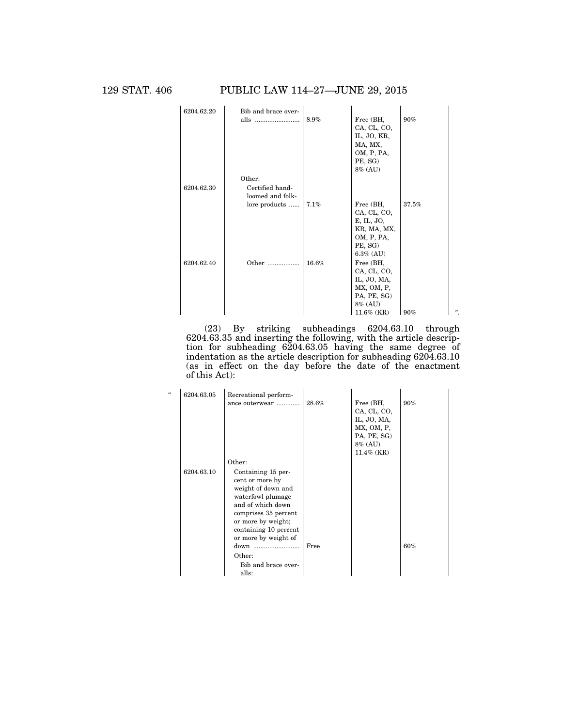129 STAT. 406 PUBLIC LAW 114–27—JUNE 29, 2015



(23) By striking subheadings 6204.63.10 through 6204.63.35 and inserting the following, with the article description for subheading 6204.63.05 having the same degree of indentation as the article description for subheading 6204.63.10 (as in effect on the day before the date of the enactment of this Act):

| $\mathcal{U}$ | 6204.63.05 | Recreational perform- |       |                          |     |
|---------------|------------|-----------------------|-------|--------------------------|-----|
|               |            | ance outerwear        | 28.6% | Free (BH,                | 90% |
|               |            |                       |       | CA, CL, CO,              |     |
|               |            |                       |       | IL, JO, MA,              |     |
|               |            |                       |       | MX, OM, P,               |     |
|               |            |                       |       | PA, PE, SG)              |     |
|               |            |                       |       | 8% (AU)<br>$11.4\%$ (KR) |     |
|               |            |                       |       |                          |     |
|               |            | Other:                |       |                          |     |
|               | 6204.63.10 | Containing 15 per-    |       |                          |     |
|               |            | cent or more by       |       |                          |     |
|               |            | weight of down and    |       |                          |     |
|               |            | waterfowl plumage     |       |                          |     |
|               |            | and of which down     |       |                          |     |
|               |            | comprises 35 percent  |       |                          |     |
|               |            | or more by weight;    |       |                          |     |
|               |            | containing 10 percent |       |                          |     |
|               |            | or more by weight of  |       |                          |     |
|               |            | down                  | Free  |                          | 60% |
|               |            | Other:                |       |                          |     |
|               |            | Bib and brace over-   |       |                          |     |
|               |            | alls:                 |       |                          |     |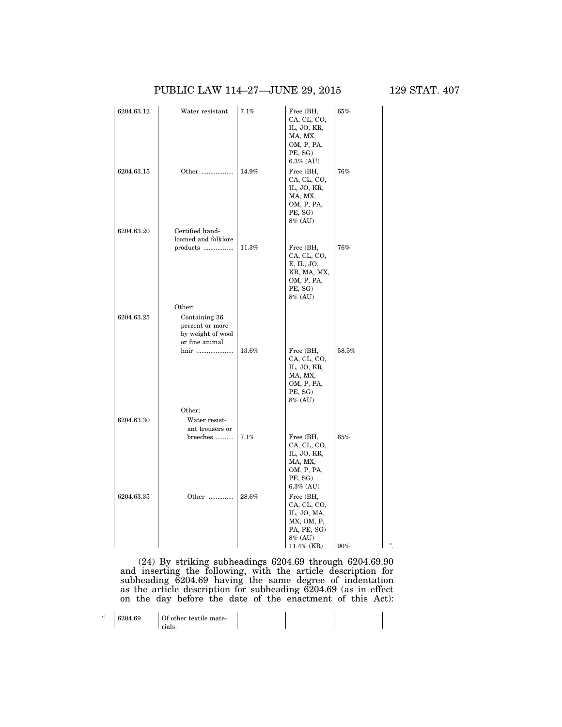### PUBLIC LAW 114-27-JUNE 29, 2015 129 STAT. 407

 $\mathbf{r}$ 

| 6204.63.12 | Water resistant                                                         | 7.1%  | Free (BH,<br>CA, CL, CO,<br>IL, JO, KR,<br>MA, MX,<br>OM, P, PA,<br>PE, SG)<br>$6.3\%$ (AU) | 65%   |  |
|------------|-------------------------------------------------------------------------|-------|---------------------------------------------------------------------------------------------|-------|--|
| 6204.63.15 | Other                                                                   | 14.9% | Free (BH,<br>CA, CL, CO,<br>IL, JO, KR,<br>MA, MX,<br>OM, P, PA,<br>PE, SG)<br>8% (AU)      | 76%   |  |
| 6204.63.20 | Certified hand-                                                         |       |                                                                                             |       |  |
|            | loomed and folklore<br>products                                         | 11.3% | Free (BH,<br>CA, CL, CO,<br>E, IL, JO,<br>KR, MA, MX,<br>OM, P, PA,<br>PE, SG)<br>8% (AU)   | 76%   |  |
|            | Other:                                                                  |       |                                                                                             |       |  |
| 6204.63.25 | Containing 36<br>percent or more<br>by weight of wool<br>or fine animal |       |                                                                                             |       |  |
|            | hair                                                                    | 13.6% | Free (BH,<br>CA, CL, CO,<br>IL, JO, KR,<br>MA, MX,<br>OM, P, PA,<br>PE, SG)<br>8% (AU)      | 58.5% |  |
|            | Other:                                                                  |       |                                                                                             |       |  |
| 6204.63.30 | Water resist-<br>ant trousers or                                        | 7.1%  | Free (BH,                                                                                   | 65%   |  |
|            | breeches                                                                |       | CA, CL, CO,<br>IL, JO, KR,<br>MA, MX,<br>OM, P, PA,<br>PE, SG)<br>$6.3\%$ (AU)              |       |  |
| 6204.63.35 | Other                                                                   | 28.6% | Free (BH,<br>CA, CL, CO,<br>IL, JO, MA,<br>MX, OM, P,<br>PA, PE, SG)<br>8% (AU)             |       |  |
|            |                                                                         |       | $11.4\%$ (KR)                                                                               | 90%   |  |

(24) By striking subheadings 6204.69 through 6204.69.90 and inserting the following, with the article description for subheading 6204.69 having the same degree of indentation as the article description for subheading 6204.69 (as in effect on the day before the date of the enactment of this Act):

| $\epsilon$ | 6204.69 | Of other textile mate- |  |  |
|------------|---------|------------------------|--|--|
|            |         | rials:                 |  |  |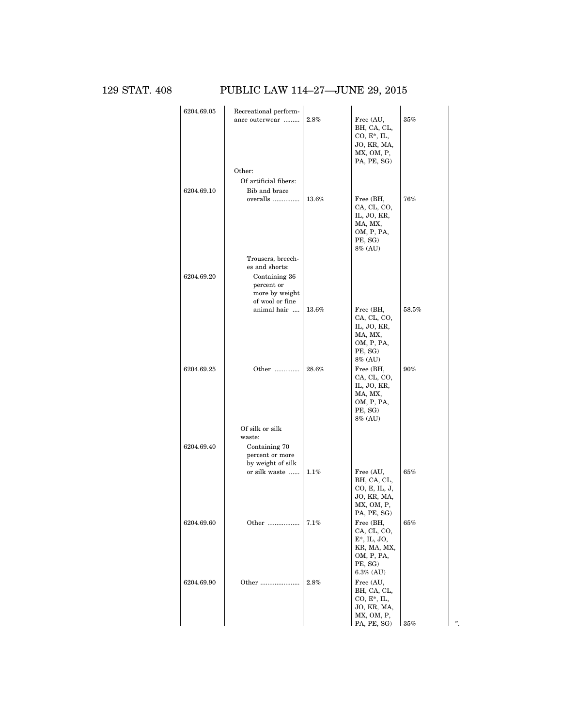### 129 STAT. 408 PUBLIC LAW 114–27—JUNE 29, 2015

| 6204.69.05 | Recreational perform-<br>ance outerwear<br>Other:                | $2.8\%$  | Free (AU,<br>BH, CA, CL,<br>$CO, E^*, IL,$<br>JO, KR, MA,<br>MX, OM, P,<br>PA, PE, SG)              | 35%    |  |
|------------|------------------------------------------------------------------|----------|-----------------------------------------------------------------------------------------------------|--------|--|
|            | Of artificial fibers:                                            |          |                                                                                                     |        |  |
|            |                                                                  |          |                                                                                                     |        |  |
| 6204.69.10 | Bib and brace<br>overalls                                        | 13.6%    | Free (BH,<br>CA, CL, CO,<br>IL, JO, KR,<br>MA, MX,<br>OM, P, PA,<br>PE, SG)<br>8% (AU)              | $76\%$ |  |
|            | Trousers, breech-                                                |          |                                                                                                     |        |  |
|            | es and shorts:                                                   |          |                                                                                                     |        |  |
| 6204.69.20 | Containing 36<br>percent or<br>more by weight<br>of wool or fine |          |                                                                                                     |        |  |
|            | animal hair                                                      | $13.6\%$ | Free (BH,<br>CA, CL, CO,<br>IL, JO, KR,<br>MA, MX,<br>OM, P, PA,<br>PE, SG)<br>8% (AU)              | 58.5%  |  |
| 6204.69.25 | Other                                                            | $28.6\%$ | Free (BH,<br>CA, CL, CO,<br>IL, JO, KR,<br>MA, MX,<br>OM, P, PA,<br>PE, SG)<br>8% (AU)              | 90%    |  |
|            | Of silk or silk                                                  |          |                                                                                                     |        |  |
|            | waste:                                                           |          |                                                                                                     |        |  |
| 6204.69.40 | Containing 70<br>percent or more<br>by weight of silk            |          |                                                                                                     |        |  |
|            | or silk waste                                                    | 1.1%     | Free (AU,<br>BH, CA, CL,<br>CO, E, IL, J,<br>JO, KR, MA,<br>MX, OM, P,<br>PA, PE, SG)               | 65%    |  |
| 6204.69.60 | Other                                                            | 7.1%     | Free (BH,<br>CA, CL, CO,<br>$E^*$ , IL, JO,<br>KR, MA, MX,<br>OM, P, PA,<br>PE, SG)<br>$6.3\%$ (AU) | $65\%$ |  |
| 6204.69.90 | Other                                                            | 2.8%     | Free (AU,<br>BH, CA, CL,<br>$CO, E^*, IL,$<br>JO, KR, MA,<br>MX, OM, P,<br>PA, PE, SG)              | 35%    |  |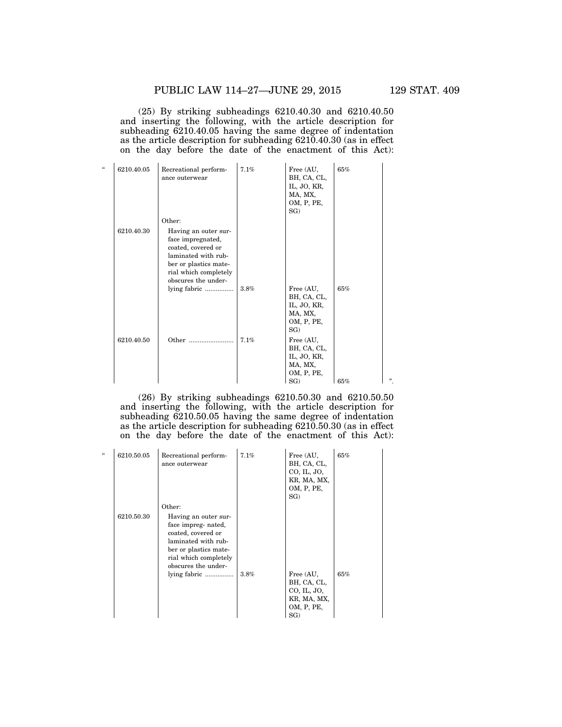(25) By striking subheadings 6210.40.30 and 6210.40.50 and inserting the following, with the article description for subheading 6210.40.05 having the same degree of indentation as the article description for subheading 6210.40.30 (as in effect on the day before the date of the enactment of this Act):

| $\epsilon$ | 6210.40.05 | Recreational perform-<br>ance outerwear                                                                                                                         | 7.1% | Free (AU,<br>BH, CA, CL,<br>IL, JO, KR,<br>MA, MX,<br>OM, P, PE,<br>SG) | 65% |   |
|------------|------------|-----------------------------------------------------------------------------------------------------------------------------------------------------------------|------|-------------------------------------------------------------------------|-----|---|
|            |            | Other:                                                                                                                                                          |      |                                                                         |     |   |
|            | 6210.40.30 | Having an outer sur-<br>face impregnated,<br>coated, covered or<br>laminated with rub-<br>ber or plastics mate-<br>rial which completely<br>obscures the under- |      |                                                                         |     |   |
|            |            | lying fabric                                                                                                                                                    | 3.8% | Free (AU,<br>BH, CA, CL,<br>IL, JO, KR,<br>MA, MX,<br>OM, P, PE,<br>SG) | 65% |   |
|            | 6210.40.50 | Other                                                                                                                                                           | 7.1% | Free (AU,<br>BH, CA, CL,<br>IL, JO, KR,<br>MA, MX,<br>OM, P, PE,<br>SG) | 65% | " |

(26) By striking subheadings 6210.50.30 and 6210.50.50 and inserting the following, with the article description for subheading 6210.50.05 having the same degree of indentation as the article description for subheading 6210.50.30 (as in effect on the day before the date of the enactment of this Act):

| 6210.50.05 | Recreational perform-<br>ance outerwear                                                                                                                                     | 7.1% | Free (AU,<br>BH, CA, CL,<br>CO, IL, JO,<br>KR, MA, MX,<br>OM, P, PE,<br>SG | 65% |
|------------|-----------------------------------------------------------------------------------------------------------------------------------------------------------------------------|------|----------------------------------------------------------------------------|-----|
| 6210.50.30 | Other:<br>Having an outer sur-<br>face impreg- nated,<br>coated, covered or<br>laminated with rub-<br>ber or plastics mate-<br>rial which completely<br>obscures the under- |      |                                                                            |     |
|            | lying fabric                                                                                                                                                                | 3.8% | Free (AU,<br>BH, CA, CL,<br>CO, IL, JO,<br>KR, MA, MX,<br>OM, P, PE,<br>SG | 65% |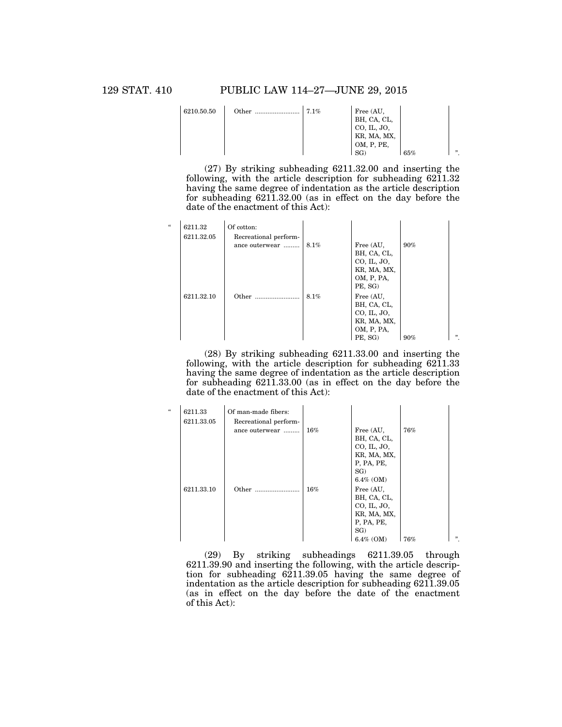129 STAT. 410 PUBLIC LAW 114–27—JUNE 29, 2015

| 6210.50.50 | Other | 7.1% | Free (AU,<br>BH, CA, CL,<br>CO, IL, JO,<br>KR, MA, MX, |     |        |
|------------|-------|------|--------------------------------------------------------|-----|--------|
|            |       |      | OM, P, PE,                                             |     | , 2, 3 |
|            |       |      | SG)                                                    | 65% |        |

(27) By striking subheading 6211.32.00 and inserting the following, with the article description for subheading  $62\overline{1}1.32$ having the same degree of indentation as the article description for subheading 6211.32.00 (as in effect on the day before the date of the enactment of this Act):

| $\epsilon$ | 6211.32<br>6211.32.05 | Of cotton:<br>Recreational perform- |      |                                                                                 |     |     |
|------------|-----------------------|-------------------------------------|------|---------------------------------------------------------------------------------|-----|-----|
|            |                       | ance outerwear                      | 8.1% | Free (AU,<br>BH, CA, CL,<br>CO, IL, JO,<br>KR, MA, MX,<br>OM, P, PA,<br>PE, SG) | 90% |     |
|            | 6211.32.10            | Other                               | 8.1% | Free (AU,<br>BH, CA, CL,<br>CO, IL, JO,<br>KR, MA, MX,<br>OM, P, PA,<br>PE, SG) | 90% | , , |

(28) By striking subheading 6211.33.00 and inserting the following, with the article description for subheading 6211.33 having the same degree of indentation as the article description for subheading 6211.33.00 (as in effect on the day before the date of the enactment of this Act):

| $\epsilon$ | 6211.33    | Of man-made fibers:   |        |              |     |     |
|------------|------------|-----------------------|--------|--------------|-----|-----|
|            | 6211.33.05 | Recreational perform- |        |              |     |     |
|            |            | ance outerwear        | $16\%$ | Free (AU,    | 76% |     |
|            |            |                       |        | BH, CA, CL,  |     |     |
|            |            |                       |        | CO, IL, JO,  |     |     |
|            |            |                       |        | KR, MA, MX,  |     |     |
|            |            |                       |        | P, PA, PE,   |     |     |
|            |            |                       |        | SG           |     |     |
|            |            |                       |        | $6.4\%$ (OM) |     |     |
|            | 6211.33.10 | Other                 | 16%    | Free (AU,    |     |     |
|            |            |                       |        | BH, CA, CL,  |     |     |
|            |            |                       |        | CO, IL, JO,  |     |     |
|            |            |                       |        | KR, MA, MX,  |     |     |
|            |            |                       |        | P, PA, PE,   |     |     |
|            |            |                       |        | SG)          |     |     |
|            |            |                       |        | $6.4\%$ (OM) | 76% | , , |
|            |            |                       |        |              |     |     |

(29) By striking subheadings 6211.39.05 through 6211.39.90 and inserting the following, with the article description for subheading  $6211.39.05$  having the same degree of indentation as the article description for subheading 6211.39.05 (as in effect on the day before the date of the enactment of this Act):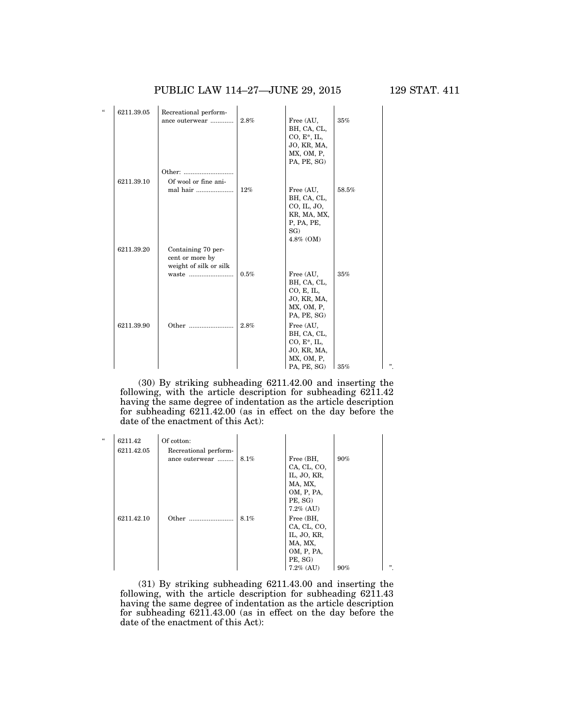PUBLIC LAW 114–27—JUNE 29, 2015 129 STAT. 411

| u | 6211.39.05 | Recreational perform-                                           |      |                                                                                          |       |   |
|---|------------|-----------------------------------------------------------------|------|------------------------------------------------------------------------------------------|-------|---|
|   |            | ance outerwear                                                  | 2.8% | Free (AU,<br>BH, CA, CL,<br>$CO, E^*, IL,$<br>JO, KR, MA,<br>MX, OM, P,                  | 35%   |   |
|   |            |                                                                 |      | PA, PE, SG)                                                                              |       |   |
|   | 6211.39.10 | Other:<br>Of wool or fine ani-                                  |      |                                                                                          |       |   |
|   |            | mal hair                                                        | 12%  | Free (AU,<br>BH, CA, CL,<br>CO, IL, JO,<br>KR, MA, MX,<br>P, PA, PE,<br>SG)<br>4.8% (OM) | 58.5% |   |
|   | 6211.39.20 | Containing 70 per-<br>cent or more by<br>weight of silk or silk |      |                                                                                          |       |   |
|   |            | waste                                                           | 0.5% | Free (AU,<br>BH, CA, CL,<br>CO, E, IL,<br>JO, KR, MA,<br>MX, OM, P,<br>PA, PE, SG)       | 35%   |   |
|   | 6211.39.90 | Other                                                           | 2.8% | Free (AU,<br>BH, CA, CL,<br>$CO, E^*, IL,$<br>JO, KR, MA,<br>MX, OM, P,<br>PA, PE, SG)   | 35%   | " |

(30) By striking subheading 6211.42.00 and inserting the following, with the article description for subheading 6211.42 having the same degree of indentation as the article description for subheading 6211.42.00 (as in effect on the day before the date of the enactment of this Act):

| $\epsilon$ | 6211.42<br>6211.42.05 | Of cotton:<br>Recreational perform- |      |              |     |        |
|------------|-----------------------|-------------------------------------|------|--------------|-----|--------|
|            |                       | ance outerwear                      | 8.1% | Free (BH,    | 90% |        |
|            |                       |                                     |      | CA, CL, CO,  |     |        |
|            |                       |                                     |      | IL, JO, KR,  |     |        |
|            |                       |                                     |      | MA, MX,      |     |        |
|            |                       |                                     |      | OM, P, PA,   |     |        |
|            |                       |                                     |      | PE, SG)      |     |        |
|            |                       |                                     |      | $7.2\%$ (AU) |     |        |
|            | 6211.42.10            | Other                               | 8.1% | Free (BH,    |     |        |
|            |                       |                                     |      | CA, CL, CO,  |     |        |
|            |                       |                                     |      | IL, JO, KR,  |     |        |
|            |                       |                                     |      | MA, MX,      |     |        |
|            |                       |                                     |      | OM, P, PA,   |     |        |
|            |                       |                                     |      | PE, SG)      |     |        |
|            |                       |                                     |      | $7.2\%$ (AU) | 90% | , 2, 3 |

(31) By striking subheading 6211.43.00 and inserting the following, with the article description for subheading 6211.43 having the same degree of indentation as the article description for subheading 6211.43.00 (as in effect on the day before the date of the enactment of this Act):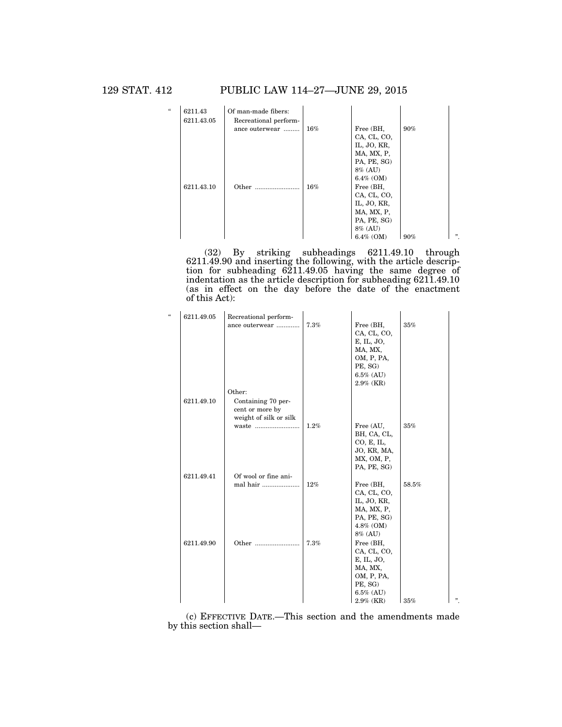129 STAT. 412 PUBLIC LAW 114–27—JUNE 29, 2015



(32) By striking subheadings 6211.49.10 through 6211.49.90 and inserting the following, with the article description for subheading 6211.49.05 having the same degree of indentation as the article description for subheading 6211.49.10 (as in effect on the day before the date of the enactment of this Act):

| $\mathcal{C}$ | 6211.49.05 | Recreational perform-  |      |              |       |   |
|---------------|------------|------------------------|------|--------------|-------|---|
|               |            | ance outerwear         | 7.3% | Free (BH,    | 35%   |   |
|               |            |                        |      | CA, CL, CO,  |       |   |
|               |            |                        |      | E, IL, JO,   |       |   |
|               |            |                        |      | MA, MX,      |       |   |
|               |            |                        |      | OM, P, PA,   |       |   |
|               |            |                        |      | PE, SG)      |       |   |
|               |            |                        |      | $6.5\%$ (AU) |       |   |
|               |            |                        |      | $2.9\%$ (KR) |       |   |
|               |            | Other:                 |      |              |       |   |
|               | 6211.49.10 | Containing 70 per-     |      |              |       |   |
|               |            | cent or more by        |      |              |       |   |
|               |            | weight of silk or silk |      |              |       |   |
|               |            | waste                  | 1.2% | Free (AU,    | 35%   |   |
|               |            |                        |      | BH, CA, CL,  |       |   |
|               |            |                        |      | CO, E, IL,   |       |   |
|               |            |                        |      | JO, KR, MA,  |       |   |
|               |            |                        |      | MX, OM, P,   |       |   |
|               |            |                        |      | PA, PE, SG)  |       |   |
|               | 6211.49.41 | Of wool or fine ani-   |      |              |       |   |
|               |            | mal hair               | 12%  | Free (BH,    | 58.5% |   |
|               |            |                        |      | CA, CL, CO,  |       |   |
|               |            |                        |      | IL, JO, KR,  |       |   |
|               |            |                        |      | MA, MX, P,   |       |   |
|               |            |                        |      | PA, PE, SG)  |       |   |
|               |            |                        |      | $4.8\%$ (OM) |       |   |
|               |            |                        |      | 8% (AU)      |       |   |
|               | 6211.49.90 | Other                  | 7.3% | Free (BH,    |       |   |
|               |            |                        |      | CA, CL, CO,  |       |   |
|               |            |                        |      | E, IL, JO,   |       |   |
|               |            |                        |      | MA, MX,      |       |   |
|               |            |                        |      | OM, P, PA,   |       |   |
|               |            |                        |      | PE, SG)      |       |   |
|               |            |                        |      | $6.5\%$ (AU) |       |   |
|               |            |                        |      | $2.9\%$ (KR) | 35%   | " |

(c) EFFECTIVE DATE.—This section and the amendments made by this section shall—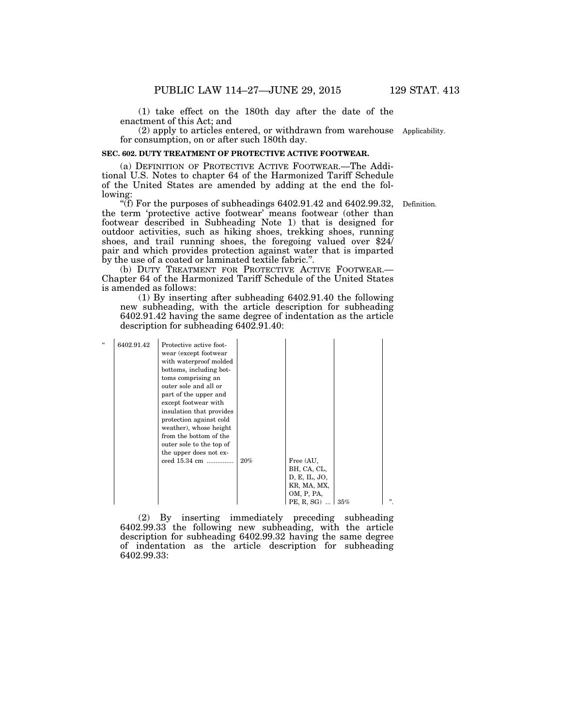(1) take effect on the 180th day after the date of the enactment of this Act; and

(2) apply to articles entered, or withdrawn from warehouse Applicability. for consumption, on or after such 180th day.

#### **SEC. 602. DUTY TREATMENT OF PROTECTIVE ACTIVE FOOTWEAR.**

(a) DEFINITION OF PROTECTIVE ACTIVE FOOTWEAR.—The Additional U.S. Notes to chapter 64 of the Harmonized Tariff Schedule of the United States are amended by adding at the end the following:

''(f) For the purposes of subheadings 6402.91.42 and 6402.99.32, the term 'protective active footwear' means footwear (other than footwear described in Subheading Note 1) that is designed for outdoor activities, such as hiking shoes, trekking shoes, running shoes, and trail running shoes, the foregoing valued over  $$24$ pair and which provides protection against water that is imparted by the use of a coated or laminated textile fabric.''.

(b) DUTY TREATMENT FOR PROTECTIVE ACTIVE FOOTWEAR.— Chapter 64 of the Harmonized Tariff Schedule of the United States is amended as follows:

(1) By inserting after subheading 6402.91.40 the following new subheading, with the article description for subheading 6402.91.42 having the same degree of indentation as the article description for subheading 6402.91.40:

| $\epsilon\epsilon$ | 6402.91.42 | Protective active foot-<br>wear (except footwear<br>with waterproof molded<br>bottoms, including bot-<br>toms comprising an<br>outer sole and all or<br>part of the upper and |     |                        |  |
|--------------------|------------|-------------------------------------------------------------------------------------------------------------------------------------------------------------------------------|-----|------------------------|--|
|                    |            | except footwear with                                                                                                                                                          |     |                        |  |
|                    |            | insulation that provides                                                                                                                                                      |     |                        |  |
|                    |            | protection against cold<br>weather), whose height                                                                                                                             |     |                        |  |
|                    |            | from the bottom of the                                                                                                                                                        |     |                        |  |
|                    |            | outer sole to the top of                                                                                                                                                      |     |                        |  |
|                    |            | the upper does not ex-                                                                                                                                                        |     |                        |  |
|                    |            | ceed 15.34 cm                                                                                                                                                                 | 20% | Free (AU,              |  |
|                    |            |                                                                                                                                                                               |     | BH, CA, CL,            |  |
|                    |            |                                                                                                                                                                               |     | D, E, IL, JO,          |  |
|                    |            |                                                                                                                                                                               |     | KR, MA, MX,            |  |
|                    |            |                                                                                                                                                                               |     | OM, P, PA,             |  |
|                    |            |                                                                                                                                                                               |     | PE, R, SG) $\vert$ 35% |  |

(2) By inserting immediately preceding subheading 6402.99.33 the following new subheading, with the article description for subheading 6402.99.32 having the same degree of indentation as the article description for subheading 6402.99.33:

Definition.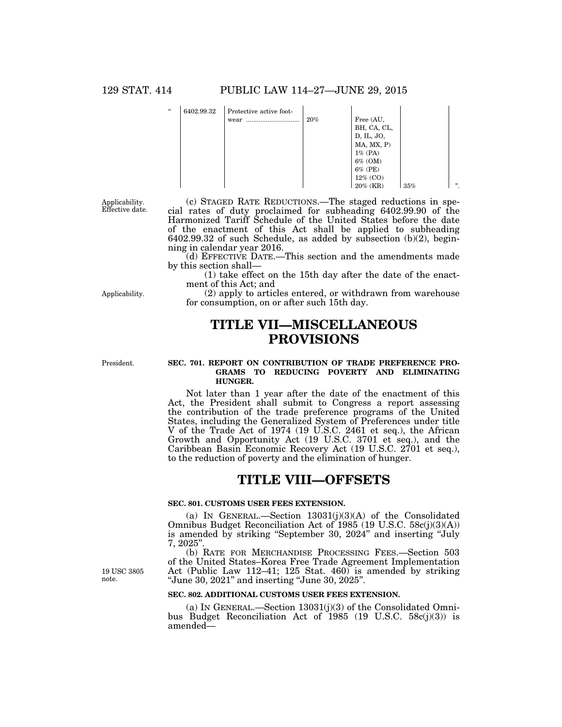| $\epsilon$ | 6402.99.32 | Protective active foot-<br>wear | 20% | Free (AU,<br>BH, CA, CL,<br>D, IL, JO,<br>MA, MX, P) |     |     |
|------------|------------|---------------------------------|-----|------------------------------------------------------|-----|-----|
|            |            |                                 |     |                                                      |     |     |
|            |            |                                 |     | $1\%$ (PA)                                           |     |     |
|            |            |                                 |     | $6\%$ (OM)                                           |     |     |
|            |            |                                 |     | 6% (PE)                                              |     |     |
|            |            |                                 |     | 12% (CO)                                             |     |     |
|            |            |                                 |     | $20\%$ (KR)                                          | 35% | , , |

Applicability. Effective date.

(c) STAGED RATE REDUCTIONS.—The staged reductions in special rates of duty proclaimed for subheading 6402.99.90 of the Harmonized Tariff Schedule of the United States before the date of the enactment of this Act shall be applied to subheading 6402.99.32 of such Schedule, as added by subsection (b)(2), beginning in calendar year 2016.

(d) EFFECTIVE DATE.—This section and the amendments made by this section shall—

for consumption, on or after such 15th day.

(1) take effect on the 15th day after the date of the enactment of this Act; and (2) apply to articles entered, or withdrawn from warehouse

Applicability.

President.

### **TITLE VII—MISCELLANEOUS PROVISIONS**

#### **SEC. 701. REPORT ON CONTRIBUTION OF TRADE PREFERENCE PRO-GRAMS TO REDUCING POVERTY AND ELIMINATING HUNGER.**

Not later than 1 year after the date of the enactment of this Act, the President shall submit to Congress a report assessing the contribution of the trade preference programs of the United States, including the Generalized System of Preferences under title V of the Trade Act of 1974 (19 U.S.C. 2461 et seq.), the African Growth and Opportunity Act (19 U.S.C. 3701 et seq.), and the Caribbean Basin Economic Recovery Act (19 U.S.C. 2701 et seq.), to the reduction of poverty and the elimination of hunger.

### **TITLE VIII—OFFSETS**

#### **SEC. 801. CUSTOMS USER FEES EXTENSION.**

(a) IN GENERAL.—Section  $13031(j)(3)(A)$  of the Consolidated Omnibus Budget Reconciliation Act of 1985 (19 U.S.C. 58c(j)(3)(A)) is amended by striking ''September 30, 2024'' and inserting ''July 7, 2025''.

(b) RATE FOR MERCHANDISE PROCESSING FEES.—Section 503 of the United States–Korea Free Trade Agreement Implementation Act (Public Law 112–41; 125 Stat. 460) is amended by striking ''June 30, 2021'' and inserting ''June 30, 2025''.

#### **SEC. 802. ADDITIONAL CUSTOMS USER FEES EXTENSION.**

(a) IN GENERAL.—Section  $13031(j)(3)$  of the Consolidated Omnibus Budget Reconciliation Act of 1985 (19 U.S.C. 58c(j)(3)) is amended—

19 USC 3805 note.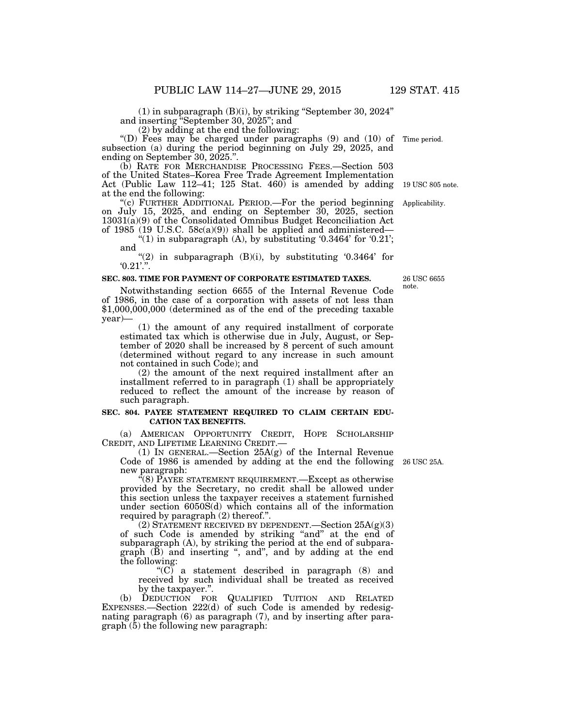(1) in subparagraph (B)(i), by striking ''September 30, 2024''

and inserting ''September 30, 2025''; and

(2) by adding at the end the following:

''(D) Fees may be charged under paragraphs (9) and (10) of Time period. subsection (a) during the period beginning on July 29, 2025, and ending on September 30, 2025.''.

(b) RATE FOR MERCHANDISE PROCESSING FEES.—Section 503 of the United States–Korea Free Trade Agreement Implementation Act (Public Law 112–41; 125 Stat. 460) is amended by adding at the end the following:

''(c) FURTHER ADDITIONAL PERIOD.—For the period beginning on July 15, 2025, and ending on September 30, 2025, section 13031(a)(9) of the Consolidated Omnibus Budget Reconciliation Act of 1985 (19 U.S.C.  $58c(a)(9)$ ) shall be applied and administered— Applicability.

"(1) in subparagraph  $(A)$ , by substituting '0.3464' for '0.21'; and

 $(2)$  in subparagraph  $(B)(i)$ , by substituting  $(0.3464)$  for  $0.21$ .".

#### **SEC. 803. TIME FOR PAYMENT OF CORPORATE ESTIMATED TAXES.**

Notwithstanding section 6655 of the Internal Revenue Code of 1986, in the case of a corporation with assets of not less than \$1,000,000,000 (determined as of the end of the preceding taxable year)—

(1) the amount of any required installment of corporate estimated tax which is otherwise due in July, August, or September of 2020 shall be increased by 8 percent of such amount (determined without regard to any increase in such amount not contained in such Code); and

(2) the amount of the next required installment after an installment referred to in paragraph (1) shall be appropriately reduced to reflect the amount of the increase by reason of such paragraph.

#### **SEC. 804. PAYEE STATEMENT REQUIRED TO CLAIM CERTAIN EDU-CATION TAX BENEFITS.**

(a) AMERICAN OPPORTUNITY CREDIT, HOPE SCHOLARSHIP

(1) IN GENERAL.—Section  $25A(g)$  of the Internal Revenue Code of 1986 is amended by adding at the end the following new paragraph:

"(8) PAYEE STATEMENT REQUIREMENT.—Except as otherwise provided by the Secretary, no credit shall be allowed under this section unless the taxpayer receives a statement furnished under section 6050S(d) which contains all of the information required by paragraph (2) thereof.''.

(2) STATEMENT RECEIVED BY DEPENDENT. Section  $25A(g)(3)$ of such Code is amended by striking "and" at the end of subparagraph (A), by striking the period at the end of subparagraph (B) and inserting ", and", and by adding at the end the following:

" $(C)$  a statement described in paragraph  $(8)$  and received by such individual shall be treated as received by the taxpayer.''.

(b) DEDUCTION FOR QUALIFIED TUITION AND RELATED EXPENSES.—Section 222(d) of such Code is amended by redesignating paragraph (6) as paragraph (7), and by inserting after para $graph (5)$  the following new paragraph:

26 USC 25A.

26 USC 6655 note.

19 USC 805 note.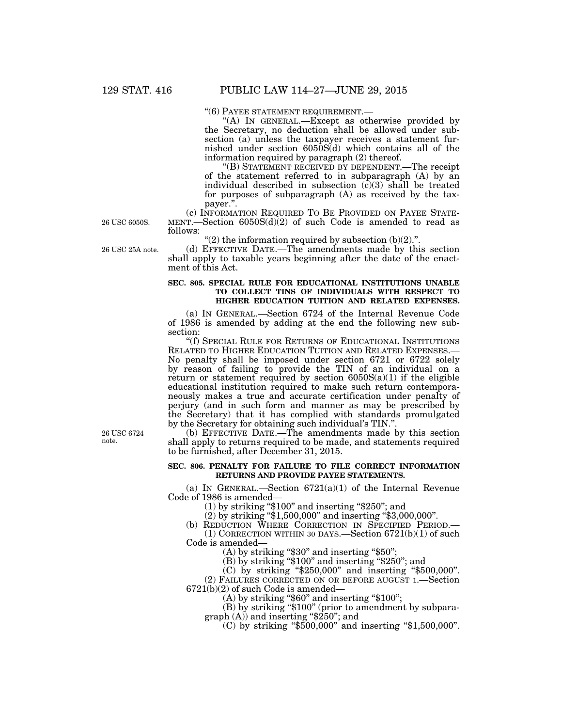''(6) PAYEE STATEMENT REQUIREMENT.— ''(A) IN GENERAL.—Except as otherwise provided by the Secretary, no deduction shall be allowed under subsection (a) unless the taxpayer receives a statement furnished under section 6050S(d) which contains all of the information required by paragraph (2) thereof.

''(B) STATEMENT RECEIVED BY DEPENDENT.—The receipt of the statement referred to in subparagraph (A) by an individual described in subsection  $(c)(3)$  shall be treated for purposes of subparagraph (A) as received by the tax-

payer.".<br>(c) INFORMATION REQUIRED TO BE PROVIDED ON PAYEE STATE- $MENT.$ —Section 6050S(d)(2) of such Code is amended to read as follows:

" $(2)$  the information required by subsection  $(b)(2)$ .".

(d) EFFECTIVE DATE.—The amendments made by this section shall apply to taxable years beginning after the date of the enactment of this Act.

#### **SEC. 805. SPECIAL RULE FOR EDUCATIONAL INSTITUTIONS UNABLE TO COLLECT TINS OF INDIVIDUALS WITH RESPECT TO HIGHER EDUCATION TUITION AND RELATED EXPENSES.**

(a) IN GENERAL.—Section 6724 of the Internal Revenue Code of 1986 is amended by adding at the end the following new subsection:

''(f) SPECIAL RULE FOR RETURNS OF EDUCATIONAL INSTITUTIONS RELATED TO HIGHER EDUCATION TUITION AND RELATED EXPENSES.— No penalty shall be imposed under section 6721 or 6722 solely by reason of failing to provide the TIN of an individual on a return or statement required by section  $6050S(a)(1)$  if the eligible educational institution required to make such return contemporaneously makes a true and accurate certification under penalty of perjury (and in such form and manner as may be prescribed by the Secretary) that it has complied with standards promulgated by the Secretary for obtaining such individual's TIN.'

(b) EFFECTIVE DATE.—The amendments made by this section shall apply to returns required to be made, and statements required to be furnished, after December 31, 2015.

#### **SEC. 806. PENALTY FOR FAILURE TO FILE CORRECT INFORMATION RETURNS AND PROVIDE PAYEE STATEMENTS.**

(a) IN GENERAL.—Section  $6721(a)(1)$  of the Internal Revenue Code of 1986 is amended—

(1) by striking ''\$100'' and inserting ''\$250''; and

(2) by striking ''\$1,500,000'' and inserting ''\$3,000,000''.

(b) REDUCTION WHERE CORRECTION IN SPECIFIED PERIOD.— (1) CORRECTION WITHIN 30 DAYS.—Section  $6721(b)(1)$  of such Code is amended—

 $(A)$  by striking "\$30" and inserting "\$50";

(B) by striking "\$100" and inserting "\$250"; and

(C) by striking ''\$250,000'' and inserting ''\$500,000''.

(2) FAILURES CORRECTED ON OR BEFORE AUGUST 1.—Section 6721(b)(2) of such Code is amended—

 $(A)$  by striking "\$60" and inserting "\$100";

(B) by striking ''\$100'' (prior to amendment by subparagraph (A)) and inserting ''\$250''; and

(C) by striking ''\$500,000'' and inserting ''\$1,500,000''.

26 USC 6724 note.

26 USC 25A note.

26 USC 6050S.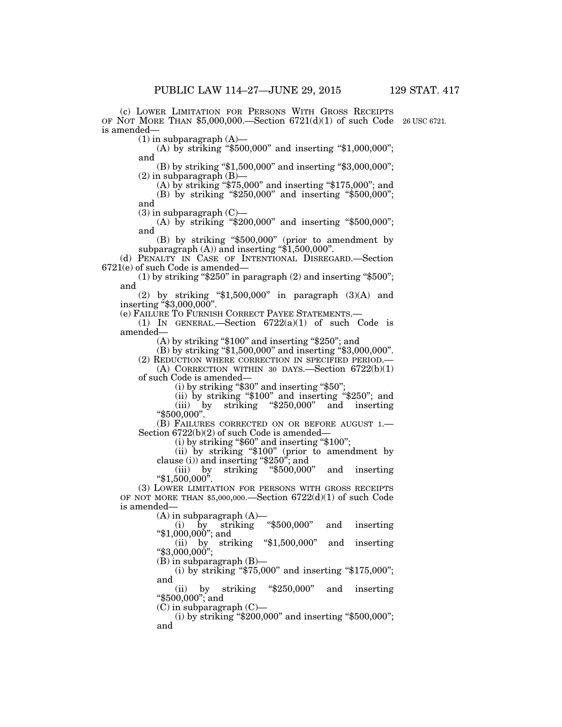(c) LOWER LIMITATION FOR PERSONS WITH GROSS RECEIPTS OF NOT MORE THAN  $$5,000,000$ —Section  $6721(d)(1)$  of such Code 26 USC 6721. is amended—

 $(1)$  in subparagraph  $(A)$ —

(A) by striking " $$500,000$ " and inserting " $$1,000,000$ "; and

(B) by striking "\$1,500,000" and inserting "\$3,000,000";  $(2)$  in subparagraph  $(B)$ –

(A) by striking ''\$75,000'' and inserting ''\$175,000''; and

(B) by striking "\$250,000" and inserting "\$500,000"; and

 $(3)$  in subparagraph  $(C)$ —

(A) by striking "\$200,000" and inserting "\$500,000"; and

(B) by striking ''\$500,000'' (prior to amendment by subparagraph  $(A)$  and inserting " $$1,500,000$ ".

(d) PENALTY IN CASE OF INTENTIONAL DISREGARD.—Section 6721(e) of such Code is amended—

 $(1)$  by striking "\$250" in paragraph  $(2)$  and inserting "\$500"; and

(2) by striking " $$1,500,000$ " in paragraph  $(3)(A)$  and inserting "\$3,000,000".

(e) FAILURE TO FURNISH CORRECT PAYEE STATEMENTS.—

(1) IN GENERAL.—Section 6722(a)(1) of such Code is amended—

 $(A)$  by striking "\$100" and inserting "\$250"; and

(B) by striking "\$1,500,000" and inserting "\$3,000,000".

(2) REDUCTION WHERE CORRECTION IN SPECIFIED PERIOD.—

(A) CORRECTION WITHIN 30 DAYS.—Section 6722(b)(1) of such Code is amended—

(i) by striking ''\$30'' and inserting ''\$50'';

(ii) by striking ''\$100'' and inserting ''\$250''; and (iii) by striking ''\$250,000'' and inserting

''\$500,000''.

(B) FAILURES CORRECTED ON OR BEFORE AUGUST 1.—<br>Section 6722(b)(2) of such Code is amended—

 $(i)$  by striking "\$60" and inserting "\$100";

(ii) by striking ''\$100'' (prior to amendment by clause (i)) and inserting ''\$250''; and

striking  $*500,000$ " and inserting  $``\$1,500,000".$ 

(3) LOWER LIMITATION FOR PERSONS WITH GROSS RECEIPTS OF NOT MORE THAN \$5,000,000.—Section 6722(d)(1) of such Code is amended—

(A) in subparagraph  $(A)$ —<br>(i) by striking "\$500,000" (i) by striking ''\$500,000'' and inserting " $$1,000,000$ "; and

(ii) by striking ''\$1,500,000'' and inserting ''\$3,000,000'';

(B) in subparagraph (B)—

(i) by striking " $\frac{25,000}{875,000}$ " and inserting " $\frac{175,000}{875,000}$ "; and  $(iii)$ 

by striking " $$250,000"$  and inserting ''\$500,000''; and

(C) in subparagraph (C)—

(i) by striking " $$200,000$ " and inserting " $$500,000$ "; and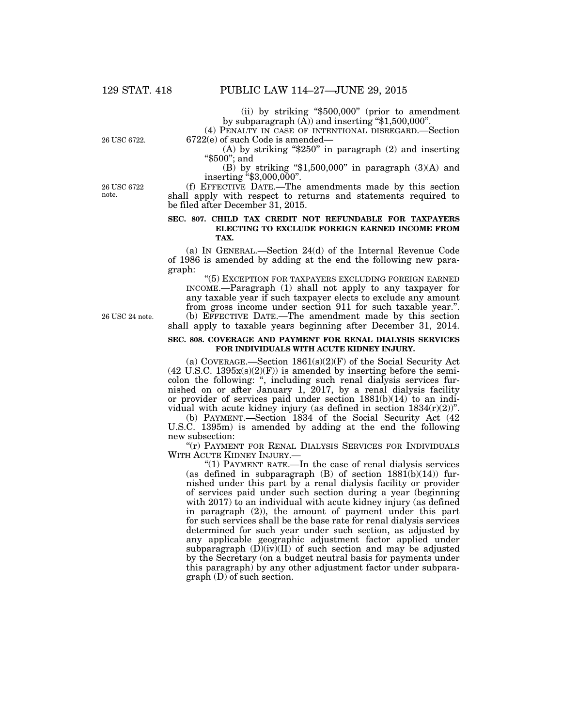(ii) by striking ''\$500,000'' (prior to amendment by subparagraph (A)) and inserting ''\$1,500,000''.

(4) PENALTY IN CASE OF INTENTIONAL DISREGARD.—Section 6722(e) of such Code is amended—

26 USC 6722.

(A) by striking " $$250"$  in paragraph (2) and inserting ''\$500''; and

(B) by striking " $$1,500,000$ " in paragraph (3)(A) and inserting "\$3,000,000".

26 USC 6722 note.

(f) EFFECTIVE DATE.—The amendments made by this section shall apply with respect to returns and statements required to be filed after December 31, 2015.

#### **SEC. 807. CHILD TAX CREDIT NOT REFUNDABLE FOR TAXPAYERS ELECTING TO EXCLUDE FOREIGN EARNED INCOME FROM TAX.**

(a) IN GENERAL.—Section 24(d) of the Internal Revenue Code of 1986 is amended by adding at the end the following new paragraph:

''(5) EXCEPTION FOR TAXPAYERS EXCLUDING FOREIGN EARNED INCOME.—Paragraph (1) shall not apply to any taxpayer for any taxable year if such taxpayer elects to exclude any amount from gross income under section 911 for such taxable year.''. (b) EFFECTIVE DATE.—The amendment made by this section shall apply to taxable years beginning after December 31, 2014.

#### **SEC. 808. COVERAGE AND PAYMENT FOR RENAL DIALYSIS SERVICES FOR INDIVIDUALS WITH ACUTE KIDNEY INJURY.**

(a) COVERAGE.—Section  $1861(s)(2)(F)$  of the Social Security Act  $(42 \text{ U.S.C. } 1395x(s)(2)(F))$  is amended by inserting before the semicolon the following: ", including such renal dialysis services furnished on or after January 1, 2017, by a renal dialysis facility or provider of services paid under section 1881(b)(14) to an individual with acute kidney injury (as defined in section  $1834(r)(2)$ )".

(b) PAYMENT.—Section 1834 of the Social Security Act (42 U.S.C. 1395m) is amended by adding at the end the following new subsection:

"(r) PAYMENT FOR RENAL DIALYSIS SERVICES FOR INDIVIDUALS WITH ACUTE KIDNEY INJURY.—

''(1) PAYMENT RATE.—In the case of renal dialysis services (as defined in subparagraph  $(B)$  of section  $1881(b)(14)$ ) furnished under this part by a renal dialysis facility or provider of services paid under such section during a year (beginning with 2017) to an individual with acute kidney injury (as defined in paragraph (2)), the amount of payment under this part for such services shall be the base rate for renal dialysis services determined for such year under such section, as adjusted by any applicable geographic adjustment factor applied under subparagraph  $(D)(iv)(II)$  of such section and may be adjusted by the Secretary (on a budget neutral basis for payments under this paragraph) by any other adjustment factor under subparagraph (D) of such section.

26 USC 24 note.